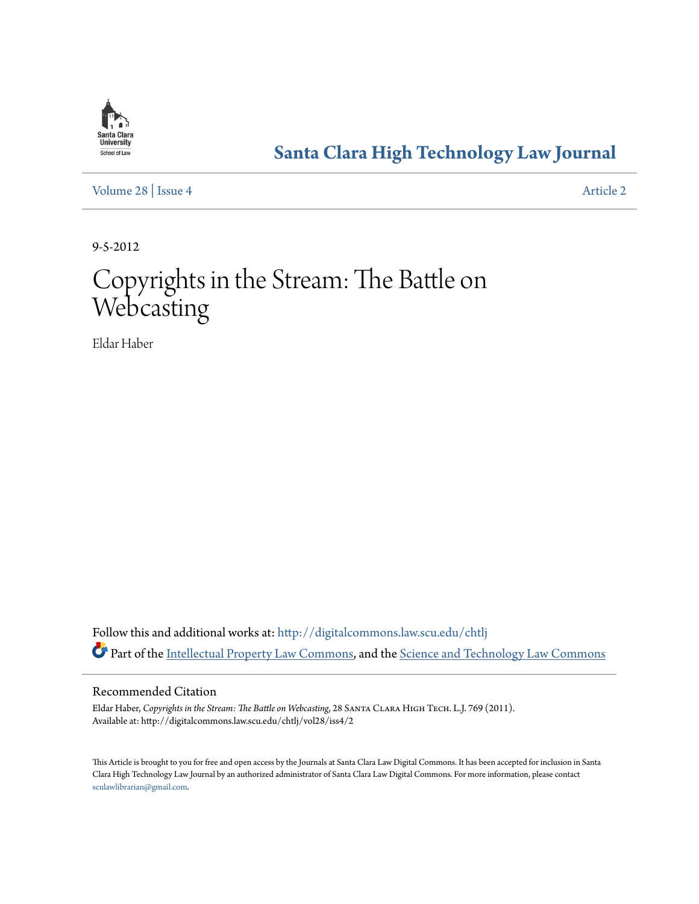

## **[Santa Clara High Technology Law Journal](http://digitalcommons.law.scu.edu/chtlj?utm_source=digitalcommons.law.scu.edu%2Fchtlj%2Fvol28%2Fiss4%2F2&utm_medium=PDF&utm_campaign=PDFCoverPages)**

[Volume 28](http://digitalcommons.law.scu.edu/chtlj/vol28?utm_source=digitalcommons.law.scu.edu%2Fchtlj%2Fvol28%2Fiss4%2F2&utm_medium=PDF&utm_campaign=PDFCoverPages) | [Issue 4](http://digitalcommons.law.scu.edu/chtlj/vol28/iss4?utm_source=digitalcommons.law.scu.edu%2Fchtlj%2Fvol28%2Fiss4%2F2&utm_medium=PDF&utm_campaign=PDFCoverPages) [Article 2](http://digitalcommons.law.scu.edu/chtlj/vol28/iss4/2?utm_source=digitalcommons.law.scu.edu%2Fchtlj%2Fvol28%2Fiss4%2F2&utm_medium=PDF&utm_campaign=PDFCoverPages)

9-5-2012

# Copyrights in the Stream: The Battle on **Webcasting**

Eldar Haber

Follow this and additional works at: [http://digitalcommons.law.scu.edu/chtlj](http://digitalcommons.law.scu.edu/chtlj?utm_source=digitalcommons.law.scu.edu%2Fchtlj%2Fvol28%2Fiss4%2F2&utm_medium=PDF&utm_campaign=PDFCoverPages) Part of the [Intellectual Property Law Commons,](http://network.bepress.com/hgg/discipline/896?utm_source=digitalcommons.law.scu.edu%2Fchtlj%2Fvol28%2Fiss4%2F2&utm_medium=PDF&utm_campaign=PDFCoverPages) and the [Science and Technology Law Commons](http://network.bepress.com/hgg/discipline/875?utm_source=digitalcommons.law.scu.edu%2Fchtlj%2Fvol28%2Fiss4%2F2&utm_medium=PDF&utm_campaign=PDFCoverPages)

#### Recommended Citation

Eldar Haber, *Copyrights in the Stream: The Battle on Webcasting*, 28 Santa Clara High Tech. L.J. 769 (2011). Available at: http://digitalcommons.law.scu.edu/chtlj/vol28/iss4/2

This Article is brought to you for free and open access by the Journals at Santa Clara Law Digital Commons. It has been accepted for inclusion in Santa Clara High Technology Law Journal by an authorized administrator of Santa Clara Law Digital Commons. For more information, please contact [sculawlibrarian@gmail.com](mailto:sculawlibrarian@gmail.com).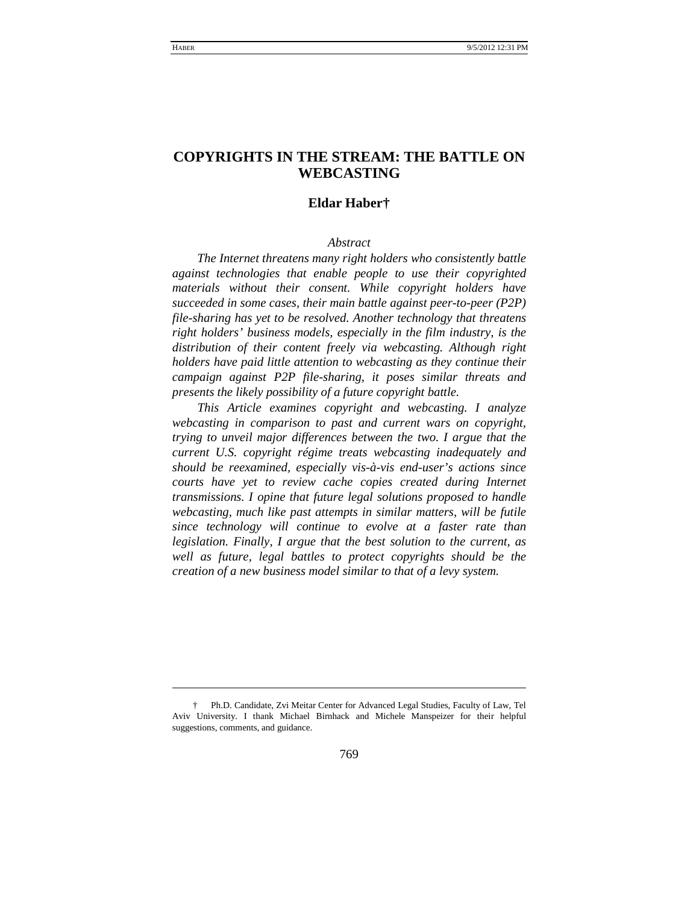### **COPYRIGHTS IN THE STREAM: THE BATTLE ON WEBCASTING**

#### **Eldar Haber[†](#page-1-0)**

#### *Abstract*

*The Internet threatens many right holders who consistently battle against technologies that enable people to use their copyrighted materials without their consent. While copyright holders have succeeded in some cases, their main battle against peer-to-peer (P2P) file-sharing has yet to be resolved. Another technology that threatens right holders' business models, especially in the film industry, is the distribution of their content freely via webcasting. Although right holders have paid little attention to webcasting as they continue their campaign against P2P file-sharing, it poses similar threats and presents the likely possibility of a future copyright battle.*

*This Article examines copyright and webcasting. I analyze webcasting in comparison to past and current wars on copyright, trying to unveil major differences between the two. I argue that the current U.S. copyright régime treats webcasting inadequately and should be reexamined, especially vis-à-vis end-user's actions since courts have yet to review cache copies created during Internet transmissions. I opine that future legal solutions proposed to handle webcasting, much like past attempts in similar matters, will be futile since technology will continue to evolve at a faster rate than legislation. Finally, I argue that the best solution to the current, as well as future, legal battles to protect copyrights should be the creation of a new business model similar to that of a levy system.*

-

<span id="page-1-0"></span><sup>†</sup> Ph.D. Candidate, Zvi Meitar Center for Advanced Legal Studies, Faculty of Law, Tel Aviv University. I thank Michael Birnhack and Michele Manspeizer for their helpful suggestions, comments, and guidance.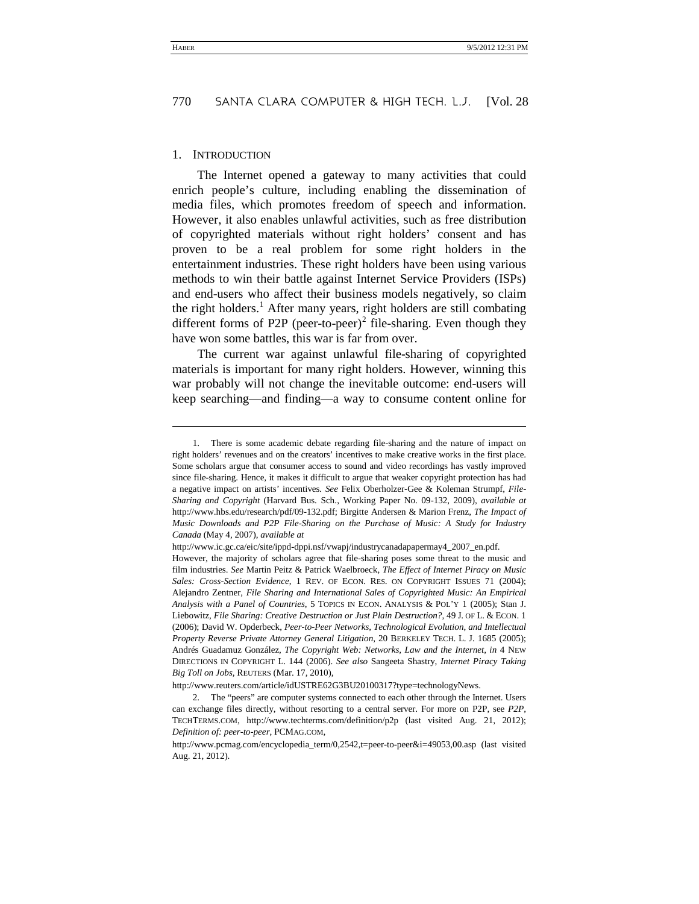#### 1. INTRODUCTION

l

The Internet opened a gateway to many activities that could enrich people's culture, including enabling the dissemination of media files, which promotes freedom of speech and information. However, it also enables unlawful activities, such as free distribution of copyrighted materials without right holders' consent and has proven to be a real problem for some right holders in the entertainment industries. These right holders have been using various methods to win their battle against Internet Service Providers (ISPs) and end-users who affect their business models negatively, so claim the right holders.<sup>[1](#page-2-0)</sup> After many years, right holders are still combating different forms of P[2](#page-2-1)P (peer-to-peer)<sup>2</sup> file-sharing. Even though they have won some battles, this war is far from over.

The current war against unlawful file-sharing of copyrighted materials is important for many right holders. However, winning this war probably will not change the inevitable outcome: end-users will keep searching—and finding—a way to consume content online for

http://www.reuters.com/article/idUSTRE62G3BU20100317?type=technologyNews.

<span id="page-2-0"></span><sup>1.</sup> There is some academic debate regarding file-sharing and the nature of impact on right holders' revenues and on the creators' incentives to make creative works in the first place. Some scholars argue that consumer access to sound and video recordings has vastly improved since file-sharing. Hence, it makes it difficult to argue that weaker copyright protection has had a negative impact on artists' incentives. *See* Felix Oberholzer-Gee & Koleman Strumpf, *File-Sharing and Copyright* (Harvard Bus. Sch., Working Paper No. 09-132, 2009), *available at* http://www.hbs.edu/research/pdf/09-132.pdf; Birgitte Andersen & Marion Frenz, *The Impact of Music Downloads and P2P File-Sharing on the Purchase of Music: A Study for Industry Canada* (May 4, 2007), *available at*

http://www.ic.gc.ca/eic/site/ippd-dppi.nsf/vwapj/industrycanadapapermay4\_2007\_en.pdf.

However, the majority of scholars agree that file-sharing poses some threat to the music and film industries. *See* Martin Peitz & Patrick Waelbroeck, *The Effect of Internet Piracy on Music Sales: Cross-Section Evidence*, 1 REV. OF ECON. RES. ON COPYRIGHT ISSUES 71 (2004); Alejandro Zentner, *File Sharing and International Sales of Copyrighted Music: An Empirical Analysis with a Panel of Countries*, 5 TOPICS IN ECON. ANALYSIS & POL'Y 1 (2005); Stan J. Liebowitz, *File Sharing: Creative Destruction or Just Plain Destruction?*, 49 J. OF L. & ECON. 1 (2006); David W. Opderbeck, *Peer-to-Peer Networks, Technological Evolution, and Intellectual Property Reverse Private Attorney General Litigation*, 20 BERKELEY TECH. L. J. 1685 (2005); Andrés Guadamuz González, *The Copyright Web: Networks, Law and the Internet*, *in* 4 NEW DIRECTIONS IN COPYRIGHT L. 144 (2006). *See also* Sangeeta Shastry, *Internet Piracy Taking Big Toll on Jobs*, REUTERS (Mar. 17, 2010),

<span id="page-2-1"></span><sup>2.</sup> The "peers" are computer systems connected to each other through the Internet. Users can exchange files directly, without resorting to a central server. For more on P2P, see *P2P*, TECHTERMS.COM, http://www.techterms.com/definition/p2p (last visited Aug. 21, 2012); *Definition of: peer-to-peer*, PCMAG.COM,

http://www.pcmag.com/encyclopedia\_term/0,2542,t=peer-to-peer&i=49053,00.asp (last visited Aug. 21, 2012).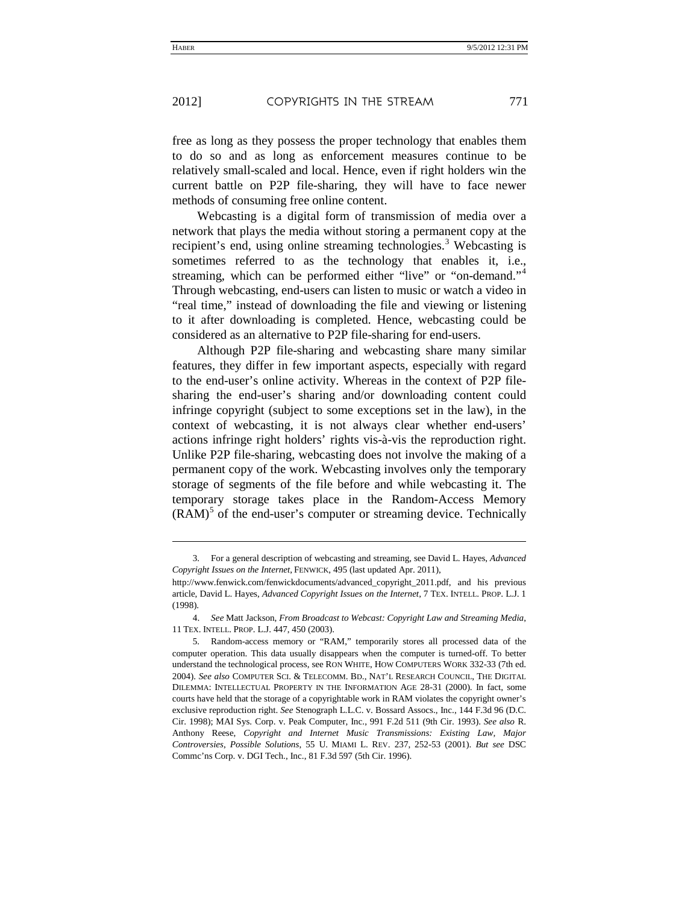<span id="page-3-4"></span><span id="page-3-3"></span>-

free as long as they possess the proper technology that enables them to do so and as long as enforcement measures continue to be relatively small-scaled and local. Hence, even if right holders win the current battle on P2P file-sharing, they will have to face newer methods of consuming free online content.

<span id="page-3-5"></span>Webcasting is a digital form of transmission of media over a network that plays the media without storing a permanent copy at the recipient's end, using online streaming technologies.<sup>[3](#page-3-0)</sup> Webcasting is sometimes referred to as the technology that enables it, i.e., streaming, which can be performed either "live" or "on-demand."<sup>[4](#page-3-1)</sup> Through webcasting, end-users can listen to music or watch a video in "real time," instead of downloading the file and viewing or listening to it after downloading is completed. Hence, webcasting could be considered as an alternative to P2P file-sharing for end-users.

Although P2P file-sharing and webcasting share many similar features, they differ in few important aspects, especially with regard to the end-user's online activity. Whereas in the context of P2P filesharing the end-user's sharing and/or downloading content could infringe copyright (subject to some exceptions set in the law), in the context of webcasting, it is not always clear whether end-users' actions infringe right holders' rights vis-à-vis the reproduction right. Unlike P2P file-sharing, webcasting does not involve the making of a permanent copy of the work. Webcasting involves only the temporary storage of segments of the file before and while webcasting it. The temporary storage takes place in the Random-Access Memory  $(RAM)^5$  $(RAM)^5$  of the end-user's computer or streaming device. Technically

<span id="page-3-0"></span><sup>3.</sup> For a general description of webcasting and streaming, see David L. Hayes, *Advanced Copyright Issues on the Internet*, FENWICK, 495 (last updated Apr. 2011),

http://www.fenwick.com/fenwickdocuments/advanced\_copyright\_2011.pdf, and his previous article, David L. Hayes, *Advanced Copyright Issues on the Internet*, 7 TEX. INTELL. PROP. L.J. 1 (1998).

<span id="page-3-1"></span><sup>4.</sup> *See* Matt Jackson, *From Broadcast to Webcast: Copyright Law and Streaming Media*, 11 TEX. INTELL. PROP. L.J. 447, 450 (2003).

<span id="page-3-2"></span><sup>5.</sup> Random-access memory or "RAM," temporarily stores all processed data of the computer operation. This data usually disappears when the computer is turned-off. To better understand the technological process, see RON WHITE, HOW COMPUTERS WORK 332-33 (7th ed. 2004). *See also* COMPUTER SCI. & TELECOMM. BD., NAT'L RESEARCH COUNCIL, THE DIGITAL DILEMMA: INTELLECTUAL PROPERTY IN THE INFORMATION AGE 28-31 (2000). In fact, some courts have held that the storage of a copyrightable work in RAM violates the copyright owner's exclusive reproduction right. *See* Stenograph L.L.C. v. Bossard Assocs., Inc., 144 F.3d 96 (D.C. Cir. 1998); MAI Sys. Corp. v. Peak Computer, Inc., 991 F.2d 511 (9th Cir. 1993). *See also* R. Anthony Reese, *Copyright and Internet Music Transmissions: Existing Law, Major Controversies*, *Possible Solutions*, 55 U. MIAMI L. REV. 237, 252-53 (2001). *But see* DSC Commc'ns Corp. v. DGI Tech., Inc., 81 F.3d 597 (5th Cir. 1996).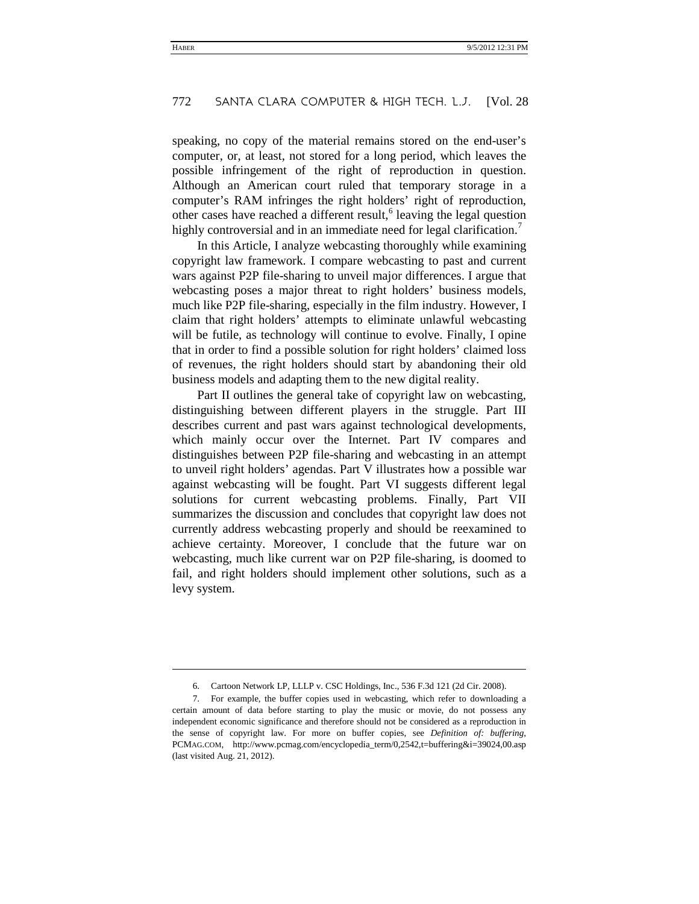speaking, no copy of the material remains stored on the end-user's computer, or, at least, not stored for a long period, which leaves the possible infringement of the right of reproduction in question. Although an American court ruled that temporary storage in a computer's RAM infringes the right holders' right of reproduction, other cases have reached a different result, $6$  leaving the legal question highly controversial and in an immediate need for legal clarification.<sup>[7](#page-4-1)</sup>

In this Article, I analyze webcasting thoroughly while examining copyright law framework. I compare webcasting to past and current wars against P2P file-sharing to unveil major differences. I argue that webcasting poses a major threat to right holders' business models, much like P2P file-sharing, especially in the film industry. However, I claim that right holders' attempts to eliminate unlawful webcasting will be futile, as technology will continue to evolve. Finally, I opine that in order to find a possible solution for right holders' claimed loss of revenues, the right holders should start by abandoning their old business models and adapting them to the new digital reality.

Part II outlines the general take of copyright law on webcasting, distinguishing between different players in the struggle. Part III describes current and past wars against technological developments, which mainly occur over the Internet. Part IV compares and distinguishes between P2P file-sharing and webcasting in an attempt to unveil right holders' agendas. Part V illustrates how a possible war against webcasting will be fought. Part VI suggests different legal solutions for current webcasting problems. Finally, Part VII summarizes the discussion and concludes that copyright law does not currently address webcasting properly and should be reexamined to achieve certainty. Moreover, I conclude that the future war on webcasting, much like current war on P2P file-sharing, is doomed to fail, and right holders should implement other solutions, such as a levy system.

l

<sup>6.</sup> Cartoon Network LP, LLLP v. CSC Holdings, Inc., 536 F.3d 121 (2d Cir. 2008).

<span id="page-4-1"></span><span id="page-4-0"></span><sup>7.</sup> For example, the buffer copies used in webcasting, which refer to downloading a certain amount of data before starting to play the music or movie, do not possess any independent economic significance and therefore should not be considered as a reproduction in the sense of copyright law. For more on buffer copies, see *Definition of: buffering*, PCMAG.COM, http://www.pcmag.com/encyclopedia\_term/0,2542,t=buffering&i=39024,00.asp (last visited Aug. 21, 2012).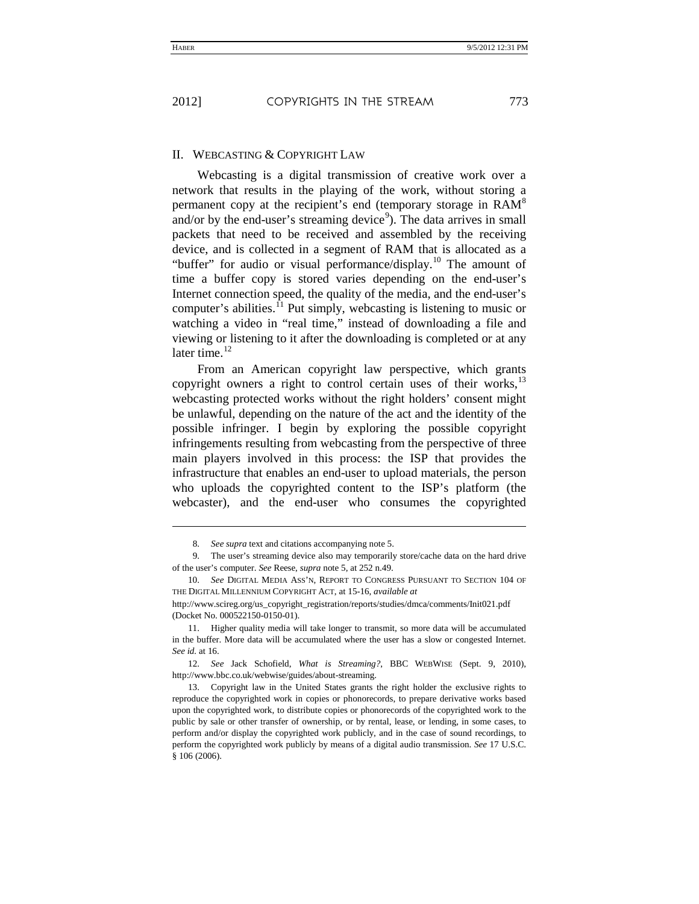j

#### II. WEBCASTING & COPYRIGHT LAW

Webcasting is a digital transmission of creative work over a network that results in the playing of the work, without storing a permanent copy at the recipient's end (temporary storage in RAM<sup>8</sup> and/or by the end-user's streaming device<sup>9</sup>). The data arrives in small packets that need to be received and assembled by the receiving device, and is collected in a segment of RAM that is allocated as a "buffer" for audio or visual performance/display.<sup>10</sup> The amount of time a buffer copy is stored varies depending on the end-user's Internet connection speed, the quality of the media, and the end-user's computer's abilities.<sup>11</sup> Put simply, webcasting is listening to music or watching a video in "real time," instead of downloading a file and viewing or listening to it after the downloading is completed or at any later time.<sup>12</sup>

From an American copyright law perspective, which grants copyright owners a right to control certain uses of their works,<sup>13</sup> webcasting protected works without the right holders' consent might be unlawful, depending on the nature of the act and the identity of the possible infringer. I begin by exploring the possible copyright infringements resulting from webcasting from the perspective of three main players involved in this process: the ISP that provides the infrastructure that enables an end-user to upload materials, the person who uploads the copyrighted content to the ISP's platform (the webcaster), and the end-user who consumes the copyrighted

12. *See* Jack Schofield, *What is Streaming?*, BBC WEBWISE (Sept. 9, 2010), http://www.bbc.co.uk/webwise/guides/about-streaming.

13. Copyright law in the United States grants the right holder the exclusive rights to reproduce the copyrighted work in copies or phonorecords, to prepare derivative works based upon the copyrighted work, to distribute copies or phonorecords of the copyrighted work to the public by sale or other transfer of ownership, or by rental, lease, or lending, in some cases, to perform and/or display the copyrighted work publicly, and in the case of sound recordings, to perform the copyrighted work publicly by means of a digital audio transmission. *See* 17 U.S.C. § 106 (2006).

<sup>8.</sup> *See supra* text and citations accompanying not[e 5.](#page-3-3)

<sup>9.</sup> The user's streaming device also may temporarily store/cache data on the hard drive of the user's computer. *See* Reese, *supra* note [5,](#page-3-4) at 252 n.49.

<sup>10.</sup> *See* DIGITAL MEDIA ASS'N, REPORT TO CONGRESS PURSUANT TO SECTION 104 OF THE DIGITAL MILLENNIUM COPYRIGHT ACT, at 15-16, *available at*

http://www.scireg.org/us\_copyright\_registration/reports/studies/dmca/comments/Init021.pdf (Docket No. 000522150-0150-01).

<sup>11.</sup> Higher quality media will take longer to transmit, so more data will be accumulated in the buffer. More data will be accumulated where the user has a slow or congested Internet. *See id.* at 16.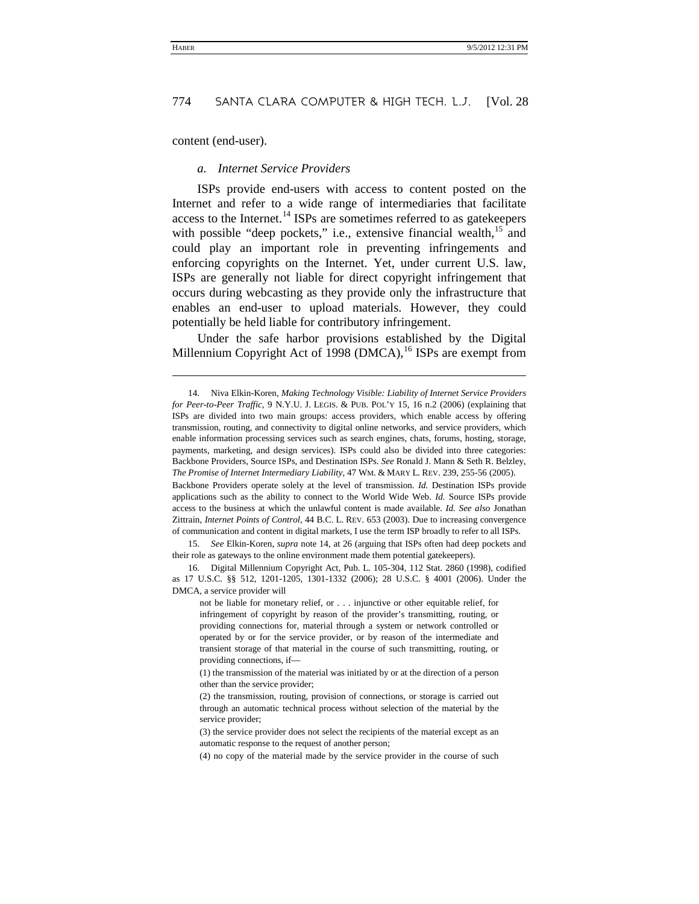content (end-user).

j

#### <span id="page-6-4"></span><span id="page-6-0"></span>*a. Internet Service Providers*

ISPs provide end-users with access to content posted on the Internet and refer to a wide range of intermediaries that facilitate access to the Internet.<sup>[14](#page-6-1)</sup> ISPs are sometimes referred to as gatekeepers with possible "deep pockets," i.e., extensive financial wealth, $^{15}$  $^{15}$  $^{15}$  and could play an important role in preventing infringements and enforcing copyrights on the Internet. Yet, under current U.S. law, ISPs are generally not liable for direct copyright infringement that occurs during webcasting as they provide only the infrastructure that enables an end-user to upload materials. However, they could potentially be held liable for contributory infringement.

Under the safe harbor provisions established by the Digital Millennium Copyright Act of 1998 (DMCA),  $^{16}$  $^{16}$  $^{16}$  ISPs are exempt from

Backbone Providers operate solely at the level of transmission. *Id.* Destination ISPs provide applications such as the ability to connect to the World Wide Web. *Id.* Source ISPs provide access to the business at which the unlawful content is made available. *Id. See also* Jonathan Zittrain, *Internet Points of Control*, 44 B.C. L. REV. 653 (2003). Due to increasing convergence of communication and content in digital markets, I use the term ISP broadly to refer to all ISPs.

<span id="page-6-2"></span>15. *See* Elkin-Koren, *supra* note [14,](#page-6-0) at 26 (arguing that ISPs often had deep pockets and their role as gateways to the online environment made them potential gatekeepers).

<span id="page-6-3"></span>16. Digital Millennium Copyright Act, Pub. L. 105-304, 112 Stat. 2860 (1998), codified as 17 U.S.C. §§ 512, 1201-1205, 1301-1332 (2006); 28 U.S.C. § 4001 (2006). Under the DMCA, a service provider will

not be liable for monetary relief, or . . . injunctive or other equitable relief, for infringement of copyright by reason of the provider's transmitting, routing, or providing connections for, material through a system or network controlled or operated by or for the service provider, or by reason of the intermediate and transient storage of that material in the course of such transmitting, routing, or providing connections, if—

(1) the transmission of the material was initiated by or at the direction of a person other than the service provider;

<span id="page-6-1"></span><sup>14.</sup> Niva Elkin-Koren, *Making Technology Visible: Liability of Internet Service Providers for Peer-to-Peer Traffic*, 9 N.Y.U. J. LEGIS. & PUB. POL'Y 15, 16 n.2 (2006) (explaining that ISPs are divided into two main groups: access providers, which enable access by offering transmission, routing, and connectivity to digital online networks, and service providers, which enable information processing services such as search engines, chats, forums, hosting, storage, payments, marketing, and design services). ISPs could also be divided into three categories: Backbone Providers, Source ISPs, and Destination ISPs. *See* Ronald J. Mann & Seth R. Belzley, *The Promise of Internet Intermediary Liability*, 47 WM. & MARY L. REV. 239, 255-56 (2005).

<sup>(2)</sup> the transmission, routing, provision of connections, or storage is carried out through an automatic technical process without selection of the material by the service provider;

<sup>(3)</sup> the service provider does not select the recipients of the material except as an automatic response to the request of another person;

<sup>(4)</sup> no copy of the material made by the service provider in the course of such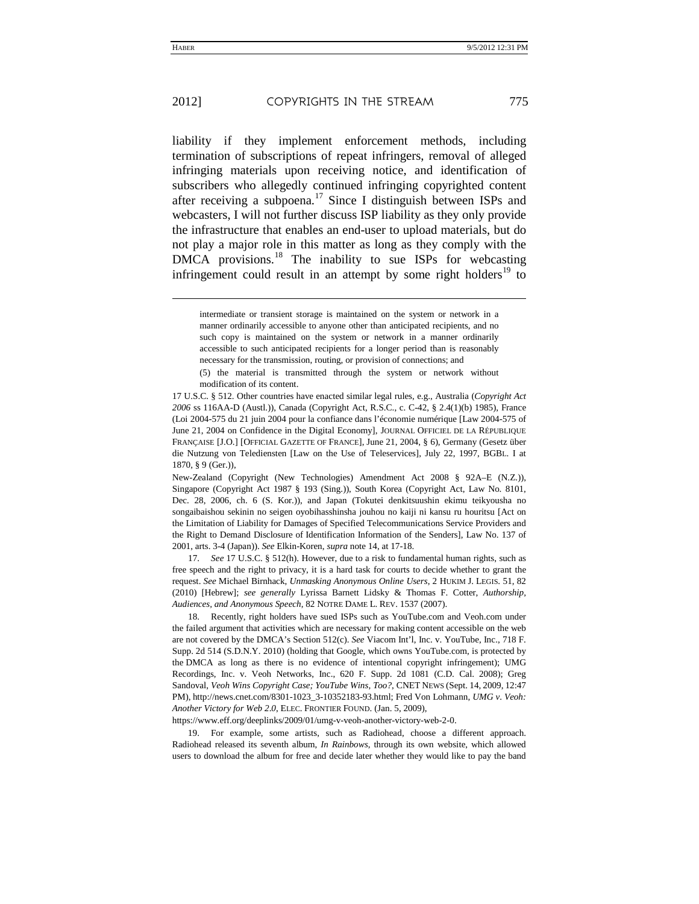-

liability if they implement enforcement methods, including termination of subscriptions of repeat infringers, removal of alleged infringing materials upon receiving notice, and identification of subscribers who allegedly continued infringing copyrighted content after receiving a subpoena.[17](#page-7-0) Since I distinguish between ISPs and webcasters, I will not further discuss ISP liability as they only provide the infrastructure that enables an end-user to upload materials, but do not play a major role in this matter as long as they comply with the DMCA provisions.<sup>[18](#page-7-1)</sup> The inability to sue ISPs for webcasting infringement could result in an attempt by some right holders<sup>[19](#page-7-2)</sup> to

(5) the material is transmitted through the system or network without modification of its content.

17 U.S.C. § 512. Other countries have enacted similar legal rules, e.g., Australia (*Copyright Act 2006* ss 116AA-D (Austl.)), Canada (Copyright Act, R.S.C., c. C-42, § 2.4(1)(b) 1985), France (Loi 2004-575 du 21 juin 2004 pour la confiance dans l'économie numérique [Law 2004-575 of June 21, 2004 on Confidence in the Digital Economy], JOURNAL OFFICIEL DE LA RÉPUBLIQUE FRANÇAISE [J.O.] [OFFICIAL GAZETTE OF FRANCE], June 21, 2004, § 6), Germany (Gesetz über die Nutzung von Telediensten [Law on the Use of Teleservices], July 22, 1997, BGBL. I at 1870, § 9 (Ger.)),

New-Zealand (Copyright (New Technologies) Amendment Act 2008 § 92A–E (N.Z.)), Singapore (Copyright Act 1987 § 193 (Sing.)), South Korea (Copyright Act, Law No. 8101, Dec. 28, 2006, ch. 6 (S. Kor.)), and Japan (Tokutei denkitsuushin ekimu teikyousha no songaibaishou sekinin no seigen oyobihasshinsha jouhou no kaiji ni kansu ru houritsu [Act on the Limitation of Liability for Damages of Specified Telecommunications Service Providers and the Right to Demand Disclosure of Identification Information of the Senders], Law No. 137 of 2001, arts. 3-4 (Japan)). *See* Elkin-Koren, *supra* not[e 14,](#page-6-0) at 17-18.

<span id="page-7-0"></span>17. *See* 17 U.S.C. § 512(h). However, due to a risk to fundamental human rights, such as free speech and the right to privacy, it is a hard task for courts to decide whether to grant the request. *See* Michael Birnhack, *Unmasking Anonymous Online Users*, 2 HUKIM J. LEGIS. 51, 82 (2010) [Hebrew]; *see generally* Lyrissa Barnett Lidsky & Thomas F. Cotter, *Authorship, Audiences, and Anonymous Speech*, 82 NOTRE DAME L. REV. 1537 (2007).

<span id="page-7-1"></span>18. Recently, right holders have sued ISPs such as YouTube.com and Veoh.com under the failed argument that activities which are necessary for making content accessible on the web are not covered by the DMCA's Section 512(c). *See* Viacom Int'l, Inc. v. YouTube, Inc., 718 F. Supp. 2d 514 (S.D.N.Y. 2010) (holding that Google, which owns YouTube.com, is protected by the DMCA as long as there is no evidence of intentional copyright infringement); UMG Recordings, Inc. v. Veoh Networks, Inc., 620 F. Supp. 2d 1081 (C.D. Cal. 2008); Greg Sandoval, *Veoh Wins Copyright Case; YouTube Wins, Too?*, CNET NEWS (Sept. 14, 2009, 12:47 PM), http://news.cnet.com/8301-1023\_3-10352183-93.html; Fred Von Lohmann, *UMG v*. *Veoh: Another Victory for Web 2*.*0*, ELEC. FRONTIER FOUND. (Jan. 5, 2009),

<span id="page-7-2"></span>https://www.eff.org/deeplinks/2009/01/umg-v-veoh-another-victory-web-2-0.

19. For example, some artists, such as Radiohead, choose a different approach. Radiohead released its seventh album, *In Rainbows*, through its own website, which allowed users to download the album for free and decide later whether they would like to pay the band

<span id="page-7-3"></span>intermediate or transient storage is maintained on the system or network in a manner ordinarily accessible to anyone other than anticipated recipients, and no such copy is maintained on the system or network in a manner ordinarily accessible to such anticipated recipients for a longer period than is reasonably necessary for the transmission, routing, or provision of connections; and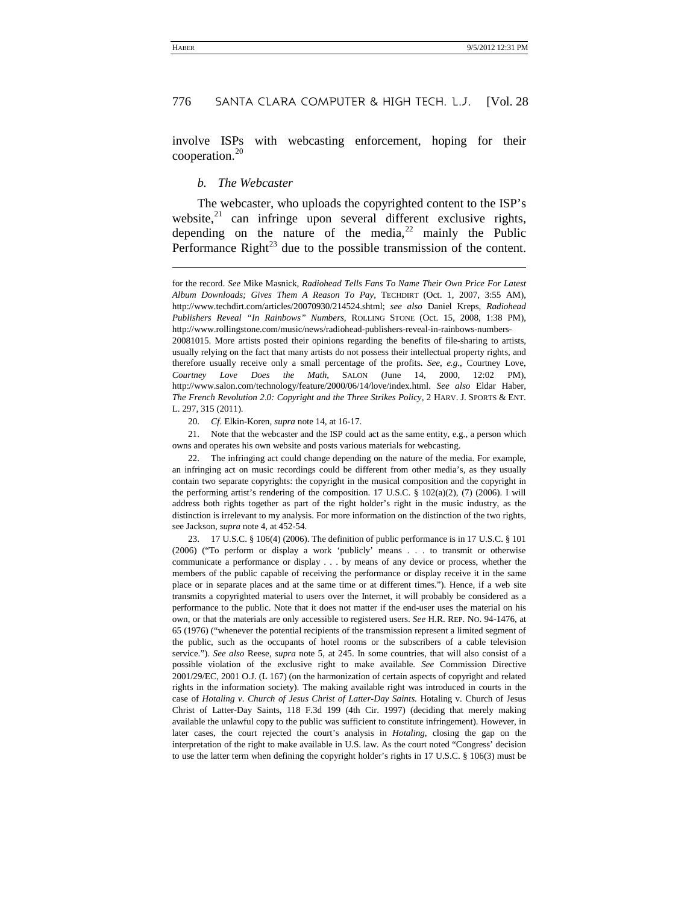involve ISPs with webcasting enforcement, hoping for their cooperation.[20](#page-8-0)

#### <span id="page-8-4"></span>*b. The Webcaster*

-

The webcaster, who uploads the copyrighted content to the ISP's website, $21$  can infringe upon several different exclusive rights, depending on the nature of the media,  $2^2$  mainly the Public Performance Right<sup>[23](#page-8-3)</sup> due to the possible transmission of the content.

for the record. *See* Mike Masnick, *Radiohead Tells Fans To Name Their Own Price For Latest Album Downloads; Gives Them A Reason To Pay*, TECHDIRT (Oct. 1, 2007, 3:55 AM), http://www.techdirt.com/articles/20070930/214524.shtml; *see also* Daniel Kreps, *Radiohead Publishers Reveal "In Rainbows" Numbers*, ROLLING STONE (Oct. 15, 2008, 1:38 PM), http://www.rollingstone.com/music/news/radiohead-publishers-reveal-in-rainbows-numbers-

20081015. More artists posted their opinions regarding the benefits of file-sharing to artists, usually relying on the fact that many artists do not possess their intellectual property rights, and therefore usually receive only a small percentage of the profits. *See, e.g.*, Courtney Love, *Courtney Love Does the Math*, SALON (June 14, 2000, 12:02 PM), http://www.salon.com/technology/feature/2000/06/14/love/index.html. *See also* Eldar Haber, *The French Revolution 2*.*0: Copyright and the Three Strikes Policy*, 2 HARV. J. SPORTS & ENT. L. 297, 315 (2011).

20. *Cf.* Elkin-Koren, *supra* not[e 14,](#page-6-4) at 16-17.

<span id="page-8-1"></span><span id="page-8-0"></span>21. Note that the webcaster and the ISP could act as the same entity, e.g., a person which owns and operates his own website and posts various materials for webcasting.

<span id="page-8-2"></span>22. The infringing act could change depending on the nature of the media. For example, an infringing act on music recordings could be different from other media's, as they usually contain two separate copyrights: the copyright in the musical composition and the copyright in the performing artist's rendering of the composition. 17 U.S.C.  $\S$  102(a)(2), (7) (2006). I will address both rights together as part of the right holder's right in the music industry, as the distinction is irrelevant to my analysis. For more information on the distinction of the two rights, see Jackson, *supra* not[e 4,](#page-3-5) at 452-54.

<span id="page-8-3"></span>23. 17 U.S.C. § 106(4) (2006). The definition of public performance is in 17 U.S.C. § 101 (2006) ("To perform or display a work 'publicly' means . . . to transmit or otherwise communicate a performance or display . . . by means of any device or process, whether the members of the public capable of receiving the performance or display receive it in the same place or in separate places and at the same time or at different times."). Hence, if a web site transmits a copyrighted material to users over the Internet, it will probably be considered as a performance to the public. Note that it does not matter if the end-user uses the material on his own, or that the materials are only accessible to registered users. *See* H.R. REP. NO. 94-1476, at 65 (1976) ("whenever the potential recipients of the transmission represent a limited segment of the public, such as the occupants of hotel rooms or the subscribers of a cable television service."). *See also* Reese, *supra* note [5,](#page-3-3) at 245. In some countries, that will also consist of a possible violation of the exclusive right to make available. *See* Commission Directive 2001/29/EC, 2001 O.J. (L 167) (on the harmonization of certain aspects of copyright and related rights in the information society). The making available right was introduced in courts in the case of *Hotaling v*. *Church of Jesus Christ of Latter-Day Saints*. Hotaling v. Church of Jesus Christ of Latter-Day Saints, 118 F.3d 199 (4th Cir. 1997) (deciding that merely making available the unlawful copy to the public was sufficient to constitute infringement). However, in later cases, the court rejected the court's analysis in *Hotaling*, closing the gap on the interpretation of the right to make available in U.S. law. As the court noted "Congress' decision to use the latter term when defining the copyright holder's rights in 17 U.S.C. § 106(3) must be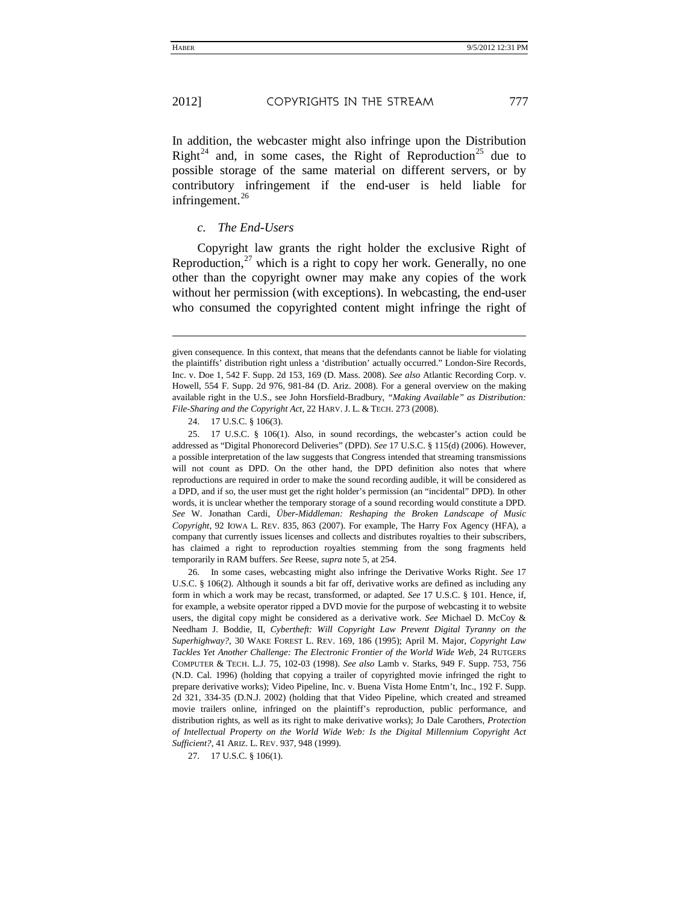-

In addition, the webcaster might also infringe upon the Distribution Right<sup>[24](#page-9-0)</sup> and, in some cases, the Right of Reproduction<sup>[25](#page-9-1)</sup> due to possible storage of the same material on different servers, or by contributory infringement if the end-user is held liable for infringement. $^{26}$  $^{26}$  $^{26}$ 

#### <span id="page-9-5"></span><span id="page-9-4"></span>*c. The End-Users*

Copyright law grants the right holder the exclusive Right of Reproduction, $^{27}$  $^{27}$  $^{27}$  which is a right to copy her work. Generally, no one other than the copyright owner may make any copies of the work without her permission (with exceptions). In webcasting, the end-user who consumed the copyrighted content might infringe the right of

24. 17 U.S.C. § 106(3).

<span id="page-9-1"></span><span id="page-9-0"></span>25. 17 U.S.C. § 106(1). Also, in sound recordings, the webcaster's action could be addressed as "Digital Phonorecord Deliveries" (DPD). *See* 17 U.S.C. § 115(d) (2006). However, a possible interpretation of the law suggests that Congress intended that streaming transmissions will not count as DPD. On the other hand, the DPD definition also notes that where reproductions are required in order to make the sound recording audible, it will be considered as a DPD, and if so, the user must get the right holder's permission (an "incidental" DPD). In other words, it is unclear whether the temporary storage of a sound recording would constitute a DPD. *See* W. Jonathan Cardi, *Über-Middleman: Reshaping the Broken Landscape of Music Copyright*, 92 IOWA L. REV. 835, 863 (2007). For example, The Harry Fox Agency (HFA), a company that currently issues licenses and collects and distributes royalties to their subscribers, has claimed a right to reproduction royalties stemming from the song fragments held temporarily in RAM buffers. *See* Reese, *supra* not[e 5,](#page-3-3) at 254.

<span id="page-9-2"></span>26. In some cases, webcasting might also infringe the Derivative Works Right. *See* 17 U.S.C. § 106(2). Although it sounds a bit far off, derivative works are defined as including any form in which a work may be recast, transformed, or adapted. *See* 17 U.S.C. § 101. Hence, if, for example, a website operator ripped a DVD movie for the purpose of webcasting it to website users, the digital copy might be considered as a derivative work. *See* Michael D. McCoy & Needham J. Boddie, II, *Cybertheft: Will Copyright Law Prevent Digital Tyranny on the Superhighway?*, 30 WAKE FOREST L. REV. 169, 186 (1995); April M. Major, *Copyright Law Tackles Yet Another Challenge: The Electronic Frontier of the World Wide Web*, 24 RUTGERS COMPUTER & TECH. L.J. 75, 102-03 (1998). *See also* Lamb v. Starks, 949 F. Supp. 753, 756 (N.D. Cal. 1996) (holding that copying a trailer of copyrighted movie infringed the right to prepare derivative works); Video Pipeline, Inc. v. Buena Vista Home Entm't, Inc., 192 F. Supp. 2d 321, 334-35 (D.N.J. 2002) (holding that that Video Pipeline, which created and streamed movie trailers online, infringed on the plaintiff's reproduction, public performance, and distribution rights, as well as its right to make derivative works); Jo Dale Carothers, *Protection of Intellectual Property on the World Wide Web: Is the Digital Millennium Copyright Act Sufficient?*, 41 ARIZ. L. REV. 937, 948 (1999).

given consequence. In this context, that means that the defendants cannot be liable for violating the plaintiffs' distribution right unless a 'distribution' actually occurred." London-Sire Records, Inc. v. Doe 1, 542 F. Supp. 2d 153, 169 (D. Mass. 2008). *See also* Atlantic Recording Corp. v. Howell, 554 F. Supp. 2d 976, 981-84 (D. Ariz. 2008). For a general overview on the making available right in the U.S., see John Horsfield-Bradbury, *"Making Available" as Distribution: File-Sharing and the Copyright Act*, 22 HARV. J. L. & TECH. 273 (2008).

<span id="page-9-3"></span><sup>27.</sup> 17 U.S.C. § 106(1).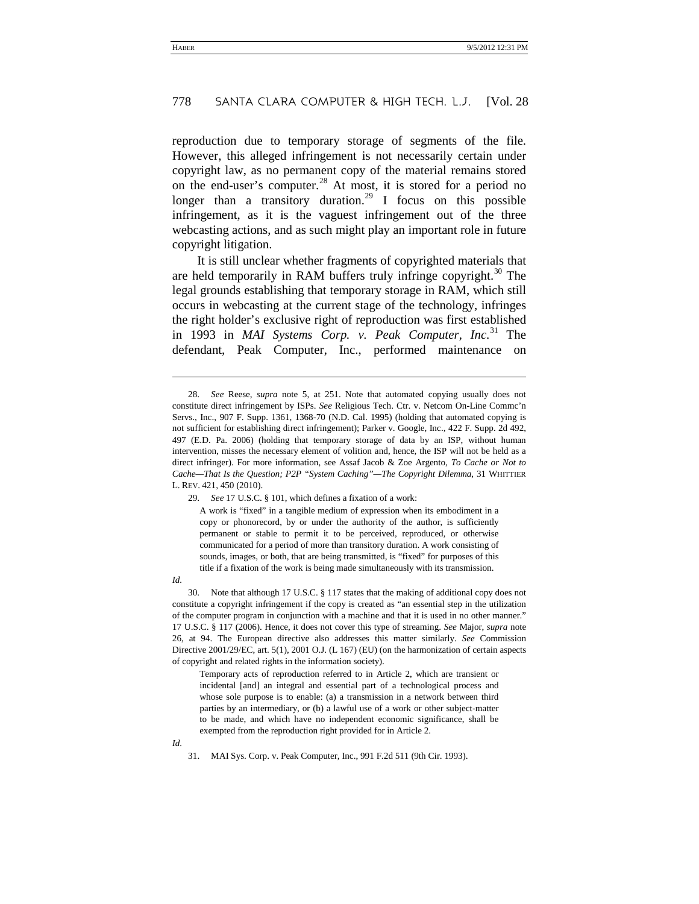reproduction due to temporary storage of segments of the file. However, this alleged infringement is not necessarily certain under copyright law, as no permanent copy of the material remains stored on the end-user's computer.<sup>[28](#page-10-0)</sup> At most, it is stored for a period no longer than a transitory duration.<sup>[29](#page-10-1)</sup> I focus on this possible infringement, as it is the vaguest infringement out of the three webcasting actions, and as such might play an important role in future copyright litigation.

It is still unclear whether fragments of copyrighted materials that are held temporarily in RAM buffers truly infringe copyright. $30$  The legal grounds establishing that temporary storage in RAM, which still occurs in webcasting at the current stage of the technology, infringes the right holder's exclusive right of reproduction was first established in 1993 in *MAI Systems Corp. v. Peak Computer, Inc.*[31](#page-10-3) The defendant, Peak Computer, Inc., performed maintenance on

<span id="page-10-1"></span>29. *See* 17 U.S.C. § 101, which defines a fixation of a work:

A work is "fixed" in a tangible medium of expression when its embodiment in a copy or phonorecord, by or under the authority of the author, is sufficiently permanent or stable to permit it to be perceived, reproduced, or otherwise communicated for a period of more than transitory duration. A work consisting of sounds, images, or both, that are being transmitted, is "fixed" for purposes of this title if a fixation of the work is being made simultaneously with its transmission.

*Id.*

-

<span id="page-10-2"></span>30. Note that although 17 U.S.C. § 117 states that the making of additional copy does not constitute a copyright infringement if the copy is created as "an essential step in the utilization of the computer program in conjunction with a machine and that it is used in no other manner." 17 U.S.C. § 117 (2006). Hence, it does not cover this type of streaming. *See* Major, *supra* note [26,](#page-9-4) at 94. The European directive also addresses this matter similarly. *See* Commission Directive 2001/29/EC, art. 5(1), 2001 O.J. (L 167) (EU) (on the harmonization of certain aspects of copyright and related rights in the information society).

Temporary acts of reproduction referred to in Article 2, which are transient or incidental [and] an integral and essential part of a technological process and whose sole purpose is to enable: (a) a transmission in a network between third parties by an intermediary, or (b) a lawful use of a work or other subject-matter to be made, and which have no independent economic significance, shall be exempted from the reproduction right provided for in Article 2.

<span id="page-10-3"></span>*Id.*

31. MAI Sys. Corp. v. Peak Computer, Inc., 991 F.2d 511 (9th Cir. 1993).

<span id="page-10-0"></span><sup>28.</sup> *See* Reese, *supra* note [5,](#page-3-3) at 251. Note that automated copying usually does not constitute direct infringement by ISPs. *See* Religious Tech. Ctr. v. Netcom On-Line Commc'n Servs., Inc., 907 F. Supp. 1361, 1368-70 (N.D. Cal. 1995) (holding that automated copying is not sufficient for establishing direct infringement); Parker v. Google, Inc., 422 F. Supp. 2d 492, 497 (E.D. Pa. 2006) (holding that temporary storage of data by an ISP, without human intervention, misses the necessary element of volition and, hence, the ISP will not be held as a direct infringer). For more information, see Assaf Jacob & Zoe Argento, *To Cache or Not to Cache—That Is the Question; P2P "System Caching"—The Copyright Dilemma*, 31 WHITTIER L. REV. 421, 450 (2010).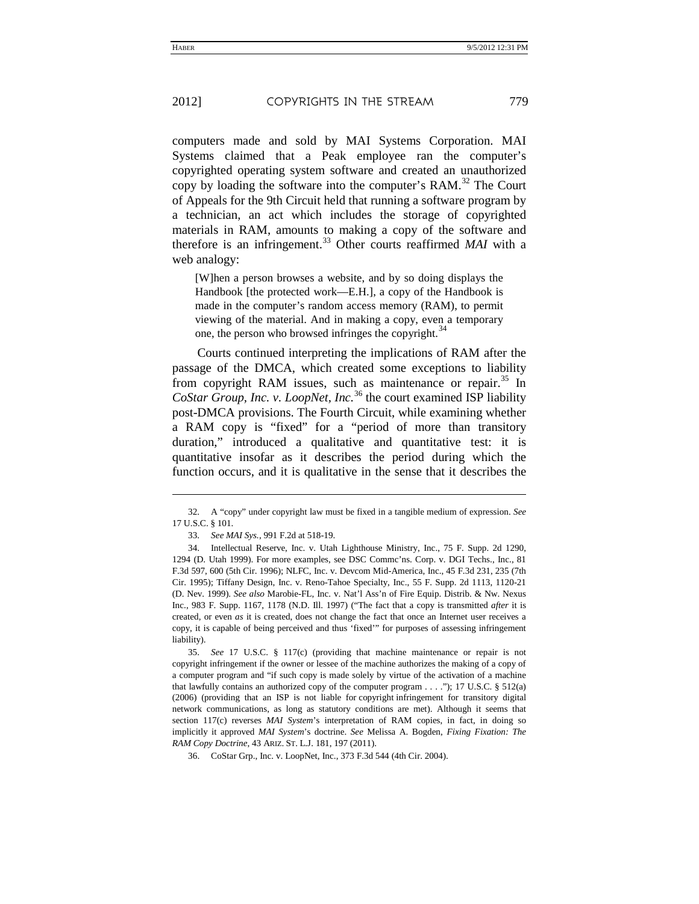computers made and sold by MAI Systems Corporation. MAI Systems claimed that a Peak employee ran the computer's copyrighted operating system software and created an unauthorized copy by loading the software into the computer's RAM.<sup>[32](#page-11-0)</sup> The Court of Appeals for the 9th Circuit held that running a software program by a technician, an act which includes the storage of copyrighted materials in RAM, amounts to making a copy of the software and therefore is an infringement.<sup>[33](#page-11-1)</sup> Other courts reaffirmed *MAI* with a web analogy:

<span id="page-11-5"></span>[W]hen a person browses a website, and by so doing displays the Handbook [the protected work—E.H.], a copy of the Handbook is made in the computer's random access memory (RAM), to permit viewing of the material. And in making a copy, even a temporary one, the person who browsed infringes the copyright.<sup>[34](#page-11-2)</sup>

Courts continued interpreting the implications of RAM after the passage of the DMCA, which created some exceptions to liability from copyright RAM issues, such as maintenance or repair.<sup>[35](#page-11-3)</sup> In *CoStar Group, Inc. v. LoopNet, Inc.*[36](#page-11-4) the court examined ISP liability post-DMCA provisions. The Fourth Circuit, while examining whether a RAM copy is "fixed" for a "period of more than transitory duration," introduced a qualitative and quantitative test: it is quantitative insofar as it describes the period during which the function occurs, and it is qualitative in the sense that it describes the

<span id="page-11-3"></span>35. *See* 17 U.S.C. § 117(c) (providing that machine maintenance or repair is not copyright infringement if the owner or lessee of the machine authorizes the making of a copy of a computer program and "if such copy is made solely by virtue of the activation of a machine that lawfully contains an authorized copy of the computer program  $\dots$ ."); 17 U.S.C. § 512(a) (2006) (providing that an ISP is not liable for copyright infringement for transitory digital network communications, as long as statutory conditions are met). Although it seems that section 117(c) reverses *MAI System*'s interpretation of RAM copies, in fact, in doing so implicitly it approved *MAI System*'s doctrine. *See* Melissa A. Bogden, *Fixing Fixation: The RAM Copy Doctrine*, 43 ARIZ. ST. L.J. 181, 197 (2011).

<span id="page-11-4"></span>36. CoStar Grp., Inc. v. LoopNet, Inc., 373 F.3d 544 (4th Cir. 2004).

l

<span id="page-11-0"></span><sup>32.</sup> A "copy" under copyright law must be fixed in a tangible medium of expression. *See* 17 U.S.C. § 101.

<sup>33.</sup> *See MAI Sys.*, 991 F.2d at 518-19.

<span id="page-11-2"></span><span id="page-11-1"></span><sup>34.</sup> Intellectual Reserve, Inc. v. Utah Lighthouse Ministry, Inc., 75 F. Supp. 2d 1290, 1294 (D. Utah 1999). For more examples, see DSC Commc'ns. Corp. v. DGI Techs., Inc., 81 F.3d 597, 600 (5th Cir. 1996); NLFC, Inc. v. Devcom Mid-America, Inc., 45 F.3d 231, 235 (7th Cir. 1995); Tiffany Design, Inc. v. Reno-Tahoe Specialty, Inc., 55 F. Supp. 2d 1113, 1120-21 (D. Nev. 1999). *See also* Marobie-FL, Inc. v. Nat'l Ass'n of Fire Equip. Distrib. & Nw. Nexus Inc., 983 F. Supp. 1167, 1178 (N.D. Ill. 1997) ("The fact that a copy is transmitted *after* it is created, or even *as* it is created, does not change the fact that once an Internet user receives a copy, it is capable of being perceived and thus 'fixed'" for purposes of assessing infringement liability).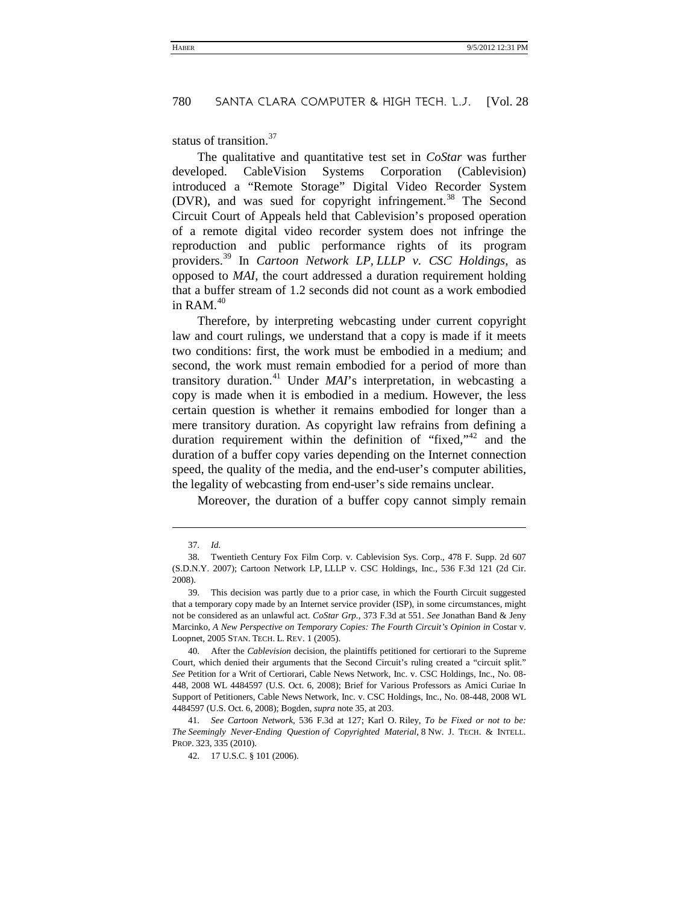status of transition.<sup>[37](#page-12-0)</sup>

The qualitative and quantitative test set in *CoStar* was further developed. CableVision Systems Corporation (Cablevision) introduced a "Remote Storage" Digital Video Recorder System  $(DVR)$ , and was sued for copyright infringement.<sup>[38](#page-12-1)</sup> The Second Circuit Court of Appeals held that Cablevision's proposed operation of a remote digital video recorder system does not infringe the reproduction and public performance rights of its program providers.[39](#page-12-2) In *Cartoon Network LP, LLLP v. CSC Holdings*, as opposed to *MAI*, the court addressed a duration requirement holding that a buffer stream of 1.2 seconds did not count as a work embodied in RAM $40$ 

Therefore, by interpreting webcasting under current copyright law and court rulings, we understand that a copy is made if it meets two conditions: first, the work must be embodied in a medium; and second, the work must remain embodied for a period of more than transitory duration.[41](#page-12-4) Under *MAI*'s interpretation, in webcasting a copy is made when it is embodied in a medium. However, the less certain question is whether it remains embodied for longer than a mere transitory duration. As copyright law refrains from defining a duration requirement within the definition of "fixed,"<sup>[42](#page-12-5)</sup> and the duration of a buffer copy varies depending on the Internet connection speed, the quality of the media, and the end-user's computer abilities, the legality of webcasting from end-user's side remains unclear.

Moreover, the duration of a buffer copy cannot simply remain

-

<sup>37.</sup> *Id.*

<span id="page-12-1"></span><span id="page-12-0"></span><sup>38.</sup> Twentieth Century Fox Film Corp. v. Cablevision Sys. Corp., 478 F. Supp. 2d 607 (S.D.N.Y. 2007); Cartoon Network LP, LLLP v. CSC Holdings, Inc., 536 F.3d 121 (2d Cir. 2008).

<span id="page-12-2"></span><sup>39.</sup> This decision was partly due to a prior case, in which the Fourth Circuit suggested that a temporary copy made by an Internet service provider (ISP), in some circumstances, might not be considered as an unlawful act. *CoStar Grp.*, 373 F.3d at 551. *See* Jonathan Band & Jeny Marcinko, *A New Perspective on Temporary Copies: The Fourth Circuit's Opinion in Costar v.* Loopnet, 2005 STAN. TECH. L. REV. 1 (2005).

<span id="page-12-3"></span><sup>40.</sup> After the *Cablevision* decision, the plaintiffs petitioned for certiorari to the Supreme Court, which denied their arguments that the Second Circuit's ruling created a "circuit split." *See* Petition for a Writ of Certiorari, Cable News Network, Inc. v. CSC Holdings, Inc., No. 08- 448, 2008 WL 4484597 (U.S. Oct. 6, 2008); Brief for Various Professors as Amici Curiae In Support of Petitioners, Cable News Network, Inc. v. CSC Holdings, Inc., No. 08-448, 2008 WL 4484597 (U.S. Oct. 6, 2008); Bogden, *supra* not[e 35,](#page-11-5) at 203.

<span id="page-12-5"></span><span id="page-12-4"></span><sup>41.</sup> *See Cartoon Network*, 536 F.3d at 127; Karl O. Riley, *To be Fixed or not to be: The Seemingly Never-Ending Question of Copyrighted Material*, 8 NW. J. TECH. & INTELL. PROP. 323, 335 (2010).

<sup>42.</sup> 17 U.S.C. § 101 (2006).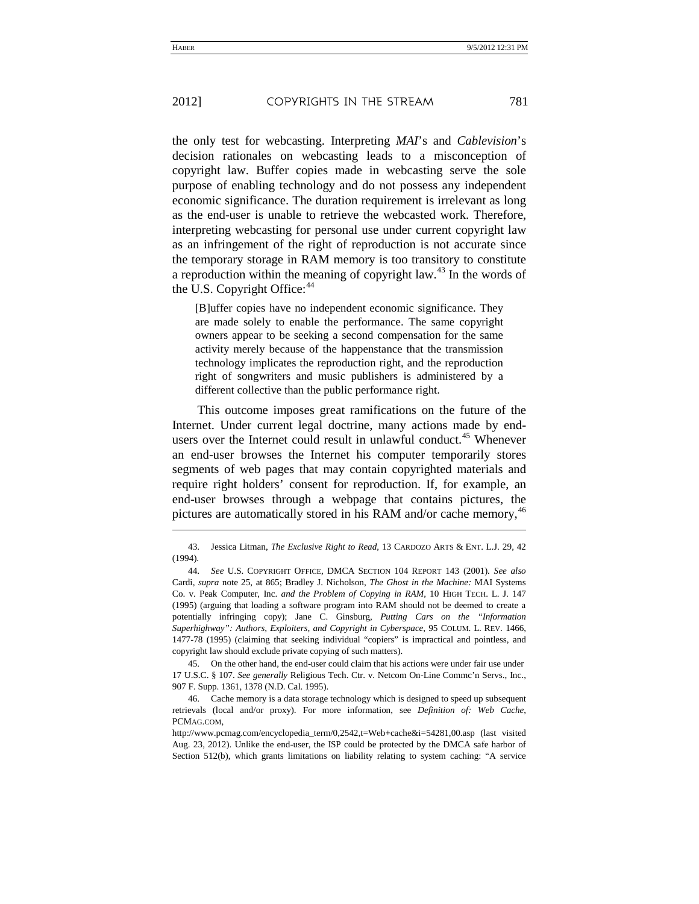the only test for webcasting. Interpreting *MAI*'s and *Cablevision*'s decision rationales on webcasting leads to a misconception of copyright law. Buffer copies made in webcasting serve the sole purpose of enabling technology and do not possess any independent economic significance. The duration requirement is irrelevant as long as the end-user is unable to retrieve the webcasted work. Therefore, interpreting webcasting for personal use under current copyright law as an infringement of the right of reproduction is not accurate since the temporary storage in RAM memory is too transitory to constitute a reproduction within the meaning of copyright law.<sup>[43](#page-13-0)</sup> In the words of the U.S. Copyright Office:<sup>[44](#page-13-1)</sup>

<span id="page-13-4"></span>[B]uffer copies have no independent economic significance. They are made solely to enable the performance. The same copyright owners appear to be seeking a second compensation for the same activity merely because of the happenstance that the transmission technology implicates the reproduction right, and the reproduction right of songwriters and music publishers is administered by a different collective than the public performance right.

This outcome imposes great ramifications on the future of the Internet. Under current legal doctrine, many actions made by end-users over the Internet could result in unlawful conduct.<sup>[45](#page-13-2)</sup> Whenever an end-user browses the Internet his computer temporarily stores segments of web pages that may contain copyrighted materials and require right holders' consent for reproduction. If, for example, an end-user browses through a webpage that contains pictures, the pictures are automatically stored in his RAM and/or cache memory,<sup>[46](#page-13-3)</sup>

<span id="page-13-2"></span>45. On the other hand, the end-user could claim that his actions were under fair use under 17 U.S.C. § 107. *See generally* Religious Tech. Ctr. v. Netcom On-Line Commc'n Servs., Inc., 907 F. Supp. 1361, 1378 (N.D. Cal. 1995).

<span id="page-13-3"></span>46. Cache memory is a data storage technology which is designed to speed up subsequent retrievals (local and/or proxy). For more information, see *Definition of: Web Cache*, PCMAG.COM,

http://www.pcmag.com/encyclopedia\_term/0,2542,t=Web+cache&i=54281,00.asp (last visited Aug. 23, 2012). Unlike the end-user, the ISP could be protected by the DMCA safe harbor of Section 512(b), which grants limitations on liability relating to system caching: "A service

j

<span id="page-13-0"></span><sup>43.</sup> Jessica Litman, *The Exclusive Right to Read*, 13 CARDOZO ARTS & ENT. L.J. 29, 42 (1994).

<span id="page-13-1"></span><sup>44.</sup> *See* U.S. COPYRIGHT OFFICE, DMCA SECTION 104 REPORT 143 (2001). *See also*  Cardi, *supra* note [25,](#page-9-5) at 865; Bradley J. Nicholson, *The Ghost in the Machine:* MAI Systems Co. v. Peak Computer, Inc. *and the Problem of Copying in RAM*, 10 HIGH TECH. L. J. 147 (1995) (arguing that loading a software program into RAM should not be deemed to create a potentially infringing copy); Jane C. Ginsburg, *Putting Cars on the "Information Superhighway": Authors, Exploiters, and Copyright in Cyberspace*, 95 COLUM. L. REV. 1466, 1477-78 (1995) (claiming that seeking individual "copiers" is impractical and pointless, and copyright law should exclude private copying of such matters).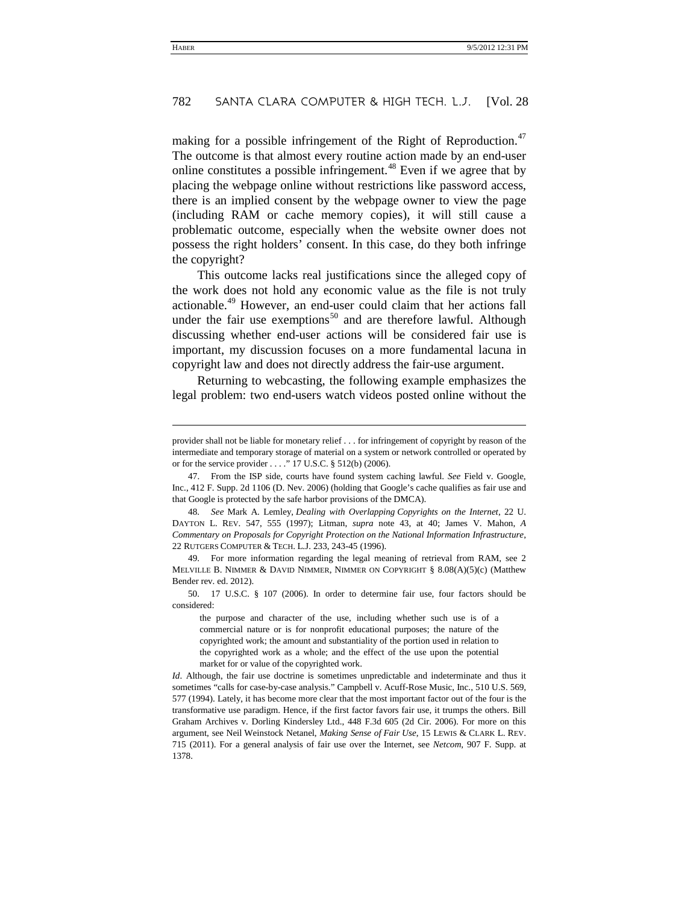making for a possible infringement of the Right of Reproduction.<sup>[47](#page-14-0)</sup> The outcome is that almost every routine action made by an end-user online constitutes a possible infringement.<sup>[48](#page-14-1)</sup> Even if we agree that by placing the webpage online without restrictions like password access, there is an implied consent by the webpage owner to view the page (including RAM or cache memory copies), it will still cause a problematic outcome, especially when the website owner does not possess the right holders' consent. In this case, do they both infringe the copyright?

This outcome lacks real justifications since the alleged copy of the work does not hold any economic value as the file is not truly actionable.[49](#page-14-2) However, an end-user could claim that her actions fall under the fair use exemptions<sup>[50](#page-14-3)</sup> and are therefore lawful. Although discussing whether end-user actions will be considered fair use is important, my discussion focuses on a more fundamental lacuna in copyright law and does not directly address the fair-use argument.

Returning to webcasting, the following example emphasizes the legal problem: two end-users watch videos posted online without the

-

<span id="page-14-1"></span>48. *See* Mark A. Lemley, *Dealing with Overlapping Copyrights on the Internet*, 22 U. DAYTON L. REV. 547, 555 (1997); Litman, *supra* note [43,](#page-13-4) at 40; James V. Mahon, *A Commentary on Proposals for Copyright Protection on the National Information Infrastructure*, 22 RUTGERS COMPUTER & TECH. L.J. 233, 243-45 (1996).

<span id="page-14-2"></span>49. For more information regarding the legal meaning of retrieval from RAM, see 2 MELVILLE B. NIMMER & DAVID NIMMER, NIMMER ON COPYRIGHT § 8.08(A)(5)(c) (Matthew Bender rev. ed. 2012).

provider shall not be liable for monetary relief . . . for infringement of copyright by reason of the intermediate and temporary storage of material on a system or network controlled or operated by or for the service provider . . . ." 17 U.S.C. § 512(b) (2006).

<span id="page-14-0"></span><sup>47.</sup> From the ISP side, courts have found system caching lawful. *See* Field v. Google, Inc., 412 F. Supp. 2d 1106 (D. Nev. 2006) (holding that Google's cache qualifies as fair use and that Google is protected by the safe harbor provisions of the DMCA).

<span id="page-14-3"></span><sup>50.</sup> 17 U.S.C. § 107 (2006). In order to determine fair use, four factors should be considered:

the purpose and character of the use, including whether such use is of a commercial nature or is for nonprofit educational purposes; the nature of the copyrighted work; the amount and substantiality of the portion used in relation to the copyrighted work as a whole; and the effect of the use upon the potential market for or value of the copyrighted work.

*Id*. Although, the fair use doctrine is sometimes unpredictable and indeterminate and thus it sometimes "calls for case-by-case analysis." Campbell v. Acuff-Rose Music, Inc., 510 U.S. 569, 577 (1994). Lately, it has become more clear that the most important factor out of the four is the transformative use paradigm. Hence, if the first factor favors fair use, it trumps the others. Bill Graham Archives v. Dorling Kindersley Ltd., 448 F.3d 605 (2d Cir. 2006). For more on this argument, see Neil Weinstock Netanel, *Making Sense of Fair Use*, 15 LEWIS & CLARK L. REV. 715 (2011). For a general analysis of fair use over the Internet, see *Netcom*, 907 F. Supp. at 1378.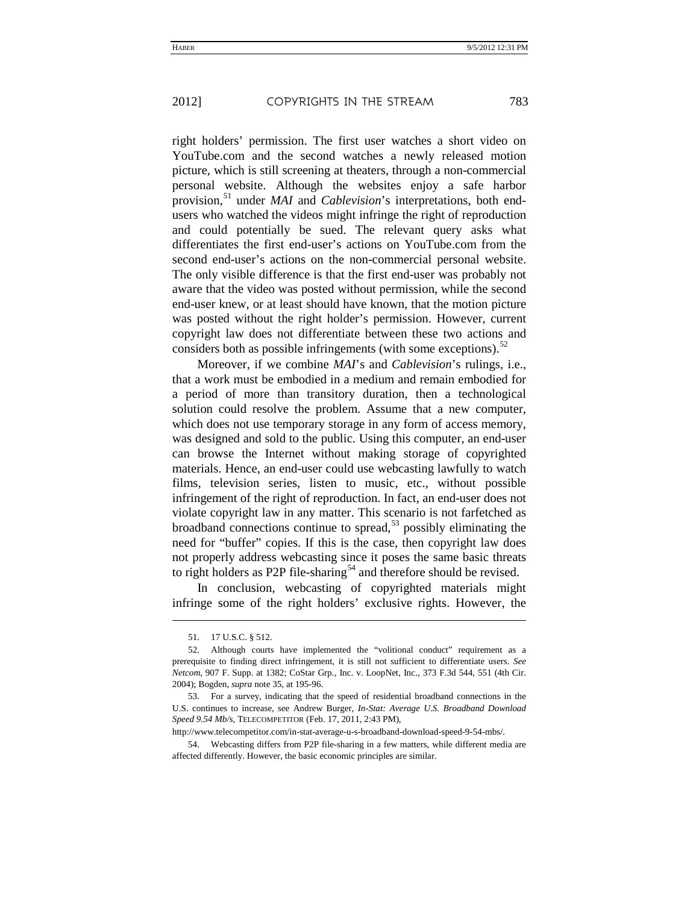right holders' permission. The first user watches a short video on YouTube.com and the second watches a newly released motion picture, which is still screening at theaters, through a non-commercial personal website. Although the websites enjoy a safe harbor provision,[51](#page-15-0) under *MAI* and *Cablevision*'s interpretations, both endusers who watched the videos might infringe the right of reproduction and could potentially be sued. The relevant query asks what differentiates the first end-user's actions on YouTube.com from the second end-user's actions on the non-commercial personal website. The only visible difference is that the first end-user was probably not aware that the video was posted without permission, while the second end-user knew, or at least should have known, that the motion picture was posted without the right holder's permission. However, current copyright law does not differentiate between these two actions and considers both as possible infringements (with some exceptions). $52$ 

Moreover, if we combine *MAI*'s and *Cablevision*'s rulings, i.e., that a work must be embodied in a medium and remain embodied for a period of more than transitory duration, then a technological solution could resolve the problem. Assume that a new computer, which does not use temporary storage in any form of access memory, was designed and sold to the public. Using this computer, an end-user can browse the Internet without making storage of copyrighted materials. Hence, an end-user could use webcasting lawfully to watch films, television series, listen to music, etc., without possible infringement of the right of reproduction. In fact, an end-user does not violate copyright law in any matter. This scenario is not farfetched as broadband connections continue to spread, $53$  possibly eliminating the need for "buffer" copies. If this is the case, then copyright law does not properly address webcasting since it poses the same basic threats to right holders as P2P file-sharing<sup>[54](#page-15-3)</sup> and therefore should be revised.

In conclusion, webcasting of copyrighted materials might infringe some of the right holders' exclusive rights. However, the

-

<sup>51.</sup> 17 U.S.C. § 512.

<span id="page-15-1"></span><span id="page-15-0"></span><sup>52.</sup> Although courts have implemented the "volitional conduct" requirement as a prerequisite to finding direct infringement, it is still not sufficient to differentiate users. *See Netcom*, 907 F. Supp. at 1382; CoStar Grp., Inc. v. LoopNet, Inc., 373 F.3d 544, 551 (4th Cir. 2004); Bogden, *supra* note [35,](#page-11-5) at 195-96.

<span id="page-15-2"></span><sup>53.</sup> For a survey, indicating that the speed of residential broadband connections in the U.S. continues to increase, see Andrew Burger, *In-Stat: Average U.S. [Broadband](http://www.telecompetitor.com/in-stat-average-u-s-broadband-download-speed-9-54-mbs/) Download [Speed](http://www.telecompetitor.com/in-stat-average-u-s-broadband-download-speed-9-54-mbs/) 9.54 Mb/s*, TELECOMPETITOR (Feb. 17, 2011, 2:43 PM),

http://www.telecompetitor.com/in-stat-average-u-s-broadband-download-speed-9-54-mbs/.

<span id="page-15-3"></span><sup>54.</sup> Webcasting differs from P2P file-sharing in a few matters, while different media are affected differently. However, the basic economic principles are similar.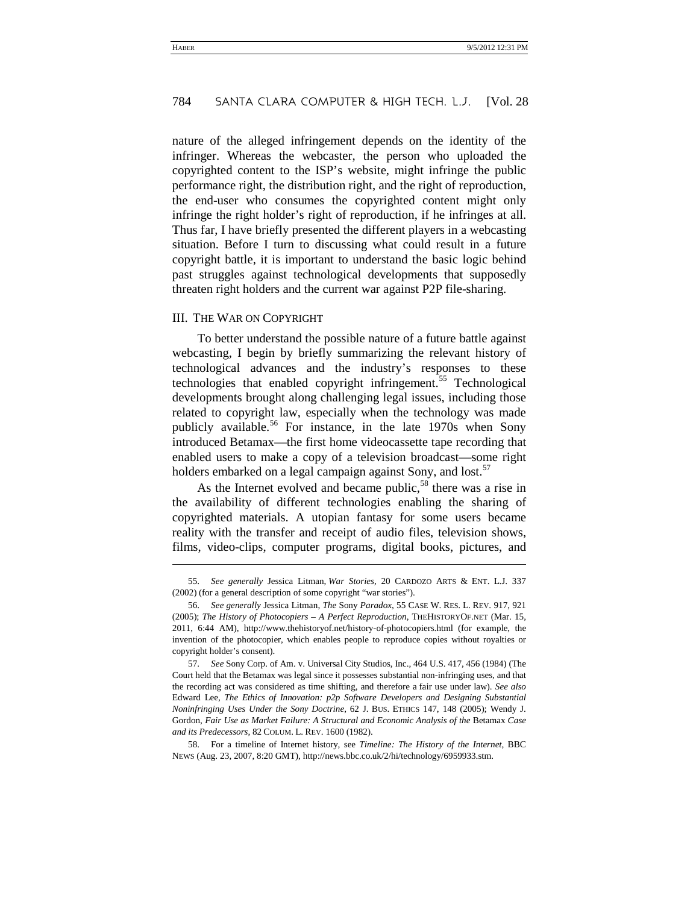nature of the alleged infringement depends on the identity of the infringer. Whereas the webcaster, the person who uploaded the copyrighted content to the ISP's website, might infringe the public performance right, the distribution right, and the right of reproduction, the end-user who consumes the copyrighted content might only infringe the right holder's right of reproduction, if he infringes at all. Thus far, I have briefly presented the different players in a webcasting situation. Before I turn to discussing what could result in a future copyright battle, it is important to understand the basic logic behind past struggles against technological developments that supposedly threaten right holders and the current war against P2P file-sharing.

#### III. THE WAR ON COPYRIGHT

j

To better understand the possible nature of a future battle against webcasting, I begin by briefly summarizing the relevant history of technological advances and the industry's responses to these technologies that enabled copyright infringement.<sup>[55](#page-16-0)</sup> Technological developments brought along challenging legal issues, including those related to copyright law, especially when the technology was made publicly available.<sup>[56](#page-16-1)</sup> For instance, in the late 1970s when Sony introduced Betamax—the first home videocassette tape recording that enabled users to make a copy of a television broadcast—some right holders embarked on a legal campaign against Sony, and lost.<sup>[57](#page-16-2)</sup>

<span id="page-16-4"></span>As the Internet evolved and became public,  $58$  there was a rise in the availability of different technologies enabling the sharing of copyrighted materials. A utopian fantasy for some users became reality with the transfer and receipt of audio files, television shows, films, video-clips, computer programs, digital books, pictures, and

<span id="page-16-0"></span><sup>55.</sup> *See generally* Jessica Litman, *War Stories*, 20 CARDOZO ARTS & ENT. L.J. 337 (2002) (for a general description of some copyright "war stories").

<span id="page-16-1"></span><sup>56.</sup> *See generally* Jessica Litman, *The* Sony *Paradox*, 55 CASE W. RES. L. REV. 917, 921 (2005); *The History of Photocopiers – A Perfect Reproduction*, THEHISTORYOF.NET (Mar. 15, 2011, 6:44 AM), http://www.thehistoryof.net/history-of-photocopiers.html (for example, the invention of the photocopier, which enables people to reproduce copies without royalties or copyright holder's consent).

<span id="page-16-2"></span><sup>57.</sup> *See* Sony Corp. of Am. v. Universal City Studios, Inc., 464 U.S. 417, 456 (1984) (The Court held that the Betamax was legal since it possesses substantial non-infringing uses, and that the recording act was considered as time shifting, and therefore a fair use under law). *See also* Edward Lee, *The Ethics of Innovation: p2p Software Developers and Designing Substantial Noninfringing Uses Under the Sony Doctrine*, 62 J. BUS. ETHICS 147, 148 (2005); Wendy J. Gordon, *Fair Use as Market Failure: A Structural and Economic Analysis of the* Betamax *Case and its Predecessors*, 82 COLUM. L. REV. 1600 (1982).

<span id="page-16-3"></span><sup>58.</sup> For a timeline of Internet history, see *Timeline: The History of the Internet*, BBC NEWS (Aug. 23, 2007, 8:20 GMT), http://news.bbc.co.uk/2/hi/technology/6959933.stm.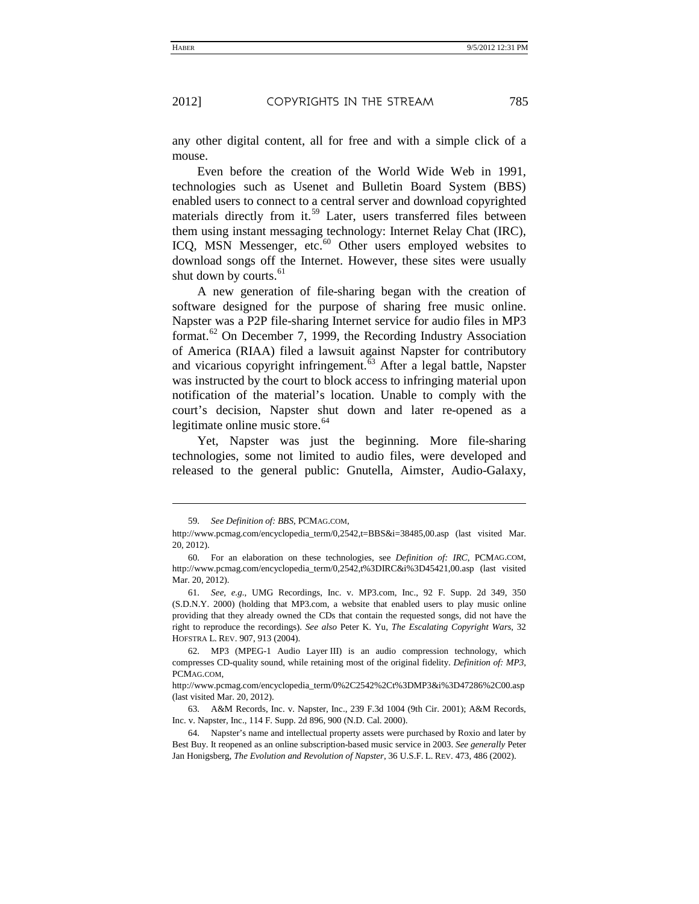any other digital content, all for free and with a simple click of a mouse.

Even before the creation of the World Wide Web in 1991, technologies such as Usenet and Bulletin Board System (BBS) enabled users to connect to a central server and download copyrighted materials directly from it.<sup>[59](#page-17-0)</sup> Later, users transferred files between them using instant messaging technology: Internet Relay Chat (IRC), ICQ, MSN Messenger, etc.<sup>[60](#page-17-1)</sup> Other users employed websites to download songs off the Internet. However, these sites were usually shut down by courts.<sup>[61](#page-17-2)</sup>

<span id="page-17-6"></span>A new generation of file-sharing began with the creation of software designed for the purpose of sharing free music online. Napster was a P2P file-sharing Internet service for audio files in MP3 format.<sup>[62](#page-17-3)</sup> On December 7, 1999, the Recording Industry Association of America (RIAA) filed a lawsuit against Napster for contributory and vicarious copyright infringement.<sup>[63](#page-17-4)</sup> After a legal battle, Napster was instructed by the court to block access to infringing material upon notification of the material's location. Unable to comply with the court's decision, Napster shut down and later re-opened as a legitimate online music store. $64$ 

Yet, Napster was just the beginning. More file-sharing technologies, some not limited to audio files, were developed and released to the general public: Gnutella, Aimster, Audio-Galaxy,

-

<sup>59.</sup> *See Definition of: BBS*, PCMAG.COM,

<span id="page-17-0"></span>http://www.pcmag.com/encyclopedia\_term/0,2542,t=BBS&i=38485,00.asp (last visited Mar. 20, 2012).

<span id="page-17-1"></span><sup>60.</sup> For an elaboration on these technologies, see *Definition of: IRC*, PCMAG.COM, http://www.pcmag.com/encyclopedia\_term/0,2542,t%3DIRC&i%3D45421,00.asp (last visited Mar. 20, 2012).

<span id="page-17-2"></span><sup>61.</sup> *See, e.g.*, UMG Recordings, Inc. v. MP3.com, Inc., 92 F. Supp. 2d 349, 350 (S.D.N.Y. 2000) (holding that MP3.com, a website that enabled users to play music online providing that they already owned the CDs that contain the requested songs, did not have the right to reproduce the recordings). *See also* Peter K. Yu, *The Escalating Copyright Wars*, 32 HOFSTRA L. REV. 907, 913 (2004).

<span id="page-17-3"></span><sup>62.</sup> MP3 (MPEG-1 Audio Layer III) is an audio compression technology, which compresses CD-quality sound, while retaining most of the original fidelity. *Definition of: MP3*, PCMAG.COM,

http://www.pcmag.com/encyclopedia\_term/0%2C2542%2Ct%3DMP3&i%3D47286%2C00.asp (last visited Mar. 20, 2012).

<span id="page-17-4"></span><sup>63.</sup> A&M Records, Inc. v. Napster, Inc., 239 F.3d 1004 (9th Cir. 2001); A&M Records, Inc. v. Napster, Inc., 114 F. Supp. 2d 896, 900 (N.D. Cal. 2000).

<span id="page-17-5"></span><sup>64.</sup> Napster's name and intellectual property assets were purchased by Roxio and later by Best Buy. It reopened as an online subscription-based music service in 2003. *See generally* Peter Jan Honigsberg, *The Evolution and Revolution of Napster*, 36 U.S.F. L. REV. 473, 486 (2002).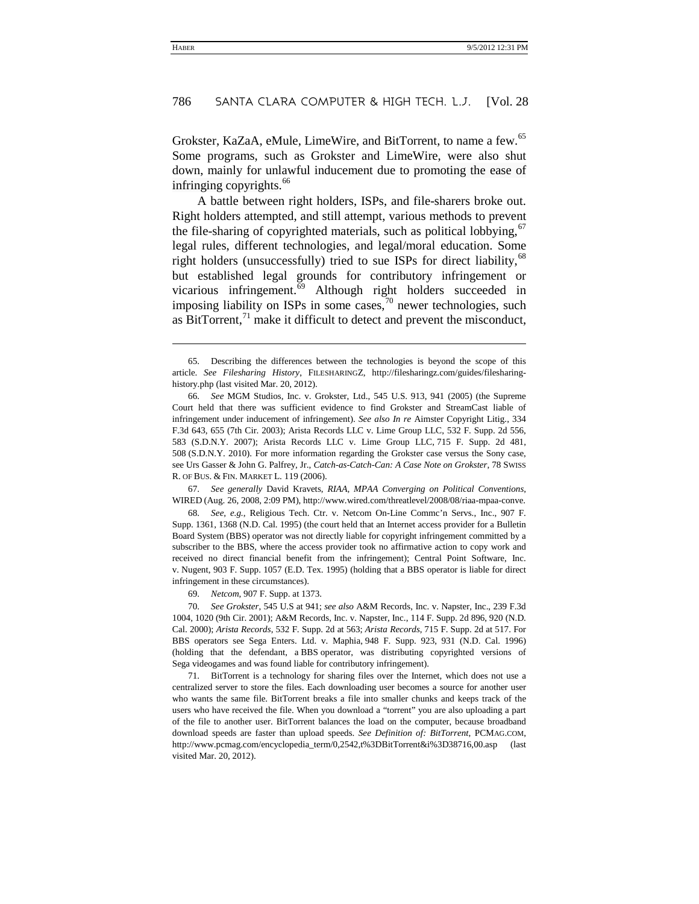Grokster, KaZaA, eMule, LimeWire, and BitTorrent, to name a few.<sup>[65](#page-18-0)</sup> Some programs, such as Grokster and LimeWire, were also shut down, mainly for unlawful inducement due to promoting the ease of infringing copyrights. [66](#page-18-1)

A battle between right holders, ISPs, and file-sharers broke out. Right holders attempted, and still attempt, various methods to prevent the file-sharing of copyrighted materials, such as political lobbying,  $67$ legal rules, different technologies, and legal/moral education. Some right holders (unsuccessfully) tried to sue ISPs for direct liability,  $^{68}$  $^{68}$  $^{68}$ but established legal grounds for contributory infringement or vicarious infringement.<sup>[69](#page-18-4)</sup> Although right holders succeeded in imposing liability on ISPs in some cases,  $\frac{1}{2}$ <sup>0</sup> newer technologies, such as BitTorrent, $^{71}$  $^{71}$  $^{71}$  make it difficult to detect and prevent the misconduct,

<span id="page-18-2"></span>67. *See generally* David Kravets, *RIAA, MPAA Converging on Political Conventions*, WIRED (Aug. 26, 2008, 2:09 PM), http://www.wired.com/threatlevel/2008/08/riaa-mpaa-conve.

<span id="page-18-3"></span>68. *See, e.g.*, Religious Tech. Ctr. v. Netcom On-Line Commc'n Servs., Inc., 907 F. Supp. 1361, 1368 (N.D. Cal. 1995) (the court held that an Internet access provider for a Bulletin Board System (BBS) operator was not directly liable for copyright infringement committed by a subscriber to the BBS, where the access provider took no affirmative action to copy work and received no direct financial benefit from the infringement); Central Point Software, Inc. v. Nugent, 903 F. Supp. 1057 (E.D. Tex. 1995) (holding that a BBS operator is liable for direct infringement in these circumstances).

69. *Netcom*, 907 F. Supp. at 1373.

l

<span id="page-18-5"></span><span id="page-18-4"></span>70. *See Grokster*, 545 U.S at 941; *see also* A&M Records, Inc. v. Napster, Inc., 239 F.3d 1004, 1020 (9th Cir. 2001); A&M Records, Inc. v. Napster, Inc., 114 F. Supp. 2d 896, 920 (N.D. Cal. 2000); *Arista Records*, 532 F. Supp. 2d at 563; *Arista Records*, 715 F. Supp. 2d at 517. For BBS operators see Sega Enters. Ltd. v. Maphia, 948 F. Supp. 923, 931 (N.D. Cal. 1996) (holding that the defendant, a BBS operator, was distributing copyrighted versions of Sega videogames and was found liable for contributory infringement).

<span id="page-18-6"></span>71. BitTorrent is a technology for sharing files over the Internet, which does not use a centralized server to store the files. Each downloading user becomes a source for another user who wants the same file. BitTorrent breaks a file into smaller chunks and keeps track of the users who have received the file. When you download a "torrent" you are also uploading a part of the file to another user. BitTorrent balances the load on the computer, because broadband download speeds are faster than upload speeds. *See Definition of: BitTorrent*, PCMAG.COM, http://www.pcmag.com/encyclopedia\_term/0,2542,t%3DBitTorrent&i%3D38716,00.asp (last visited Mar. 20, 2012).

<span id="page-18-0"></span><sup>65.</sup> Describing the differences between the technologies is beyond the scope of this article. *See Filesharing History*, FILESHARINGZ, http://filesharingz.com/guides/filesharinghistory.php (last visited Mar. 20, 2012).

<span id="page-18-1"></span><sup>66.</sup> *See* MGM Studios, Inc. v. Grokster, Ltd., 545 U.S. 913, 941 (2005) (the Supreme Court held that there was sufficient evidence to find Grokster and StreamCast liable of infringement under inducement of infringement). *See also In re* Aimster Copyright Litig., 334 F.3d 643, 655 (7th Cir. 2003); Arista Records LLC v. Lime Group LLC, 532 F. Supp. 2d 556, 583 (S.D.N.Y. 2007); Arista Records LLC v. Lime Group LLC, 715 F. Supp. 2d 481, 508 (S.D.N.Y. 2010). For more information regarding the Grokster case versus the Sony case, see Urs Gasser & John G. Palfrey, Jr., *Catch-as-Catch-Can: A Case Note on Grokster*, 78 SWISS R. OF BUS. & FIN. MARKET L. 119 (2006).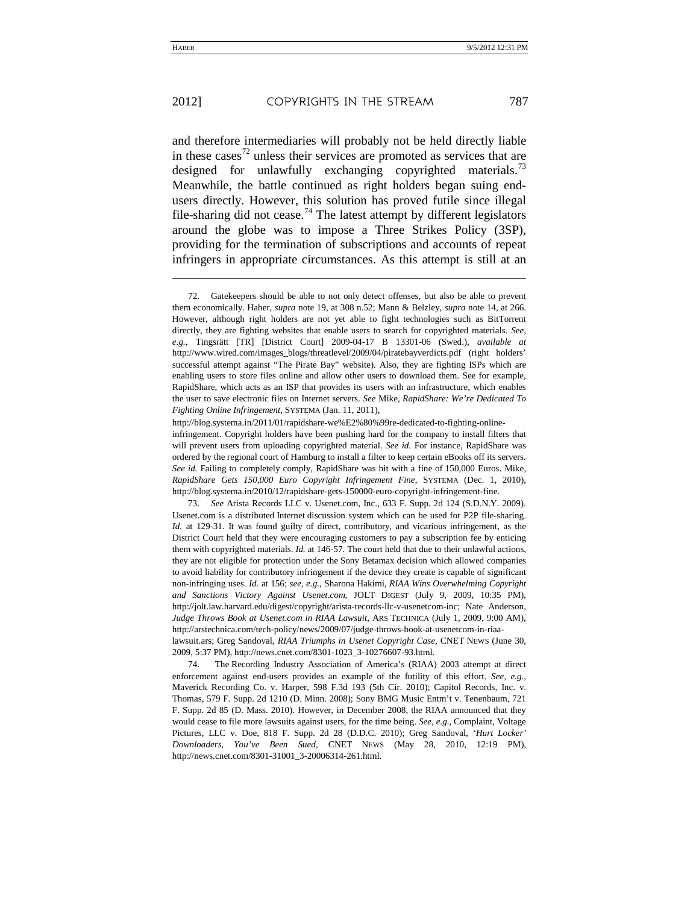l

and therefore intermediaries will probably not be held directly liable in these cases<sup>[72](#page-19-0)</sup> unless their services are promoted as services that are designed for unlawfully exchanging copyrighted materials.<sup>[73](#page-19-1)</sup> Meanwhile, the battle continued as right holders began suing endusers directly. However, this solution has proved futile since illegal file-sharing did not cease.<sup>[74](#page-19-2)</sup> The latest attempt by different legislators around the globe was to impose a Three Strikes Policy (3SP), providing for the termination of subscriptions and accounts of repeat infringers in appropriate circumstances. As this attempt is still at an

http://blog.systema.in/2011/01/rapidshare-we%E2%80%99re-dedicated-to-fighting-online-

infringement. Copyright holders have been pushing hard for the company to install filters that will prevent users from uploading copyrighted material. *See id.* For instance, RapidShare was ordered by the regional court of Hamburg to install a filter to keep certain eBooks off its servers. *See id.* Failing to completely comply, RapidShare was hit with a fine of 150,000 Euros. Mike, *RapidShare Gets 150,000 Euro Copyright Infringement Fine*, SYSTEMA (Dec. 1, 2010), http://blog.systema.in/2010/12/rapidshare-gets-150000-euro-copyright-infringement-fine.

<span id="page-19-1"></span>73. *See* Arista Records LLC v. Usenet.com, Inc., 633 F. Supp. 2d 124 (S.D.N.Y. 2009). Usenet.com is a distributed Internet discussion system which can be used for P2P file-sharing. *Id.* at 129-31. It was found guilty of direct, contributory, and vicarious infringement, as the District Court held that they were encouraging customers to pay a subscription fee by enticing them with copyrighted materials. *Id.* at 146-57. The court held that due to their unlawful actions, they are not eligible for protection under the Sony Betamax decision which allowed companies to avoid liability for contributory infringement if the device they create is capable of significant non-infringing uses. *Id.* at 156; *see, e.g.*, Sharona Hakimi, *RIAA Wins Overwhelming Copyright and Sanctions Victory Against Usenet*.*com*, JOLT DIGEST (July 9, 2009, 10:35 PM), http://jolt.law.harvard.edu/digest/copyright/arista-records-llc-v-usenetcom-inc; Nate Anderson, *Judge Throws Book at Usenet*.*com in RIAA Lawsuit*, ARS TECHNICA (July 1, 2009, 9:00 AM), http://arstechnica.com/tech-policy/news/2009/07/judge-throws-book-at-usenetcom-in-riaalawsuit.ars; Greg Sandoval, *RIAA Triumphs in Usenet Copyright Case*, CNET NEWS (June 30, 2009, 5:37 PM), http://news.cnet.com/8301-1023\_3-10276607-93.html.

<span id="page-19-2"></span>74. The Recording Industry Association of America's (RIAA) 2003 attempt at direct enforcement against end-users provides an example of the futility of this effort. *See, e.g.*, Maverick Recording Co. v. Harper, 598 F.3d 193 (5th Cir. 2010); Capitol Records, Inc. v. Thomas, 579 F. Supp. 2d 1210 (D. Minn. 2008); Sony BMG Music Entm't v. Tenenbaum, 721 F. Supp. 2d 85 (D. Mass. 2010). However, in December 2008, the RIAA announced that they would cease to file more lawsuits against users, for the time being. *See, e.g.*, Complaint, Voltage Pictures, LLC v. Doe, 818 F. Supp. 2d 28 (D.D.C. 2010); Greg Sandoval, *'Hurt Locker' Downloaders, You've Been Sued*, CNET NEWS (May 28, 2010, 12:19 PM), http://news.cnet.com/8301-31001\_3-20006314-261.html.

<span id="page-19-0"></span><sup>72.</sup> Gatekeepers should be able to not only detect offenses, but also be able to prevent them economically. Haber, *supra* not[e 19,](#page-7-3) at 308 n.52; Mann & Belzley, *supra* not[e 14,](#page-6-4) at 266. However, although right holders are not yet able to fight technologies such as BitTorrent directly, they are fighting websites that enable users to search for copyrighted materials. *See, e.g.*, Tingsrätt [TR] [District Court] 2009-04-17 B 13301-06 (Swed.), *available at* http://www.wired.com/images\_blogs/threatlevel/2009/04/piratebayverdicts.pdf (right holders' successful attempt against "The Pirate Bay" website). Also, they are fighting ISPs which are enabling users to store files online and allow other users to download them. See for example, RapidShare, which acts as an ISP that provides its users with an infrastructure, which enables the user to save electronic files on Internet servers. *See* Mike, *RapidShare: We're Dedicated To Fighting Online Infringement*, SYSTEMA (Jan. 11, 2011),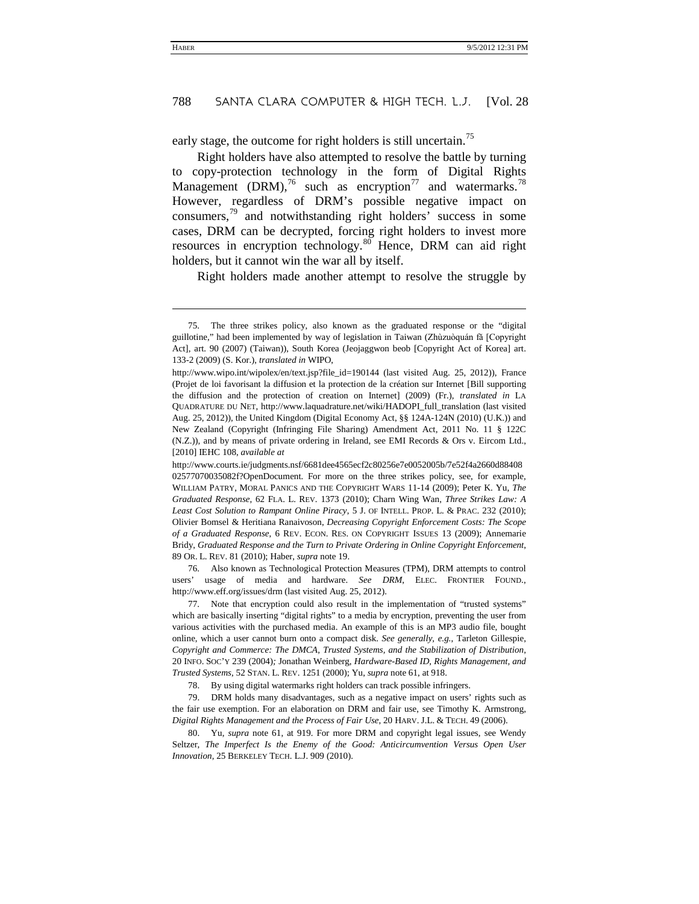early stage, the outcome for right holders is still uncertain.<sup>[75](#page-20-0)</sup>

<span id="page-20-6"></span>Right holders have also attempted to resolve the battle by turning to copy-protection technology in the form of Digital Rights Management (DRM),<sup>[76](#page-20-1)</sup> such as encryption<sup>[77](#page-20-2)</sup> and watermarks.<sup>[78](#page-20-3)</sup> However, regardless of DRM's possible negative impact on consumers,[79](#page-20-4) and notwithstanding right holders' success in some cases, DRM can be decrypted, forcing right holders to invest more resources in encryption technology.<sup>[80](#page-20-5)</sup> Hence, DRM can aid right holders, but it cannot win the war all by itself.

Right holders made another attempt to resolve the struggle by

-

<span id="page-20-1"></span>76. Also known as Technological Protection Measures (TPM), DRM attempts to control users' usage of media and hardware. *See DRM*, ELEC. FRONTIER FOUND., http://www.eff.org/issues/drm (last visited Aug. 25, 2012).

<span id="page-20-2"></span>77. Note that encryption could also result in the implementation of "trusted systems" which are basically inserting "digital rights" to a media by encryption, preventing the user from various activities with the purchased media. An example of this is an MP3 audio file, bought online, which a user cannot burn onto a compact disk. *See generally, e.g.*, Tarleton Gillespie, *Copyright and Commerce: The DMCA, Trusted Systems, and the Stabilization of Distribution*, 20 INFO. SOC'Y 239 (2004)*;* Jonathan Weinberg, *Hardware-Based ID, Rights Management, and Trusted Systems*, 52 STAN. L. REV. 1251 (2000); Yu, *supra* not[e 61,](#page-17-6) at 918.

78. By using digital watermarks right holders can track possible infringers.

<span id="page-20-4"></span><span id="page-20-3"></span>79. DRM holds many disadvantages, such as a negative impact on users' rights such as the fair use exemption. For an elaboration on DRM and fair use, see Timothy K. Armstrong, *Digital Rights Management and the Process of Fair Use*, 20 HARV. J.L. & TECH. 49 (2006).

<span id="page-20-5"></span>80. Yu, *supra* note [61,](#page-17-6) at 919. For more DRM and copyright legal issues, see Wendy Seltzer, *The Imperfect Is the Enemy of the Good: Anticircumvention Versus Open User Innovation*, 25 BERKELEY TECH. L.J. 909 (2010).

<span id="page-20-0"></span><sup>75.</sup> The three strikes policy, also known as the graduated response or the "digital guillotine," had been implemented by way of legislation in Taiwan (Zhùzuòquán fǎ [Copyright Act], art. 90 (2007) (Taiwan)), South Korea (Jeojaggwon beob [Copyright Act of Korea] art. 133-2 (2009) (S. Kor.), *translated in* WIPO,

http://www.wipo.int/wipolex/en/text.jsp?file\_id=190144 (last visited Aug. 25, 2012)), France (Projet de loi favorisant la diffusion et la protection de la création sur Internet [Bill supporting the diffusion and the protection of creation on Internet] (2009) (Fr.), *translated in* LA QUADRATURE DU NET, http://www.laquadrature.net/wiki/HADOPI\_full\_translation (last visited Aug. 25, 2012)), the United Kingdom (Digital Economy Act, §§ 124A-124N (2010) (U.K.)) and New Zealand (Copyright (Infringing File Sharing) Amendment Act, 2011 No. 11 § 122C (N.Z.)), and by means of private ordering in Ireland, see EMI Records & Ors v. Eircom Ltd., [2010] IEHC 108, *available at*

http://www.courts.ie/judgments.nsf/6681dee4565ecf2c80256e7e0052005b/7e52f4a2660d88408 02577070035082f?OpenDocument. For more on the three strikes policy, see, for example, WILLIAM PATRY, MORAL PANICS AND THE COPYRIGHT WARS 11-14 (2009); Peter K. Yu, *The Graduated Response*, 62 FLA. L. REV. 1373 (2010); Charn Wing Wan, *Three Strikes Law: A Least Cost Solution to Rampant Online Piracy*, 5 J. OF INTELL. PROP. L. & PRAC. 232 (2010); Olivier Bomsel & Heritiana Ranaivoson, *Decreasing Copyright Enforcement Costs: The Scope of a Graduated Response*, 6 REV. ECON. RES. ON COPYRIGHT ISSUES 13 (2009); Annemarie Bridy, *Graduated Response and the Turn to Private Ordering in Online Copyright Enforcement*, 89 OR. L. REV. 81 (2010); Haber, *supra* not[e 19.](#page-7-3)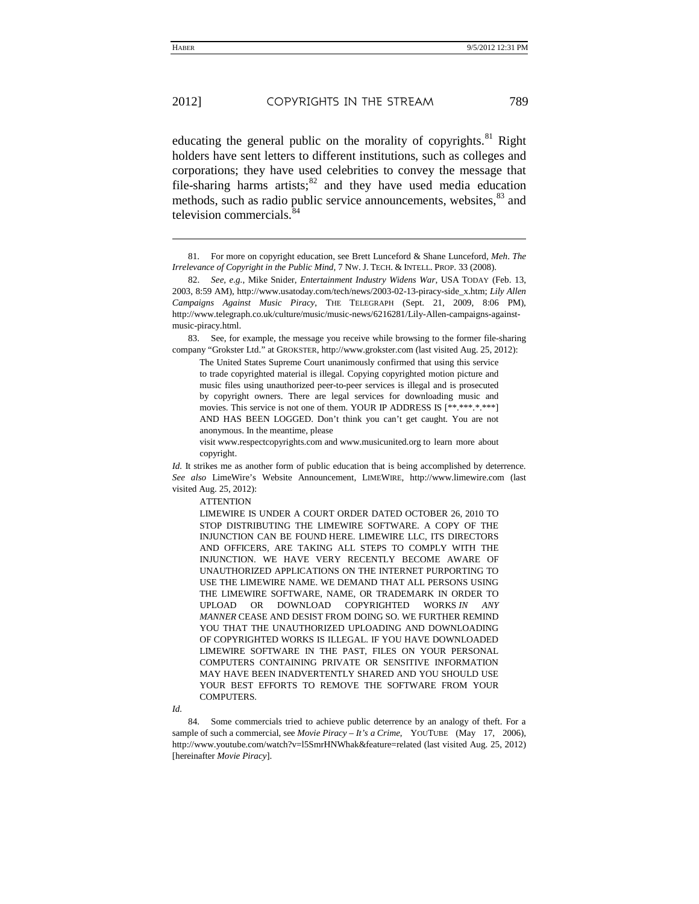<span id="page-21-4"></span>j

educating the general public on the morality of copyrights.<sup>[81](#page-21-0)</sup> Right holders have sent letters to different institutions, such as colleges and corporations; they have used celebrities to convey the message that file-sharing harms artists; $82$  and they have used media education methods, such as radio public service announcements, websites,<sup>[83](#page-21-2)</sup> and television commercials. $\frac{8}{3}$ 

<span id="page-21-2"></span>83. See, for example, the message you receive while browsing to the former file-sharing company "Grokster Ltd." at GROKSTER, http://www.grokster.com (last visited Aug. 25, 2012):

The United States Supreme Court unanimously confirmed that using this service to trade copyrighted material is illegal. Copying copyrighted motion picture and music files using unauthorized peer-to-peer services is illegal and is prosecuted by copyright owners. There are legal services for downloading music and movies. This service is not one of them. YOUR IP ADDRESS IS [\*\*.\*\*\*\*\*\*\*\*] AND HAS BEEN LOGGED. Don't think you can't get caught. You are not anonymous. In the meantime, please

visit www.respectcopyrights.com and www.musicunited.org to learn more about copyright.

*Id.* It strikes me as another form of public education that is being accomplished by deterrence. *See also* LimeWire's Website Announcement, LIMEWIRE, http://www.limewire.com (last visited Aug. 25, 2012):

**ATTENTION** 

LIMEWIRE IS UNDER A COURT ORDER DATED OCTOBER 26, 2010 TO STOP DISTRIBUTING THE LIMEWIRE SOFTWARE. A COPY OF THE INJUNCTION CAN BE FOUND [HERE.](http://download.limewire.com/injunction/Injunction.pdf) LIMEWIRE LLC, ITS DIRECTORS AND OFFICERS, ARE TAKING ALL STEPS TO COMPLY WITH THE INJUNCTION. WE HAVE VERY RECENTLY BECOME AWARE OF UNAUTHORIZED APPLICATIONS ON THE INTERNET PURPORTING TO USE THE LIMEWIRE NAME. WE DEMAND THAT ALL PERSONS USING THE LIMEWIRE SOFTWARE, NAME, OR TRADEMARK IN ORDER TO UPLOAD OR DOWNLOAD COPYRIGHTED WORKS *IN ANY MANNER* CEASE AND DESIST FROM DOING SO. WE FURTHER REMIND YOU THAT THE UNAUTHORIZED UPLOADING AND DOWNLOADING OF COPYRIGHTED WORKS IS ILLEGAL. IF YOU HAVE DOWNLOADED LIMEWIRE SOFTWARE IN THE PAST, FILES ON YOUR PERSONAL COMPUTERS CONTAINING PRIVATE OR SENSITIVE INFORMATION MAY HAVE BEEN INADVERTENTLY SHARED AND YOU SHOULD USE YOUR BEST EFFORTS TO REMOVE THE SOFTWARE FROM YOUR COMPUTERS.

*Id.*

<span id="page-21-3"></span>84. Some commercials tried to achieve public deterrence by an analogy of theft. For a sample of such a commercial, see *Movie Piracy – It's a Crime*, YOUTUBE (May 17, 2006), http://www.youtube.com/watch?v=l5SmrHNWhak&feature=related (last visited Aug. 25, 2012) [hereinafter *Movie Piracy*].

<span id="page-21-0"></span><sup>81.</sup> For more on copyright education, see Brett Lunceford & Shane Lunceford, *Meh*. *The Irrelevance of Copyright in the Public Mind*, 7 NW. J. TECH. & INTELL. PROP. 33 (2008).

<span id="page-21-1"></span><sup>82.</sup> *See, e.g.*, Mike Snider, *Entertainment Industry Widens War*, USA TODAY (Feb. 13, 2003, 8:59 AM), http://www.usatoday.com/tech/news/2003-02-13-piracy-side\_x.htm; *Lily Allen Campaigns Against Music Piracy*, THE TELEGRAPH (Sept. 21, 2009, 8:06 PM), http://www.telegraph.co.uk/culture/music/music-news/6216281/Lily-Allen-campaigns-againstmusic-piracy.html.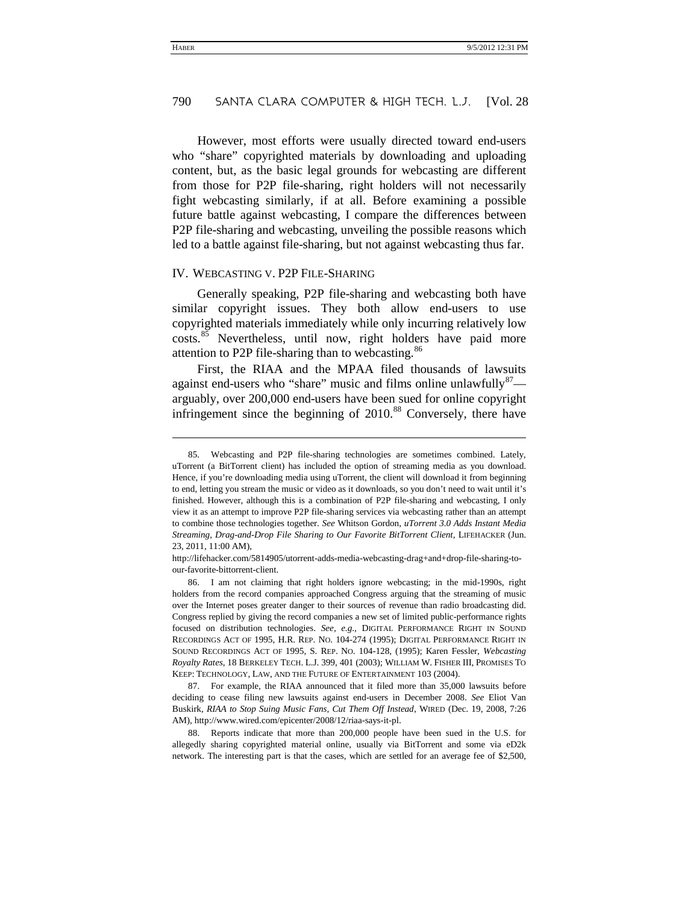However, most efforts were usually directed toward end-users who "share" copyrighted materials by downloading and uploading content, but, as the basic legal grounds for webcasting are different from those for P2P file-sharing, right holders will not necessarily fight webcasting similarly, if at all. Before examining a possible future battle against webcasting, I compare the differences between P2P file-sharing and webcasting, unveiling the possible reasons which led to a battle against file-sharing, but not against webcasting thus far.

#### IV. WEBCASTING V. P2P FILE-SHARING

<span id="page-22-4"></span>j

Generally speaking, P2P file-sharing and webcasting both have similar copyright issues. They both allow end-users to use copyrighted materials immediately while only incurring relatively low costs.<sup>[85](#page-22-0)</sup> Nevertheless, until now, right holders have paid more attention to P2P file-sharing than to webcasting.<sup>[86](#page-22-1)</sup>

<span id="page-22-5"></span>First, the RIAA and the MPAA filed thousands of lawsuits against end-users who "share" music and films online unlawfully  $87$ arguably, over 200,000 end-users have been sued for online copyright infringement since the beginning of  $2010$ .<sup>[88](#page-22-3)</sup> Conversely, there have

http://lifehacker.com/5814905/utorrent-adds-media-webcasting-drag+and+drop-file-sharing-toour-favorite-bittorrent-client.

<span id="page-22-1"></span>86. I am not claiming that right holders ignore webcasting; in the mid-1990s, right holders from the record companies approached Congress arguing that the streaming of music over the Internet poses greater danger to their sources of revenue than radio broadcasting did. Congress replied by giving the record companies a new set of limited public-performance rights focused on distribution technologies. *See, e.g.*, DIGITAL PERFORMANCE RIGHT IN SOUND RECORDINGS ACT OF 1995, H.R. REP. NO. 104-274 (1995); DIGITAL PERFORMANCE RIGHT IN SOUND RECORDINGS ACT OF 1995, S. REP. NO. 104-128, (1995); Karen Fessler, *Webcasting Royalty Rates*, 18 BERKELEY TECH. L.J. 399, 401 (2003); WILLIAM W. FISHER III, PROMISES TO KEEP: TECHNOLOGY, LAW, AND THE FUTURE OF ENTERTAINMENT 103 (2004).

<span id="page-22-2"></span>87. For example, the RIAA announced that it filed more than 35,000 lawsuits before deciding to cease filing new lawsuits against end-users in December 2008. *See* Eliot Van Buskirk, *RIAA to Stop Suing Music Fans, Cut Them Off Instead*, WIRED (Dec. 19, 2008, 7:26 AM), http://www.wired.com/epicenter/2008/12/riaa-says-it-pl.

<span id="page-22-3"></span>88. Reports indicate that more than 200,000 people have been sued in the U.S. for allegedly sharing copyrighted material online, usually via BitTorrent and some via eD2k network. The interesting part is that the cases, which are settled for an average fee of \$2,500,

<span id="page-22-0"></span><sup>85.</sup> Webcasting and P2P file-sharing technologies are sometimes combined. Lately, uTorrent (a BitTorrent client) has included the option of streaming media as you download. Hence, if you're downloading media using uTorrent, the client will download it from beginning to end, letting you stream the music or video as it downloads, so you don't need to wait until it's finished. However, although this is a combination of P2P file-sharing and webcasting, I only view it as an attempt to improve P2P file-sharing services via webcasting rather than an attempt to combine those technologies together. *See* Whitson Gordon, *uTorrent 3.0 Adds Instant Media Streaming, Drag-and-Drop File Sharing to Our Favorite BitTorrent Client*, LIFEHACKER (Jun. 23, 2011, 11:00 AM),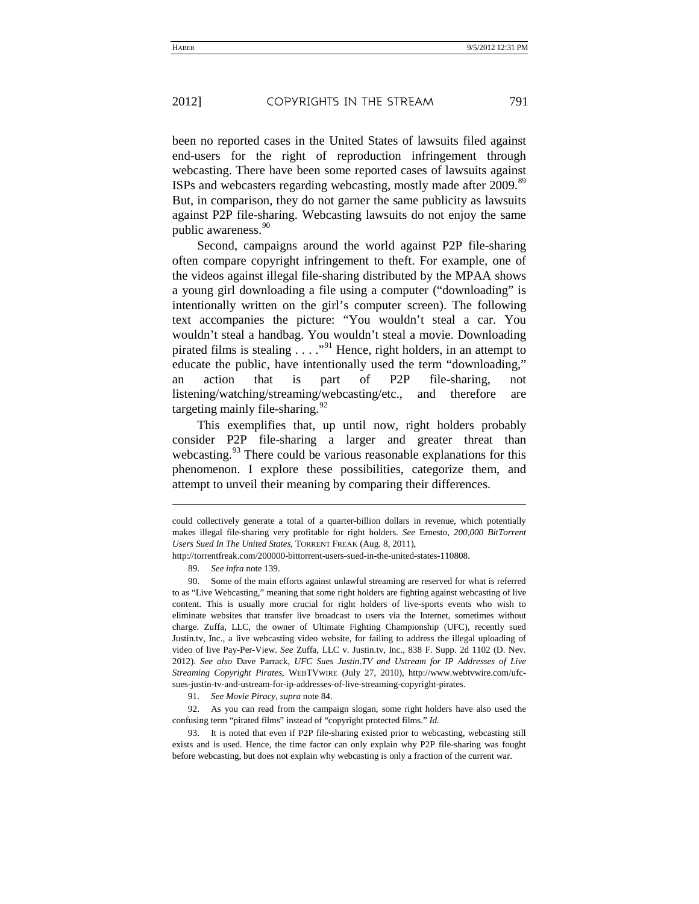been no reported cases in the United States of lawsuits filed against end-users for the right of reproduction infringement through webcasting. There have been some reported cases of lawsuits against ISPs and webcasters regarding webcasting, mostly made after 2009.[89](#page-23-0) But, in comparison, they do not garner the same publicity as lawsuits against P2P file-sharing. Webcasting lawsuits do not enjoy the same public awareness.<sup>[90](#page-23-1)</sup>

Second, campaigns around the world against P2P file-sharing often compare copyright infringement to theft. For example, one of the videos against illegal file-sharing distributed by the MPAA shows a young girl downloading a file using a computer ("downloading" is intentionally written on the girl's computer screen). The following text accompanies the picture: "You wouldn't steal a car. You wouldn't steal a handbag. You wouldn't steal a movie. Downloading pirated films is stealing  $\ldots$  ."<sup>[91](#page-23-2)</sup> Hence, right holders, in an attempt to educate the public, have intentionally used the term "downloading," an action that is part of P2P file-sharing, not listening/watching/streaming/webcasting/etc., and therefore are targeting mainly file-sharing.<sup>[92](#page-23-3)</sup>

This exemplifies that, up until now, right holders probably consider P2P file-sharing a larger and greater threat than webcasting.<sup>[93](#page-23-4)</sup> There could be various reasonable explanations for this phenomenon. I explore these possibilities, categorize them, and attempt to unveil their meaning by comparing their differences.

l

91. *See Movie Piracy*, *supra* not[e 84.](#page-21-4)

<span id="page-23-3"></span><span id="page-23-2"></span>92. As you can read from the campaign slogan, some right holders have also used the confusing term "pirated films" instead of "copyright protected films." *Id.*

<span id="page-23-4"></span>93. It is noted that even if P2P file-sharing existed prior to webcasting, webcasting still exists and is used. Hence, the time factor can only explain why P2P file-sharing was fought before webcasting, but does not explain why webcasting is only a fraction of the current war.

could collectively generate a total of a quarter-billion dollars in revenue, which potentially makes illegal file-sharing very profitable for right holders. *See* Ernesto, *200,000 BitTorrent Users Sued In The United States*, TORRENT FREAK (Aug. 8, 2011),

<span id="page-23-0"></span>http://torrentfreak.com/200000-bittorrent-users-sued-in-the-united-states-110808.

<sup>89.</sup> *See infra* not[e 139.](#page-34-0)

<span id="page-23-1"></span><sup>90.</sup> Some of the main efforts against unlawful streaming are reserved for what is referred to as "Live Webcasting," meaning that some right holders are fighting against webcasting of live content. This is usually more crucial for right holders of live-sports events who wish to eliminate websites that transfer live broadcast to users via the Internet, sometimes without charge. Zuffa, LLC, the owner of Ultimate Fighting Championship (UFC), recently sued Justin.tv, Inc., a live webcasting video website, for failing to address the illegal uploading of video of live Pay-Per-View. *See* Zuffa, LLC v. Justin.tv, Inc., 838 F. Supp. 2d 1102 (D. Nev. 2012). *See also* Dave Parrack, *UFC Sues Justin*.*TV and Ustream for IP Addresses of Live Streaming Copyright Pirates*, WEBTVWIRE (July 27, 2010), http://www.webtvwire.com/ufcsues-justin-tv-and-ustream-for-ip-addresses-of-live-streaming-copyright-pirates.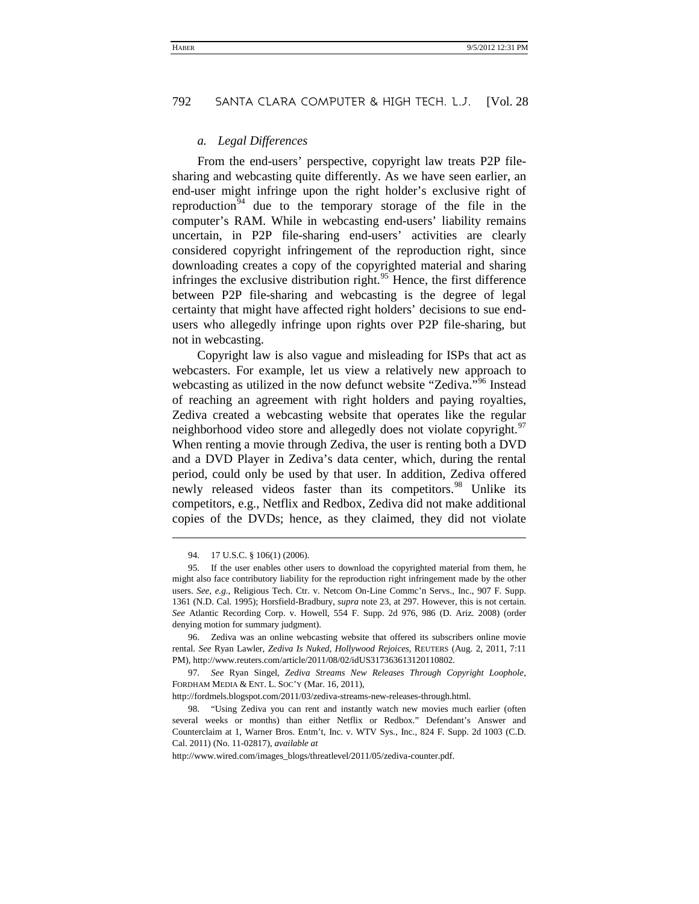#### *a. Legal Differences*

From the end-users' perspective, copyright law treats P2P filesharing and webcasting quite differently. As we have seen earlier, an end-user might infringe upon the right holder's exclusive right of reproduction<sup>[94](#page-24-0)</sup> due to the temporary storage of the file in the computer's RAM. While in webcasting end-users' liability remains uncertain, in P2P file-sharing end-users' activities are clearly considered copyright infringement of the reproduction right, since downloading creates a copy of the copyrighted material and sharing infringes the exclusive distribution right.<sup>[95](#page-24-1)</sup> Hence, the first difference between P2P file-sharing and webcasting is the degree of legal certainty that might have affected right holders' decisions to sue endusers who allegedly infringe upon rights over P2P file-sharing, but not in webcasting.

Copyright law is also vague and misleading for ISPs that act as webcasters. For example, let us view a relatively new approach to webcasting as utilized in the now defunct website "Zediva."<sup>[96](#page-24-2)</sup> Instead of reaching an agreement with right holders and paying royalties, Zediva created a webcasting website that operates like the regular neighborhood video store and allegedly does not violate copyright.<sup>[97](#page-24-3)</sup> When renting a movie through Zediva, the user is renting both a DVD and a DVD Player in Zediva's data center, which, during the rental period, could only be used by that user. In addition, Zediva offered newly released videos faster than its competitors.<sup>[98](#page-24-4)</sup> Unlike its competitors, e.g., Netflix and Redbox, Zediva did not make additional copies of the DVDs; hence, as they claimed, they did not violate

-

<span id="page-24-2"></span>96. Zediva was an online webcasting website that offered its subscribers online movie rental. *See* Ryan Lawler, *Zediva Is Nuked, Hollywood Rejoices*, REUTERS (Aug. 2, 2011, 7:11 PM), http://www.reuters.com/article/2011/08/02/idUS317363613120110802.

<span id="page-24-3"></span>97. *See* Ryan Singel, *Zediva Streams New Releases Through Copyright Loophole*, FORDHAM MEDIA & ENT. L. SOC'Y (Mar. 16, 2011),

http://fordmels.blogspot.com/2011/03/zediva-streams-new-releases-through.html.

<sup>94. 17</sup> U.S.C. § 106(1) (2006).

<span id="page-24-1"></span><span id="page-24-0"></span><sup>95.</sup> If the user enables other users to download the copyrighted material from them, he might also face contributory liability for the reproduction right infringement made by the other users. *See, e.g.*, Religious Tech. Ctr. v. Netcom On-Line Commc'n Servs., Inc., 907 F. Supp. 1361 (N.D. Cal. 1995); Horsfield-Bradbury, *supra* not[e 23,](#page-8-4) at 297. However, this is not certain. *See* Atlantic Recording Corp. v. Howell, 554 F. Supp. 2d 976, 986 (D. Ariz. 2008) (order denying motion for summary judgment).

<span id="page-24-4"></span><sup>98.</sup> "Using Zediva you can rent and instantly watch new movies much earlier (often several weeks or months) than either Netflix or Redbox." Defendant's Answer and Counterclaim at 1, Warner Bros. Entm't, Inc. v. WTV Sys., Inc., 824 F. Supp. 2d 1003 (C.D. Cal. 2011) (No. 11-02817), *available at*

http://www.wired.com/images\_blogs/threatlevel/2011/05/zediva-counter.pdf.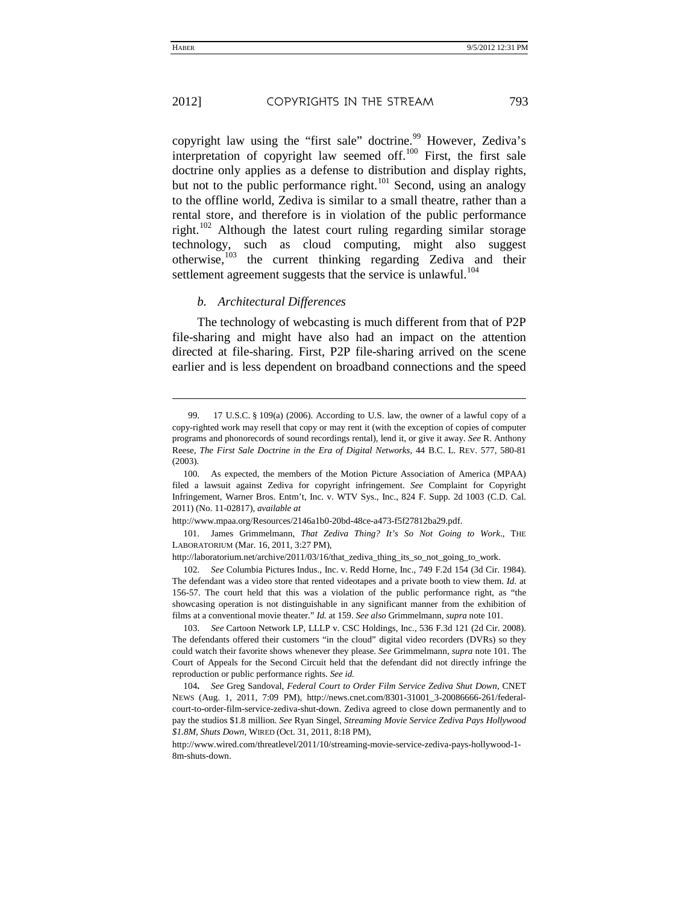l

copyright law using the "first sale" doctrine.<sup>[99](#page-25-0)</sup> However, Zediva's interpretation of copyright law seemed off. $100$  First, the first sale doctrine only applies as a defense to distribution and display rights, but not to the public performance right.<sup>[101](#page-25-2)</sup> Second, using an analogy to the offline world, Zediva is similar to a small theatre, rather than a rental store, and therefore is in violation of the public performance right.<sup>[102](#page-25-3)</sup> Although the latest court ruling regarding similar storage technology, such as cloud computing, might also suggest otherwise, $103$  the current thinking regarding Zediva and their settlement agreement suggests that the service is unlawful.<sup>[104](#page-25-5)</sup>

#### *b. Architectural Differences*

The technology of webcasting is much different from that of P2P file-sharing and might have also had an impact on the attention directed at file-sharing. First, P2P file-sharing arrived on the scene earlier and is less dependent on broadband connections and the speed

http://www.mpaa.org/Resources/2146a1b0-20bd-48ce-a473-f5f27812ba29.pdf.

<span id="page-25-2"></span>101. James Grimmelmann, *That Zediva Thing? It's So Not Going to Work*., THE LABORATORIUM (Mar. 16, 2011, 3:27 PM),

http://laboratorium.net/archive/2011/03/16/that\_zediva\_thing\_its\_so\_not\_going\_to\_work.

<span id="page-25-3"></span>102. *See* Columbia Pictures Indus., Inc. v. Redd Horne, Inc., 749 F.2d 154 (3d Cir. 1984). The defendant was a video store that rented videotapes and a private booth to view them. *Id.* at 156-57. The court held that this was a violation of the public performance right, as "the showcasing operation is not distinguishable in any significant manner from the exhibition of films at a conventional movie theater." *Id.* at 159. *See also* Grimmelmann, *supra* note 101.

<span id="page-25-4"></span>103. *See* Cartoon Network LP, LLLP v. CSC Holdings, Inc., 536 F.3d 121 (2d Cir. 2008). The defendants offered their customers "in the cloud" digital video recorders (DVRs) so they could watch their favorite shows whenever they please. *See* Grimmelmann, *supra* note 101. The Court of Appeals for the Second Circuit held that the defendant did not directly infringe the reproduction or public performance rights. *See id.*

<span id="page-25-5"></span>104**.** *See* Greg Sandoval, *Federal Court to Order Film Service Zediva Shut Down*, CNET NEWS (Aug. 1, 2011, 7:09 PM), http://news.cnet.com/8301-31001\_3-20086666-261/federalcourt-to-order-film-service-zediva-shut-down. Zediva agreed to close down permanently and to pay the studios \$1.8 million. *See* Ryan Singel, *Streaming Movie Service Zediva Pays Hollywood \$1.8M, Shuts Down*, WIRED (Oct. 31, 2011, 8:18 PM),

http://www.wired.com/threatlevel/2011/10/streaming-movie-service-zediva-pays-hollywood-1- 8m-shuts-down.

<span id="page-25-0"></span><sup>99.</sup> [17 U.S.C.](http://en.wikipedia.org/wiki/Title_17_of_the_United_States_Code) § 109(a) (2006). According to U.S. law, the owner of a lawful copy of a copy-righted work may resell that copy or may rent it (with the exception of copies of computer programs and phonorecords of sound recordings rental), lend it, or give it away. *See* R. Anthony Reese, *The First Sale Doctrine in the Era of Digital Networks*, 44 B.C. L. REV. 577, 580-81 (2003).

<span id="page-25-1"></span><sup>100.</sup> As expected, the members of the Motion Picture Association of America (MPAA) filed a lawsuit against Zediva for copyright infringement. *See* Complaint for Copyright Infringement, Warner Bros. Entm't, Inc. v. WTV Sys., Inc., 824 F. Supp. 2d 1003 (C.D. Cal. 2011) (No. 11-02817), *available at*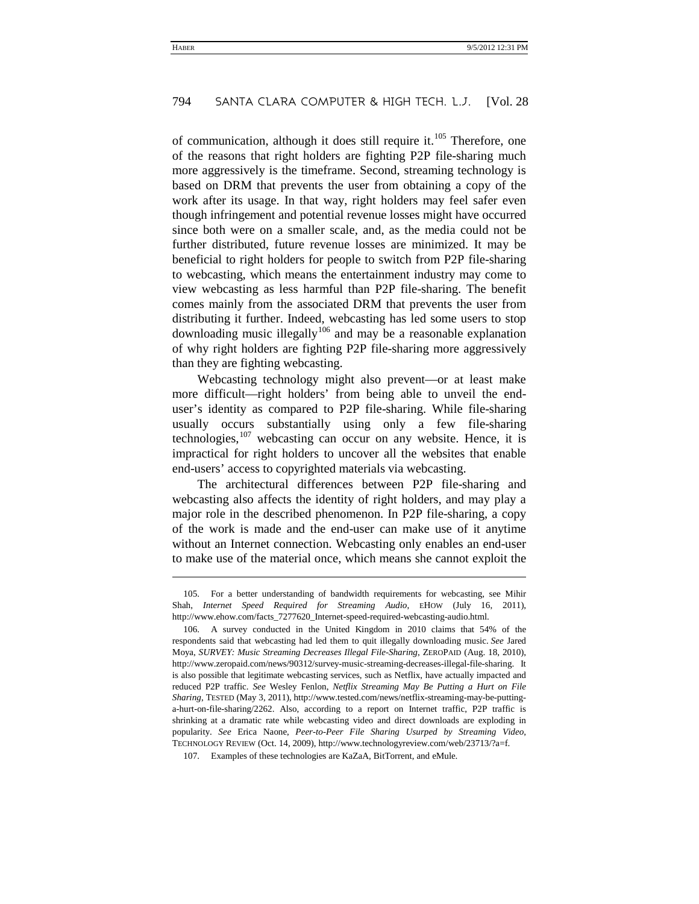of communication, although it does still require it.<sup>[105](#page-26-0)</sup> Therefore, one of the reasons that right holders are fighting P2P file-sharing much more aggressively is the timeframe. Second, streaming technology is based on DRM that prevents the user from obtaining a copy of the work after its usage. In that way, right holders may feel safer even though infringement and potential revenue losses might have occurred since both were on a smaller scale, and, as the media could not be further distributed, future revenue losses are minimized. It may be beneficial to right holders for people to switch from P2P file-sharing to webcasting, which means the entertainment industry may come to view webcasting as less harmful than P2P file-sharing. The benefit comes mainly from the associated DRM that prevents the user from distributing it further. Indeed, webcasting has led some users to stop downloading music illegally<sup>[106](#page-26-1)</sup> and may be a reasonable explanation of why right holders are fighting P2P file-sharing more aggressively than they are fighting webcasting.

Webcasting technology might also prevent—or at least make more difficult—right holders' from being able to unveil the enduser's identity as compared to P2P file-sharing. While file-sharing usually occurs substantially using only a few file-sharing technologies,  $107$  webcasting can occur on any website. Hence, it is impractical for right holders to uncover all the websites that enable end-users' access to copyrighted materials via webcasting.

The architectural differences between P2P file-sharing and webcasting also affects the identity of right holders, and may play a major role in the described phenomenon. In P2P file-sharing, a copy of the work is made and the end-user can make use of it anytime without an Internet connection. Webcasting only enables an end-user to make use of the material once, which means she cannot exploit the

l

<span id="page-26-0"></span><sup>105.</sup> For a better understanding of bandwidth requirements for webcasting, see Mihir Shah, *Internet Speed Required for Streaming Audio*, EHOW (July 16, 2011), http://www.ehow.com/facts\_7277620\_Internet-speed-required-webcasting-audio.html.

<span id="page-26-1"></span><sup>106.</sup> A survey conducted in the United Kingdom in 2010 claims that 54% of the respondents said that webcasting had led them to quit illegally downloading music. *See* Jared Moya, *SURVEY: Music Streaming Decreases Illegal File-Sharing*, ZEROPAID (Aug. 18, 2010), http://www.zeropaid.com/news/90312/survey-music-streaming-decreases-illegal-file-sharing. It is also possible that legitimate webcasting services, such as Netflix, have actually impacted and reduced P2P traffic. *See* Wesley Fenlon, *Netflix Streaming May Be Putting a Hurt on File Sharing*, TESTED (May 3, 2011), http://www.tested.com/news/netflix-streaming-may-be-puttinga-hurt-on-file-sharing/2262. Also, according to a report on Internet traffic, P2P traffic is shrinking at a dramatic rate while webcasting video and direct downloads are exploding in popularity. *See* Erica Naone, *Peer-to-Peer File Sharing Usurped by Streaming Video*, TECHNOLOGY REVIEW (Oct. 14, 2009), http://www.technologyreview.com/web/23713/?a=f.

<span id="page-26-2"></span><sup>107.</sup> Examples of these technologies are KaZaA, BitTorrent, and eMule.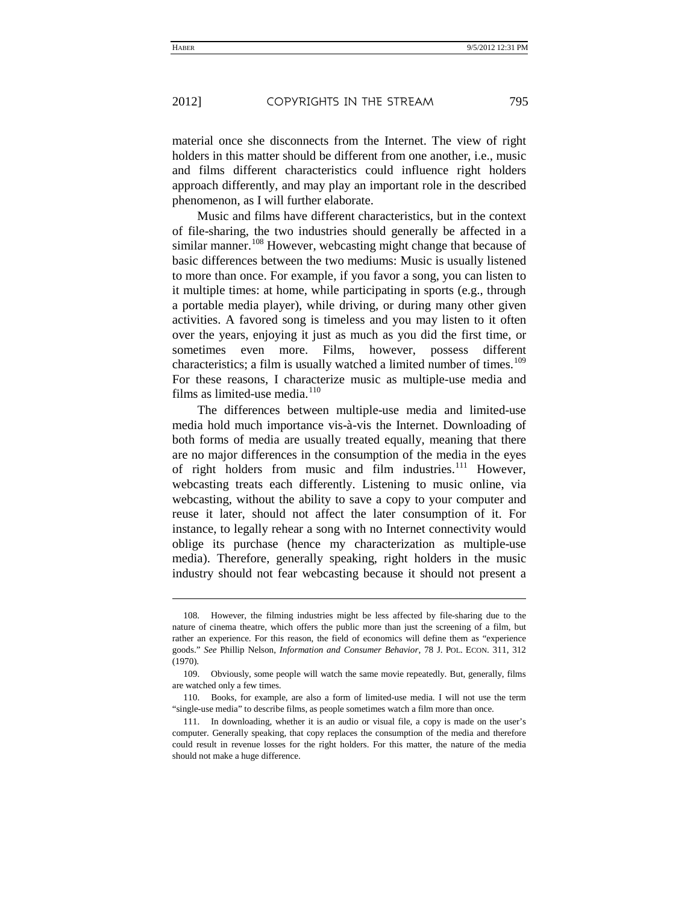j

material once she disconnects from the Internet. The view of right holders in this matter should be different from one another, i.e., music and films different characteristics could influence right holders approach differently, and may play an important role in the described phenomenon, as I will further elaborate.

Music and films have different characteristics, but in the context of file-sharing, the two industries should generally be affected in a similar manner.<sup>[108](#page-27-0)</sup> However, webcasting might change that because of basic differences between the two mediums: Music is usually listened to more than once. For example, if you favor a song, you can listen to it multiple times: at home, while participating in sports (e.g., through a portable media player), while driving, or during many other given activities. A favored song is timeless and you may listen to it often over the years, enjoying it just as much as you did the first time, or sometimes even more. Films, however, possess different characteristics; a film is usually watched a limited number of times.<sup>[109](#page-27-1)</sup> For these reasons, I characterize music as multiple-use media and films as limited-use media.<sup>[110](#page-27-2)</sup>

The differences between multiple-use media and limited-use media hold much importance vis-à-vis the Internet. Downloading of both forms of media are usually treated equally, meaning that there are no major differences in the consumption of the media in the eyes of right holders from music and film industries.<sup>[111](#page-27-3)</sup> However, webcasting treats each differently. Listening to music online, via webcasting, without the ability to save a copy to your computer and reuse it later, should not affect the later consumption of it. For instance, to legally rehear a song with no Internet connectivity would oblige its purchase (hence my characterization as multiple-use media). Therefore, generally speaking, right holders in the music industry should not fear webcasting because it should not present a

<span id="page-27-0"></span><sup>108.</sup> However, the filming industries might be less affected by file-sharing due to the nature of cinema theatre, which offers the public more than just the screening of a film, but rather an experience. For this reason, the field of economics will define them as "experience goods." *See* Phillip Nelson, *Information and Consumer Behavior*, 78 J. POL. ECON. 311, 312 (1970).

<span id="page-27-1"></span><sup>109.</sup> Obviously, some people will watch the same movie repeatedly. But, generally, films are watched only a few times.

<span id="page-27-2"></span><sup>110.</sup> Books, for example, are also a form of limited-use media. I will not use the term "single-use media" to describe films, as people sometimes watch a film more than once.

<span id="page-27-3"></span><sup>111.</sup> In downloading, whether it is an audio or visual file, a copy is made on the user's computer. Generally speaking, that copy replaces the consumption of the media and therefore could result in revenue losses for the right holders. For this matter, the nature of the media should not make a huge difference.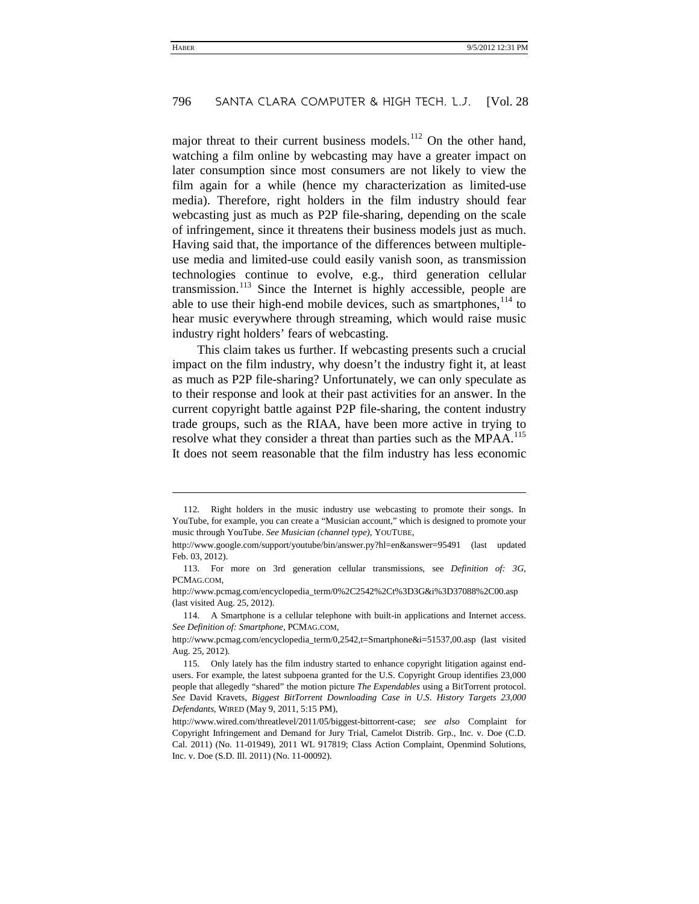major threat to their current business models.<sup>[112](#page-28-0)</sup> On the other hand, watching a film online by webcasting may have a greater impact on later consumption since most consumers are not likely to view the film again for a while (hence my characterization as limited-use media). Therefore, right holders in the film industry should fear webcasting just as much as P2P file-sharing, depending on the scale of infringement, since it threatens their business models just as much. Having said that, the importance of the differences between multipleuse media and limited-use could easily vanish soon, as transmission technologies continue to evolve, e.g., third generation cellular transmission. [113](#page-28-1) Since the Internet is highly accessible, people are able to use their high-end mobile devices, such as smartphones,  $114$  to hear music everywhere through streaming, which would raise music industry right holders' fears of webcasting.

This claim takes us further. If webcasting presents such a crucial impact on the film industry, why doesn't the industry fight it, at least as much as P2P file-sharing? Unfortunately, we can only speculate as to their response and look at their past activities for an answer. In the current copyright battle against P2P file-sharing, the content industry trade groups, such as the RIAA, have been more active in trying to resolve what they consider a threat than parties such as the MPAA.<sup>[115](#page-28-3)</sup> It does not seem reasonable that the film industry has less economic

j

<span id="page-28-0"></span><sup>112.</sup> Right holders in the music industry use webcasting to promote their songs. In YouTube, for example, you can create a "Musician account," which is designed to promote your music through YouTube. *See Musician (channel type)*, YOUTUBE,

http://www.google.com/support/youtube/bin/answer.py?hl=en&answer=95491 (last updated Feb. 03, 2012).

<span id="page-28-1"></span><sup>113.</sup> For more on 3rd generation cellular transmissions, see *Definition of: 3G*, PCMAG.COM,

http://www.pcmag.com/encyclopedia\_term/0%2C2542%2Ct%3D3G&i%3D37088%2C00.asp (last visited Aug. 25, 2012).

<span id="page-28-2"></span><sup>114.</sup> A Smartphone is a cellular telephone with built-in applications and Internet access. *See Definition of: Smartphone*, PCMAG.COM,

http://www.pcmag.com/encyclopedia\_term/0,2542,t=Smartphone&i=51537,00.asp (last visited Aug. 25, 2012).

<span id="page-28-3"></span><sup>115.</sup> Only lately has the film industry started to enhance copyright litigation against endusers. For example, the latest subpoena granted for the U.S. Copyright Group identifies 23,000 people that allegedly "shared" the motion picture *The Expendables* using a BitTorrent protocol. *See* David Kravets, *Biggest BitTorrent Downloading Case in U*.*S*. *History Targets 23,000 Defendants*, WIRED (May 9, 2011, 5:15 PM),

http://www.wired.com/threatlevel/2011/05/biggest-bittorrent-case; *see also* Complaint for Copyright Infringement and Demand for Jury Trial, Camelot Distrib. Grp., Inc. v. Doe (C.D. Cal. 2011) (No. 11-01949), 2011 WL 917819; Class Action Complaint, Openmind Solutions, Inc. v. Doe (S.D. Ill. 2011) (No. 11-00092).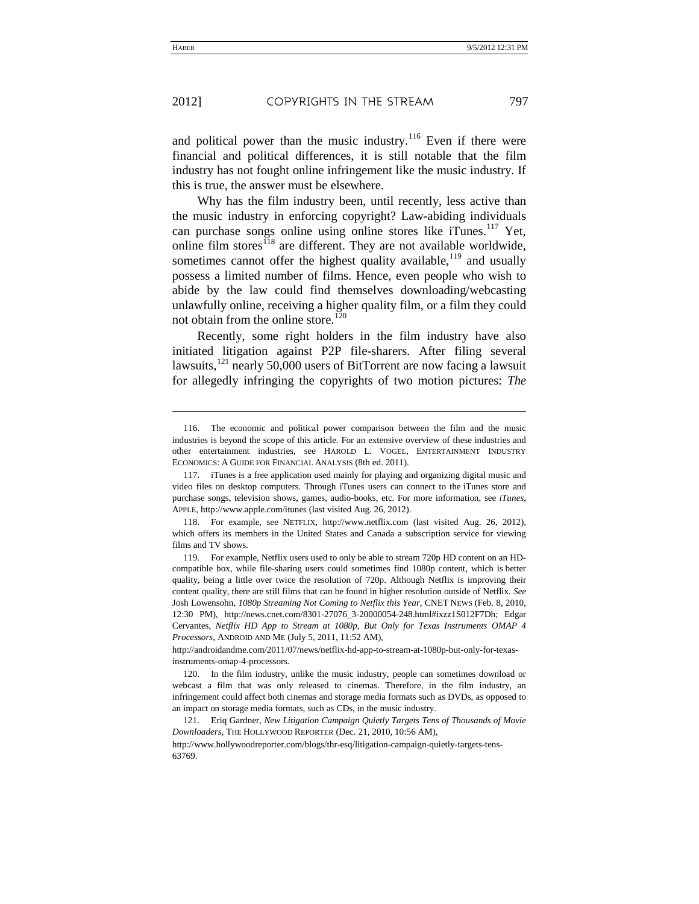and political power than the music industry.<sup>[116](#page-29-0)</sup> Even if there were financial and political differences, it is still notable that the film industry has not fought online infringement like the music industry. If this is true, the answer must be elsewhere.

Why has the film industry been, until recently, less active than the music industry in enforcing copyright? Law-abiding individuals can purchase songs online using online stores like iTunes.<sup>[117](#page-29-1)</sup> Yet, online film stores<sup> $118$ </sup> are different. They are not available worldwide, sometimes cannot offer the highest quality available,  $119$  and usually possess a limited number of films. Hence, even people who wish to abide by the law could find themselves downloading/webcasting unlawfully online, receiving a higher quality film, or a film they could not obtain from the online store.<sup>[120](#page-29-4)</sup>

Recently, some right holders in the film industry have also initiated litigation against P2P file-sharers. After filing several lawsuits, $121$  nearly 50,000 users of BitTorrent are now facing a lawsuit for allegedly infringing the copyrights of two motion pictures: *The*

http://androidandme.com/2011/07/news/netflix-hd-app-to-stream-at-1080p-but-only-for-texasinstruments-omap-4-processors.

<span id="page-29-4"></span>120. In the film industry, unlike the music industry, people can sometimes download or webcast a film that was only released to cinemas. Therefore, in the film industry, an infringement could affect both cinemas and storage media formats such as DVDs, as opposed to an impact on storage media formats, such as CDs, in the music industry.

<span id="page-29-5"></span>121. Eriq Gardner, *New Litigation Campaign Quietly Targets Tens of Thousands of Movie Downloaders*, THE HOLLYWOOD REPORTER (Dec. 21, 2010, 10:56 AM), http://www.hollywoodreporter.com/blogs/thr-esq/litigation-campaign-quietly-targets-tens-63769.

-

<span id="page-29-0"></span><sup>116.</sup> The economic and political power comparison between the film and the music industries is beyond the scope of this article. For an extensive overview of these industries and other entertainment industries, see HAROLD L. VOGEL, ENTERTAINMENT INDUSTRY ECONOMICS: A GUIDE FOR FINANCIAL ANALYSIS (8th ed. 2011).

<span id="page-29-1"></span><sup>117.</sup> iTunes is a free application used mainly for playing and organizing digital music and video files on desktop computers. Through iTunes users can connect to the iTunes store and purchase songs, television shows, games, audio-books, etc. For more information, see *iTunes*, APPLE, http://www.apple.com/itunes (last visited Aug. 26, 2012).

<span id="page-29-2"></span><sup>118.</sup> For example, see NETFLIX, http://www.netflix.com (last visited Aug. 26, 2012), which offers its members in the United States and Canada a subscription service for viewing films and TV shows.

<span id="page-29-3"></span><sup>119.</sup> For example, Netflix users used to only be able to stream 720p HD content on an HDcompatible box, while file-sharing users could sometimes find 1080p content, which is better quality, being a little over twice the resolution of 720p. Although Netflix is improving their content quality, there are still films that can be found in higher resolution outside of Netflix. *See* Josh Lowensohn, *1080p Streaming Not Coming to Netflix this Year*, CNET NEWS (Feb. 8, 2010, 12:30 PM), http://news.cnet.com/8301-27076\_3-20000054-248.html#ixzz1S012F7Dh; Edgar Cervantes, *Netflix HD App to Stream at 1080p, But Only for Texas Instruments OMAP 4 Processors*, ANDROID AND ME (July 5, 2011, 11:52 AM),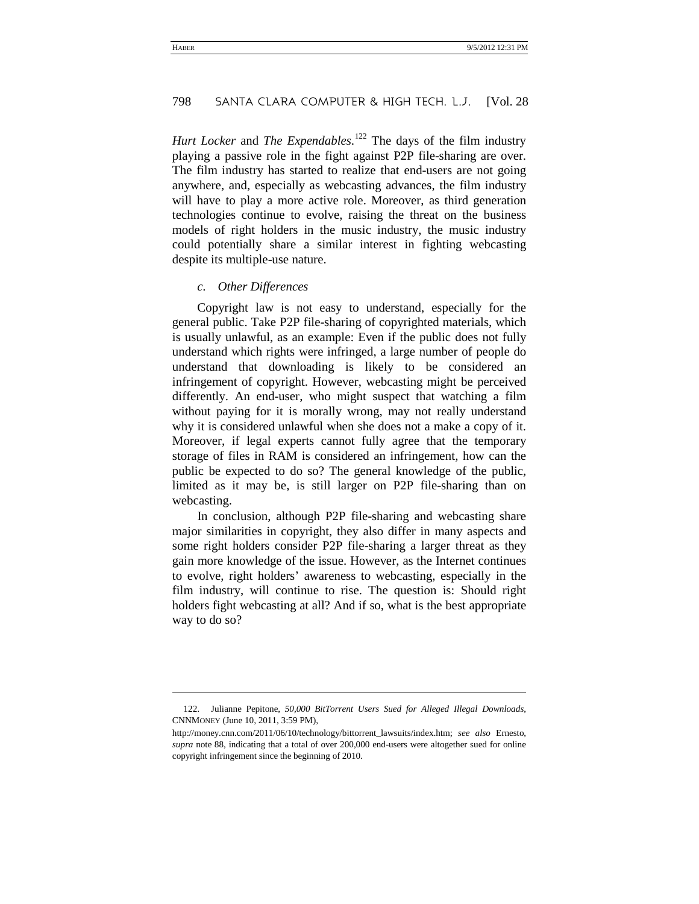*Hurt Locker* and *The Expendables*. [122](#page-30-0) The days of the film industry playing a passive role in the fight against P2P file-sharing are over. The film industry has started to realize that end-users are not going anywhere, and, especially as webcasting advances, the film industry will have to play a more active role. Moreover, as third generation technologies continue to evolve, raising the threat on the business models of right holders in the music industry, the music industry could potentially share a similar interest in fighting webcasting despite its multiple-use nature.

#### *c. Other Differences*

-

Copyright law is not easy to understand, especially for the general public. Take P2P file-sharing of copyrighted materials, which is usually unlawful, as an example: Even if the public does not fully understand which rights were infringed, a large number of people do understand that downloading is likely to be considered an infringement of copyright. However, webcasting might be perceived differently. An end-user, who might suspect that watching a film without paying for it is morally wrong, may not really understand why it is considered unlawful when she does not a make a copy of it. Moreover, if legal experts cannot fully agree that the temporary storage of files in RAM is considered an infringement, how can the public be expected to do so? The general knowledge of the public, limited as it may be, is still larger on P2P file-sharing than on webcasting.

In conclusion, although P2P file-sharing and webcasting share major similarities in copyright, they also differ in many aspects and some right holders consider P2P file-sharing a larger threat as they gain more knowledge of the issue. However, as the Internet continues to evolve, right holders' awareness to webcasting, especially in the film industry, will continue to rise. The question is: Should right holders fight webcasting at all? And if so, what is the best appropriate way to do so?

<span id="page-30-0"></span><sup>122.</sup> Julianne Pepitone, *50,000 BitTorrent Users Sued for Alleged Illegal Downloads*, CNNMONEY (June 10, 2011, 3:59 PM),

http://money.cnn.com/2011/06/10/technology/bittorrent\_lawsuits/index.htm; *see also* Ernesto, *supra* note [88,](#page-22-4) indicating that a total of over 200,000 end-users were altogether sued for online copyright infringement since the beginning of 2010.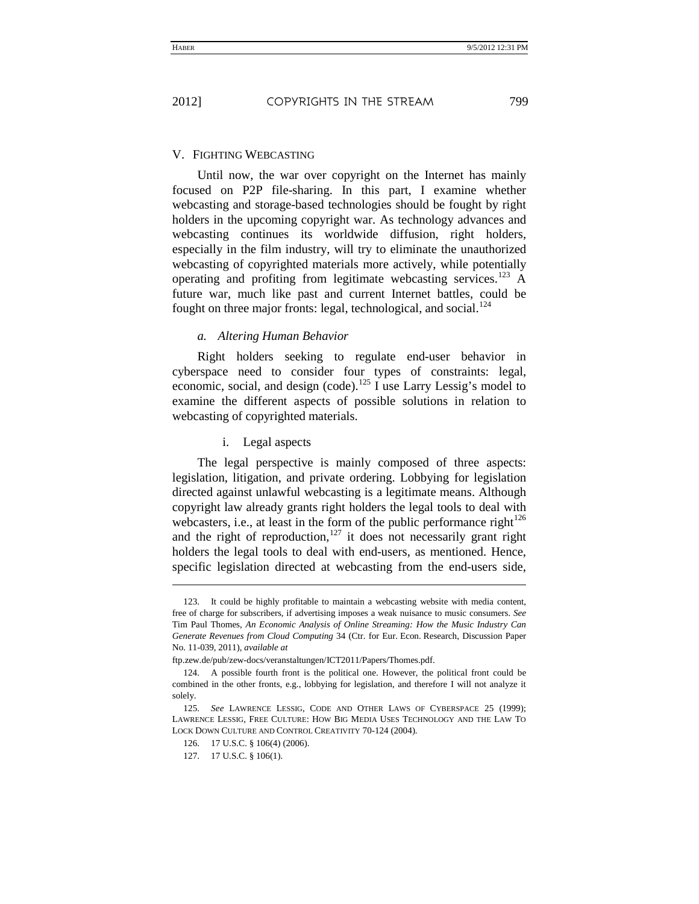#### V. FIGHTING WEBCASTING

Until now, the war over copyright on the Internet has mainly focused on P2P file-sharing. In this part, I examine whether webcasting and storage-based technologies should be fought by right holders in the upcoming copyright war. As technology advances and webcasting continues its worldwide diffusion, right holders, especially in the film industry, will try to eliminate the unauthorized webcasting of copyrighted materials more actively, while potentially operating and profiting from legitimate webcasting services.<sup>[123](#page-31-0)</sup> A future war, much like past and current Internet battles, could be fought on three major fronts: legal, technological, and social.<sup>[124](#page-31-1)</sup>

#### *a. Altering Human Behavior*

Right holders seeking to regulate end-user behavior in cyberspace need to consider four types of constraints: legal, economic, social, and design (code).<sup>125</sup> I use Larry Lessig's model to examine the different aspects of possible solutions in relation to webcasting of copyrighted materials.

<span id="page-31-2"></span>i. Legal aspects

The legal perspective is mainly composed of three aspects: legislation, litigation, and private ordering. Lobbying for legislation directed against unlawful webcasting is a legitimate means. Although copyright law already grants right holders the legal tools to deal with webcasters, i.e., at least in the form of the public performance right<sup>126</sup> and the right of reproduction,<sup>127</sup> it does not necessarily grant right holders the legal tools to deal with end-users, as mentioned. Hence, specific legislation directed at webcasting from the end-users side,

j

<span id="page-31-0"></span><sup>123.</sup> It could be highly profitable to maintain a webcasting website with media content, free of charge for subscribers, if advertising imposes a weak nuisance to music consumers. *See*  Tim Paul Thomes, *An Economic Analysis of Online Streaming: How the Music Industry Can Generate Revenues from Cloud Computing* 34 (Ctr. for Eur. Econ. Research, Discussion Paper No. 11-039, 2011), *available at*

ftp.zew.de/pub/zew-docs/veranstaltungen/ICT2011/Papers/Thomes.pdf.

<span id="page-31-1"></span><sup>124.</sup> A possible fourth front is the political one. However, the political front could be combined in the other fronts, e.g., lobbying for legislation, and therefore I will not analyze it solely.

<sup>125.</sup> *See* LAWRENCE LESSIG, CODE AND OTHER LAWS OF CYBERSPACE 25 (1999); LAWRENCE LESSIG, FREE CULTURE: HOW BIG MEDIA USES TECHNOLOGY AND THE LAW TO LOCK DOWN CULTURE AND CONTROL CREATIVITY 70-124 (2004).

<sup>126.</sup> 17 U.S.C. § 106(4) (2006).

<sup>127.</sup> 17 U.S.C. § 106(1).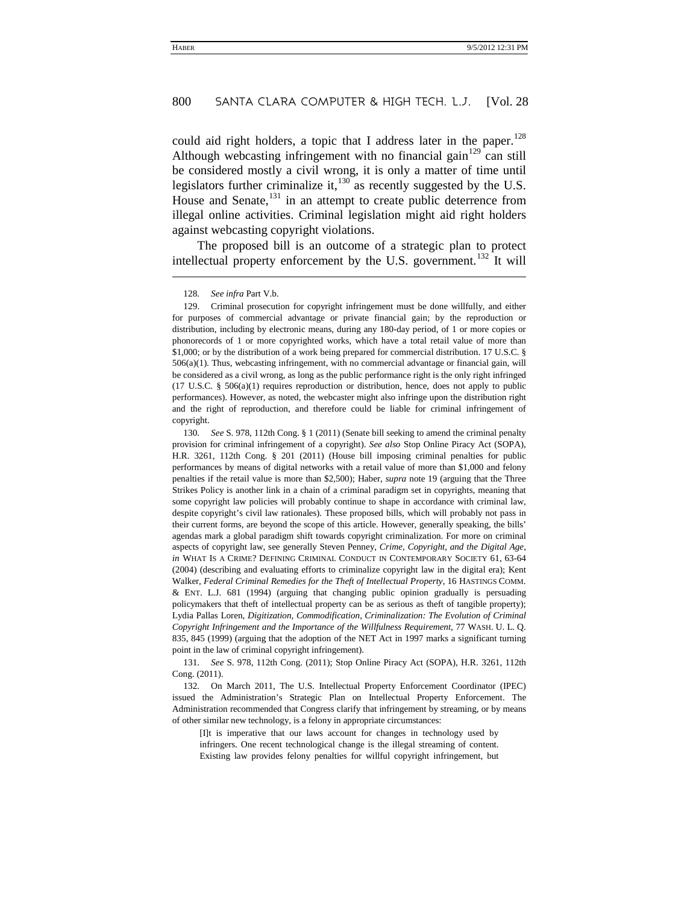could aid right holders, a topic that I address later in the paper.<sup>[128](#page-32-0)</sup> Although webcasting infringement with no financial gain<sup>[129](#page-32-1)</sup> can still be considered mostly a civil wrong, it is only a matter of time until legislators further criminalize it, $^{130}$  $^{130}$  $^{130}$  as recently suggested by the U.S. House and Senate,<sup>[131](#page-32-3)</sup> in an attempt to create public deterrence from illegal online activities. Criminal legislation might aid right holders against webcasting copyright violations.

The proposed bill is an outcome of a strategic plan to protect intellectual property enforcement by the U.S. government.<sup>[132](#page-32-4)</sup> It will

#### 128. *See infra* Part V.b.

j

<span id="page-32-1"></span><span id="page-32-0"></span>129. Criminal prosecution for copyright infringement must be done willfully, and either for purposes of commercial advantage or private financial gain; by the reproduction or distribution, including by electronic means, during any 180-day period, of 1 or more copies or phonorecords of 1 or more copyrighted works, which have a total retail value of more than \$1,000; or by the distribution of a work being prepared for commercial distribution. 17 U.S.C. § 506(a)(1). Thus, webcasting infringement, with no commercial advantage or financial gain, will be considered as a civil wrong, as long as the public performance right is the only right infringed (17 U.S.C.  $\S$  506(a)(1) requires reproduction or distribution, hence, does not apply to public performances). However, as noted, the webcaster might also infringe upon the distribution right and the right of reproduction, and therefore could be liable for criminal infringement of copyright.

<span id="page-32-2"></span>130. *See* S. 978, 112th Cong. § 1 (2011) (Senate bill seeking to amend the criminal penalty provision for criminal infringement of a copyright). *See also* Stop Online Piracy Act (SOPA), H.R. 3261, 112th Cong. § 201 (2011) (House bill imposing criminal penalties for public performances by means of digital networks with a retail value of more than \$1,000 and felony penalties if the retail value is more than \$2,500); Haber, *supra* note 19 (arguing that the Three Strikes Policy is another link in a chain of a criminal paradigm set in copyrights, meaning that some copyright law policies will probably continue to shape in accordance with criminal law, despite copyright's civil law rationales). These proposed bills, which will probably not pass in their current forms, are beyond the scope of this article. However, generally speaking, the bills' agendas mark a global paradigm shift towards copyright criminalization. For more on criminal aspects of copyright law, see generally Steven Penney, *Crime, Copyright, and the Digital Age*, *in* WHAT IS A CRIME? DEFINING CRIMINAL CONDUCT IN CONTEMPORARY SOCIETY 61, 63-64 (2004) (describing and evaluating efforts to criminalize copyright law in the digital era); Kent Walker, *Federal Criminal Remedies for the Theft of Intellectual Property*, 16 HASTINGS COMM. & ENT. L.J. 681 (1994) (arguing that changing public opinion gradually is persuading policymakers that theft of intellectual property can be as serious as theft of tangible property); Lydia Pallas Loren, *Digitization, Commodification, Criminalization: The Evolution of Criminal Copyright Infringement and the Importance of the Willfulness Requirement*, 77 WASH. U. L. Q. 835, 845 (1999) (arguing that the adoption of the NET Act in 1997 marks a significant turning point in the law of criminal copyright infringement).

<span id="page-32-3"></span>131. *See* S. 978, 112th Cong. (2011); Stop Online Piracy Act (SOPA), H.R. 3261, 112th Cong. (2011).

<span id="page-32-4"></span>132. On March 2011, The U.S. Intellectual Property Enforcement Coordinator (IPEC) issued the Administration's Strategic Plan on Intellectual Property Enforcement. The Administration recommended that Congress clarify that infringement by streaming, or by means of other similar new technology, is a felony in appropriate circumstances:

[I]t is imperative that our laws account for changes in technology used by infringers. One recent technological change is the illegal streaming of content. Existing law provides felony penalties for willful copyright infringement, but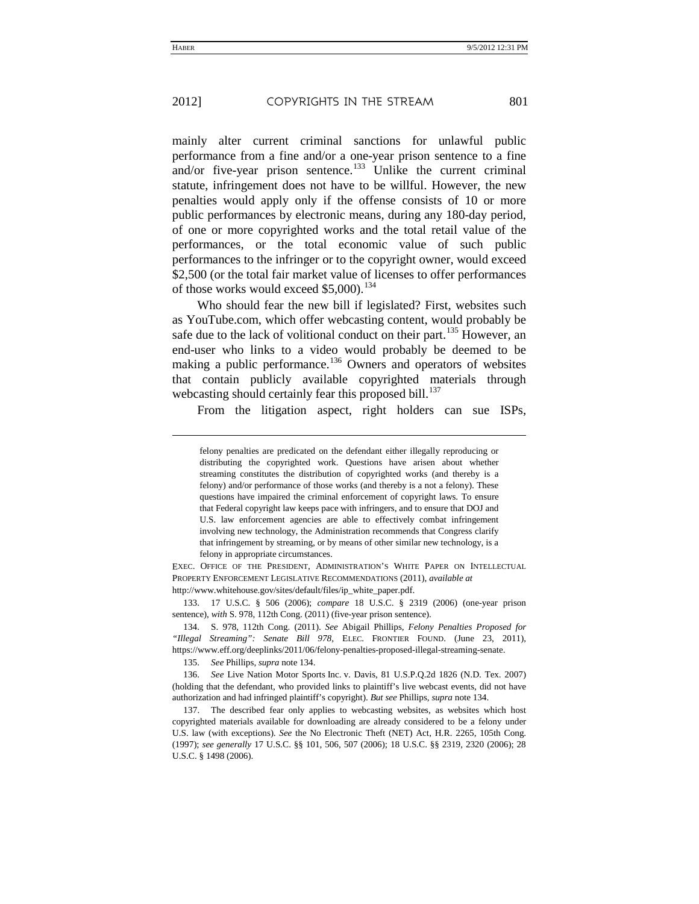mainly alter current criminal sanctions for unlawful public performance from a fine and/or a one-year prison sentence to a fine and/or five-year prison sentence.<sup>[133](#page-33-1)</sup> Unlike the current criminal statute, infringement does not have to be willful. However, the new penalties would apply only if the offense consists of 10 or more public performances by electronic means, during any 180-day period, of one or more copyrighted works and the total retail value of the performances, or the total economic value of such public performances to the infringer or to the copyright owner, would exceed \$2,500 (or the total fair market value of licenses to offer performances of those works would exceed  $$5,000$ .<sup>[134](#page-33-2)</sup>

<span id="page-33-0"></span>Who should fear the new bill if legislated? First, websites such as YouTube.com, which offer webcasting content, would probably be safe due to the lack of volitional conduct on their part.<sup>[135](#page-33-3)</sup> However, an end-user who links to a video would probably be deemed to be making a public performance.<sup>[136](#page-33-4)</sup> Owners and operators of websites that contain publicly available copyrighted materials through webcasting should certainly fear this proposed bill.<sup>[137](#page-33-5)</sup>

From the litigation aspect, right holders can sue ISPs,

EXEC. OFFICE OF THE PRESIDENT, ADMINISTRATION'S WHITE PAPER ON INTELLECTUAL PROPERTY ENFORCEMENT LEGISLATIVE RECOMMENDATIONS (2011), *available at*  http://www.whitehouse.gov/sites/default/files/ip\_white\_paper.pdf.

<span id="page-33-1"></span>133. 17 U.S.C. § 506 (2006); *compare* 18 U.S.C. § 2319 (2006) (one-year prison sentence), *with* S. 978, 112th Cong. (2011) (five-year prison sentence).

<span id="page-33-2"></span>134. S. 978, 112th Cong. (2011). *See* Abigail Phillips, *Felony Penalties Proposed for "Illegal Streaming": Senate Bill 978*, ELEC. FRONTIER FOUND. (June 23, 2011), https://www.eff.org/deeplinks/2011/06/felony-penalties-proposed-illegal-streaming-senate.

135. *See* Phillips, *supra* not[e 134.](#page-33-0)

<span id="page-33-4"></span><span id="page-33-3"></span>136. *See* Live Nation Motor Sports Inc. v. Davis, 81 U.S.P.Q.2d 1826 (N.D. Tex. 2007) (holding that the defendant, who provided links to plaintiff's live webcast events, did not have authorization and had infringed plaintiff's copyright). *But see* Phillips, *supra* not[e 134.](#page-33-0)

<span id="page-33-5"></span>137. The described fear only applies to webcasting websites, as websites which host copyrighted materials available for downloading are already considered to be a felony under U.S. law (with exceptions). *See* the No Electronic Theft (NET) Act, H.R. 2265, 105th Cong. (1997); *see generally* 17 U.S.C. §§ 101, 506, 507 (2006); 18 U.S.C. §§ 2319, 2320 (2006); 28 U.S.C. § 1498 (2006).

-

felony penalties are predicated on the defendant either illegally reproducing or distributing the copyrighted work. Questions have arisen about whether streaming constitutes the distribution of copyrighted works (and thereby is a felony) and/or performance of those works (and thereby is a not a felony). These questions have impaired the criminal enforcement of copyright laws. To ensure that Federal copyright law keeps pace with infringers, and to ensure that DOJ and U.S. law enforcement agencies are able to effectively combat infringement involving new technology, the Administration recommends that Congress clarify that infringement by streaming, or by means of other similar new technology, is a felony in appropriate circumstances.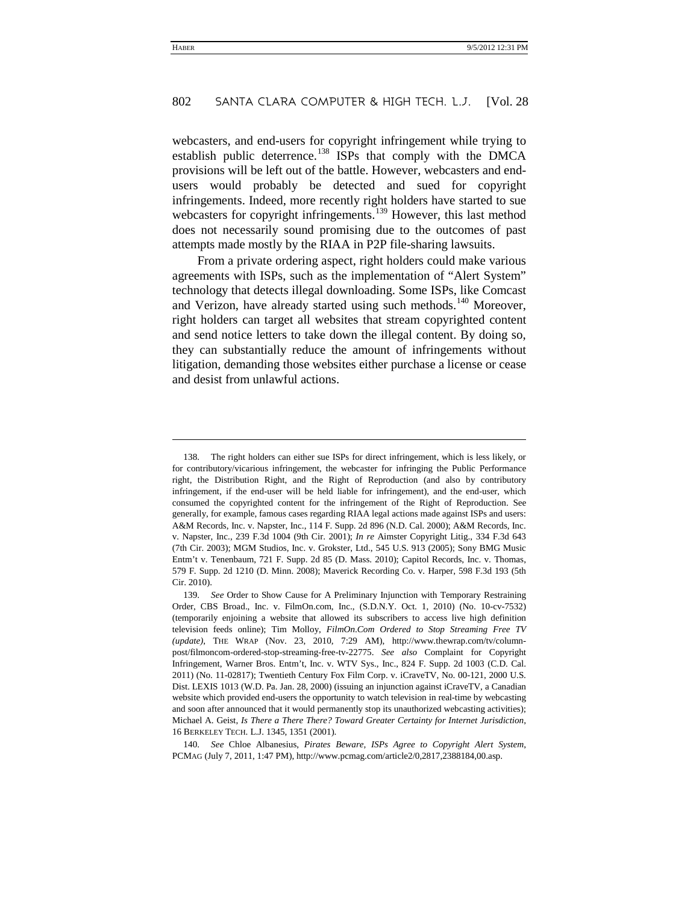webcasters, and end-users for copyright infringement while trying to establish public deterrence.<sup>[138](#page-34-1)</sup> ISPs that comply with the DMCA provisions will be left out of the battle. However, webcasters and endusers would probably be detected and sued for copyright infringements. Indeed, more recently right holders have started to sue webcasters for copyright infringements.<sup>[139](#page-34-2)</sup> However, this last method does not necessarily sound promising due to the outcomes of past attempts made mostly by the RIAA in P2P file-sharing lawsuits.

<span id="page-34-0"></span>From a private ordering aspect, right holders could make various agreements with ISPs, such as the implementation of "Alert System" technology that detects illegal downloading. Some ISPs, like Comcast and Verizon, have already started using such methods.<sup>[140](#page-34-3)</sup> Moreover, right holders can target all websites that stream copyrighted content and send notice letters to take down the illegal content. By doing so, they can substantially reduce the amount of infringements without litigation, demanding those websites either purchase a license or cease and desist from unlawful actions.

l

<span id="page-34-3"></span>140. *See* Chloe Albanesius, *Pirates Beware, ISPs Agree to Copyright Alert System*, PCMAG (July 7, 2011, 1:47 PM), http://www.pcmag.com/article2/0,2817,2388184,00.asp.

<span id="page-34-1"></span><sup>138.</sup> The right holders can either sue ISPs for direct infringement, which is less likely, or for contributory/vicarious infringement, the webcaster for infringing the Public Performance right, the Distribution Right, and the Right of Reproduction (and also by contributory infringement, if the end-user will be held liable for infringement), and the end-user, which consumed the copyrighted content for the infringement of the Right of Reproduction. See generally, for example, famous cases regarding RIAA legal actions made against ISPs and users: A&M Records, Inc. v. Napster, Inc., 114 F. Supp. 2d 896 (N.D. Cal. 2000); A&M Records, Inc. v. Napster, Inc., 239 F.3d 1004 (9th Cir. 2001); *In re* Aimster Copyright Litig., 334 F.3d 643 (7th Cir. 2003); MGM Studios, Inc. v. Grokster, Ltd., 545 U.S. 913 (2005); Sony BMG Music Entm't v. Tenenbaum, 721 F. Supp. 2d 85 (D. Mass. 2010); Capitol Records, Inc. v. Thomas, 579 F. Supp. 2d 1210 (D. Minn. 2008); Maverick Recording Co. v. Harper, 598 F.3d 193 (5th Cir. 2010).

<span id="page-34-2"></span><sup>139.</sup> *See* Order to Show Cause for A Preliminary Injunction with Temporary Restraining Order, CBS Broad., Inc. v. FilmOn.com, Inc., (S.D.N.Y. Oct. 1, 2010) (No. 10-cv-7532) (temporarily enjoining a website that allowed its subscribers to access live high definition television feeds online); Tim Molloy, *FilmOn*.*Com Ordered to Stop Streaming Free TV (update)*, THE WRAP (Nov. 23, 2010, 7:29 AM), http://www.thewrap.com/tv/columnpost/filmoncom-ordered-stop-streaming-free-tv-22775. *See also* Complaint for Copyright Infringement, Warner Bros. Entm't, Inc. v. WTV Sys., Inc., 824 F. Supp. 2d 1003 (C.D. Cal. 2011) (No. 11-02817); Twentieth Century Fox Film Corp. v. iCraveTV, No. 00-121, 2000 U.S. Dist. LEXIS 1013 (W.D. Pa. Jan. 28, 2000) (issuing an injunction against iCraveTV, a Canadian website which provided end-users the opportunity to watch television in real-time by webcasting and soon after announced that it would permanently stop its unauthorized webcasting activities); Michael A. Geist, *Is There a There There? Toward Greater Certainty for Internet Jurisdiction*, 16 BERKELEY TECH. L.J. 1345, 1351 (2001).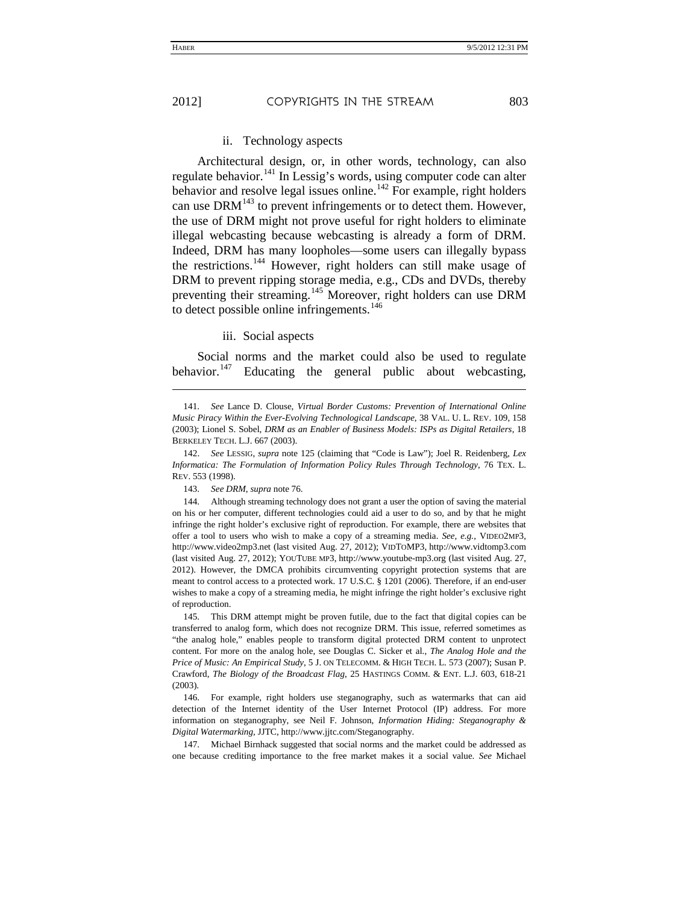j

#### ii. Technology aspects

Architectural design, or, in other words, technology, can also regulate behavior.<sup>141</sup> In Lessig's words, using computer code can alter behavior and resolve legal issues online.<sup>142</sup> For example, right holders can use DRM<sup>143</sup> to prevent infringements or to detect them. However, the use of DRM might not prove useful for right holders to eliminate illegal webcasting because webcasting is already a form of DRM. Indeed, DRM has many loopholes—some users can illegally bypass the restrictions.<sup>144</sup> However, right holders can still make usage of DRM to prevent ripping storage media, e.g., CDs and DVDs, thereby preventing their streaming.<sup>145</sup> Moreover, right holders can use DRM to detect possible online infringements.<sup>146</sup>

#### iii. Social aspects

Social norms and the market could also be used to regulate behavior.<sup>147</sup> Educating the general public about webcasting,

142. *See* LESSIG, *supra* note [125](#page-31-2) (claiming that "Code is Law"); Joel R. Reidenberg, *Lex Informatica: The Formulation of Information Policy Rules Through Technology*, 76 TEX. L. REV. 553 (1998).

143. *See DRM*, *supra* not[e 76.](#page-20-6)

144. Although streaming technology does not grant a user the option of saving the material on his or her computer, different technologies could aid a user to do so, and by that he might infringe the right holder's exclusive right of reproduction. For example, there are websites that offer a tool to users who wish to make a copy of a streaming media. *See, e.g.*, VIDEO2MP3, http://www.video2mp3.net (last visited Aug. 27, 2012); VIDTOMP3, http://www.vidtomp3.com (last visited Aug. 27, 2012); YOUTUBE MP3, http://www.youtube-mp3.org (last visited Aug. 27, 2012). However, the DMCA prohibits circumventing copyright protection systems that are meant to control access to a protected work. 17 U.S.C. § 1201 (2006). Therefore, if an end-user wishes to make a copy of a streaming media, he might infringe the right holder's exclusive right of reproduction.

145. This DRM attempt might be proven futile, due to the fact that digital copies can be transferred to analog form, which does not recognize DRM. This issue, referred sometimes as "the analog hole," enables people to transform digital protected DRM content to unprotect content. For more on the analog hole, see Douglas C. Sicker et al., *The Analog Hole and the Price of Music: An Empirical Study*, 5 J. ON TELECOMM. & HIGH TECH. L. 573 (2007); Susan P. Crawford, *The Biology of the Broadcast Flag*, 25 HASTINGS COMM. & ENT. L.J. 603, 618-21 (2003).

146. For example, right holders use steganography, such as watermarks that can aid detection of the Internet identity of the User Internet Protocol (IP) address. For more information on steganography, see Neil F. Johnson, *Information Hiding: Steganography & Digital Watermarking*, JJTC, http://www.jjtc.com/Steganography.

147. Michael Birnhack suggested that social norms and the market could be addressed as one because crediting importance to the free market makes it a social value. *See* Michael

<sup>141.</sup> *See* Lance D. Clouse, *Virtual Border Customs: Prevention of International Online Music Piracy Within the Ever-Evolving Technological Landscape*, 38 VAL. U. L. REV. 109, 158 (2003); Lionel S. Sobel, *DRM as an Enabler of Business Models: ISPs as Digital Retailers*, 18 BERKELEY TECH. L.J. 667 (2003).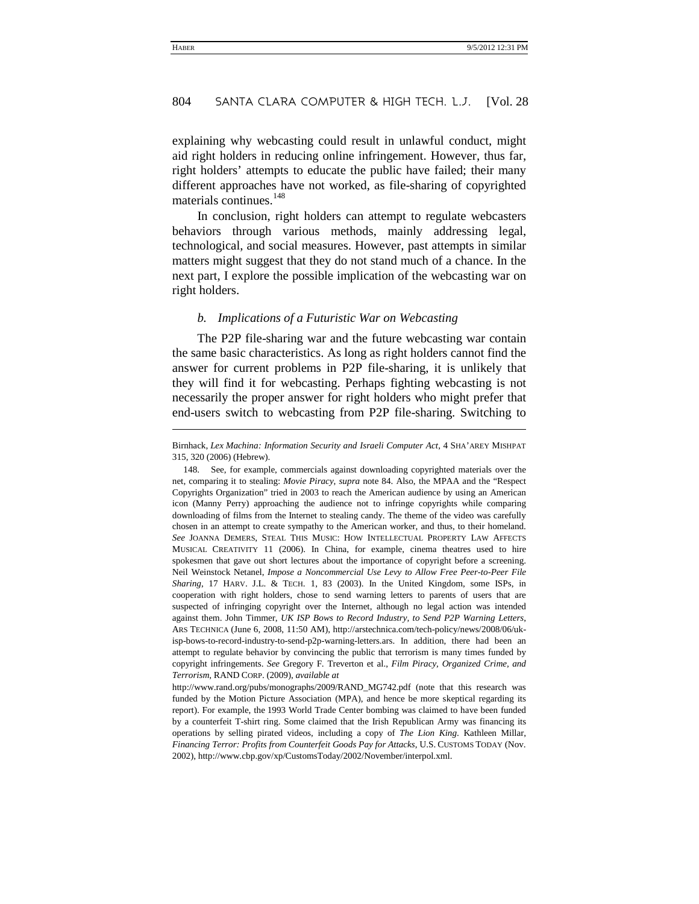explaining why webcasting could result in unlawful conduct, might aid right holders in reducing online infringement. However, thus far, right holders' attempts to educate the public have failed; their many different approaches have not worked, as file-sharing of copyrighted materials continues.<sup>[148](#page-36-0)</sup>

<span id="page-36-1"></span>In conclusion, right holders can attempt to regulate webcasters behaviors through various methods, mainly addressing legal, technological, and social measures. However, past attempts in similar matters might suggest that they do not stand much of a chance. In the next part, I explore the possible implication of the webcasting war on right holders.

#### *b. Implications of a Futuristic War on Webcasting*

l

The P2P file-sharing war and the future webcasting war contain the same basic characteristics. As long as right holders cannot find the answer for current problems in P2P file-sharing, it is unlikely that they will find it for webcasting. Perhaps fighting webcasting is not necessarily the proper answer for right holders who might prefer that end-users switch to webcasting from P2P file-sharing. Switching to

Birnhack, *Lex Machina: Information Security and Israeli Computer Act*, 4 SHA'AREY MISHPAT 315, 320 (2006) (Hebrew).

<span id="page-36-0"></span><sup>148.</sup> See, for example, commercials against downloading copyrighted materials over the net, comparing it to stealing: *Movie Piracy*, *supra* note [84.](#page-21-4) Also, the MPAA and the "Respect Copyrights Organization" tried in 2003 to reach the American audience by using an American icon (Manny Perry) approaching the audience not to infringe copyrights while comparing downloading of films from the Internet to stealing candy. The theme of the video was carefully chosen in an attempt to create sympathy to the American worker, and thus, to their homeland. *See* JOANNA DEMERS, STEAL THIS MUSIC: HOW INTELLECTUAL PROPERTY LAW AFFECTS MUSICAL CREATIVITY 11 (2006). In China, for example, cinema theatres used to hire spokesmen that gave out short lectures about the importance of copyright before a screening. Neil Weinstock Netanel, *Impose a Noncommercial Use Levy to Allow Free Peer-to-Peer File Sharing*, 17 HARV. J.L. & TECH. 1, 83 (2003). In the United Kingdom, some ISPs, in cooperation with right holders, chose to send warning letters to parents of users that are suspected of infringing copyright over the Internet, although no legal action was intended against them. John Timmer, *UK ISP Bows to Record Industry, to Send P2P Warning Letters*, ARS TECHNICA (June 6, 2008, 11:50 AM), http://arstechnica.com/tech-policy/news/2008/06/ukisp-bows-to-record-industry-to-send-p2p-warning-letters.ars. In addition, there had been an attempt to regulate behavior by convincing the public that terrorism is many times funded by copyright infringements. *See* Gregory F. Treverton et al., *Film Piracy, Organized Crime, and Terrorism*, RAND CORP. (2009), *available at*

http://www.rand.org/pubs/monographs/2009/RAND\_MG742.pdf (note that this research was funded by the Motion Picture Association (MPA), and hence be more skeptical regarding its report). For example, the 1993 World Trade Center bombing was claimed to have been funded by a counterfeit T-shirt ring. Some claimed that the Irish Republican Army was financing its operations by selling pirated videos, including a copy of *The Lion King*. Kathleen Millar, *Financing Terror: Profits from Counterfeit Goods Pay for Attacks*, U.S. CUSTOMS TODAY (Nov. 2002), http://www.cbp.gov/xp/CustomsToday/2002/November/interpol.xml.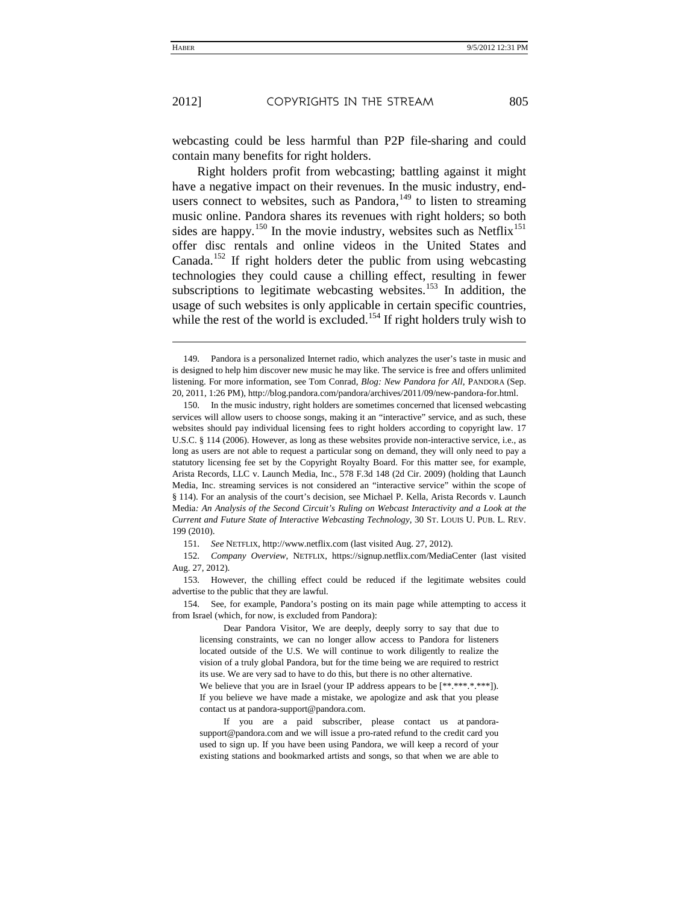j

webcasting could be less harmful than P2P file-sharing and could contain many benefits for right holders.

Right holders profit from webcasting; battling against it might have a negative impact on their revenues. In the music industry, endusers connect to websites, such as Pandora,  $149$  to listen to streaming music online. Pandora shares its revenues with right holders; so both sides are happy.<sup>[150](#page-37-1)</sup> In the movie industry, websites such as Netflix<sup>[151](#page-37-2)</sup> offer disc rentals and online videos in the United States and Canada.<sup>[152](#page-37-3)</sup> If right holders deter the public from using webcasting technologies they could cause a chilling effect, resulting in fewer subscriptions to legitimate webcasting websites.<sup>[153](#page-37-4)</sup> In addition, the usage of such websites is only applicable in certain specific countries, while the rest of the world is excluded.<sup>[154](#page-37-5)</sup> If right holders truly wish to

151. *See* NETFLIX, http://www.netflix.com (last visited Aug. 27, 2012).

<span id="page-37-3"></span><span id="page-37-2"></span>152. *Company Overview*, NETFLIX, https://signup.netflix.com/MediaCenter (last visited Aug. 27, 2012).

<span id="page-37-4"></span>153. However, the chilling effect could be reduced if the legitimate websites could advertise to the public that they are lawful.

<span id="page-37-5"></span>154. See, for example, Pandora's posting on its main page while attempting to access it from Israel (which, for now, is excluded from Pandora):

Dear Pandora Visitor, We are deeply, deeply sorry to say that due to licensing constraints, we can no longer allow access to Pandora for listeners located outside of the U.S. We will continue to work diligently to realize the vision of a truly global Pandora, but for the time being we are required to restrict its use. We are very sad to have to do this, but there is no other alternative.

We believe that you are in Israel (your IP address appears to be  $[*********].$ If you believe we have made a mistake, we apologize and ask that you please contact us at pandora-support@pandora.com.

If you are a paid subscriber, please contact us at pandorasupport@pandora.com and we will issue a pro-rated refund to the credit card you used to sign up. If you have been using Pandora, we will keep a record of your existing stations and bookmarked artists and songs, so that when we are able to

<span id="page-37-0"></span><sup>149.</sup> Pandora is a personalized Internet radio, which analyzes the user's taste in music and is designed to help him discover new music he may like. The service is free and offers unlimited listening. For more information, see Tom Conrad, *Blog: New Pandora for All*, PANDORA (Sep. 20, 2011, 1:26 PM), http://blog.pandora.com/pandora/archives/2011/09/new-pandora-for.html.

<span id="page-37-1"></span><sup>150.</sup> In the music industry, right holders are sometimes concerned that licensed webcasting services will allow users to choose songs, making it an "interactive" service, and as such, these websites should pay individual licensing fees to right holders according to copyright law. 17 U.S.C. § 114 (2006). However, as long as these websites provide non-interactive service, i.e., as long as users are not able to request a particular song on demand, they will only need to pay a statutory licensing fee set by the Copyright Royalty Board. For this matter see, for example, Arista Records, LLC v. Launch Media, Inc., 578 F.3d 148 (2d Cir. 2009) (holding that Launch Media, Inc. streaming services is not considered an "interactive service" within the scope of § 114). For an analysis of the court's decision, see Michael P. Kella, Arista Records v. Launch Media*: An Analysis of the Second Circuit's Ruling on Webcast Interactivity and a Look at the Current and Future State of Interactive Webcasting Technology*, 30 ST. LOUIS U. PUB. L. REV. 199 (2010).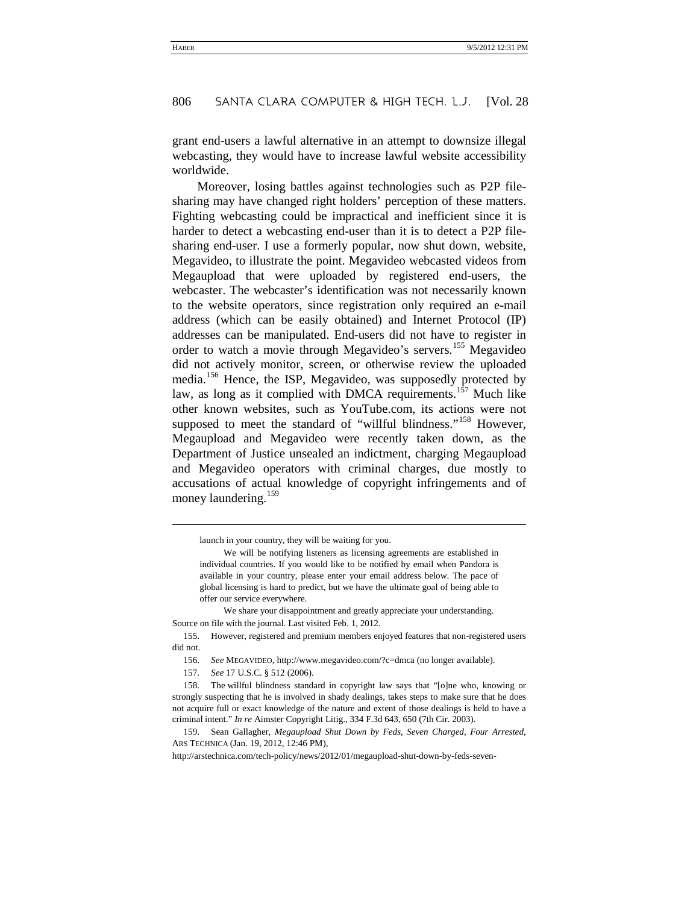grant end-users a lawful alternative in an attempt to downsize illegal webcasting, they would have to increase lawful website accessibility worldwide.

Moreover, losing battles against technologies such as P2P filesharing may have changed right holders' perception of these matters. Fighting webcasting could be impractical and inefficient since it is harder to detect a webcasting end-user than it is to detect a P2P filesharing end-user. I use a formerly popular, now shut down, website, Megavideo, to illustrate the point. Megavideo webcasted videos from Megaupload that were uploaded by registered end-users, the webcaster. The webcaster's identification was not necessarily known to the website operators, since registration only required an e-mail address (which can be easily obtained) and Internet Protocol (IP) addresses can be manipulated. End-users did not have to register in order to watch a movie through Megavideo's servers.<sup>[155](#page-38-0)</sup> Megavideo did not actively monitor, screen, or otherwise review the uploaded media.<sup>[156](#page-38-1)</sup> Hence, the ISP, Megavideo, was supposedly protected by law, as long as it complied with DMCA requirements.<sup>[157](#page-38-2)</sup> Much like other known websites, such as YouTube.com, its actions were not supposed to meet the standard of "willful blindness."<sup>[158](#page-38-3)</sup> However, Megaupload and Megavideo were recently taken down, as the [Department of Justice unsealed an indictment,](http://www.justice.gov/opa/pr/2012/January/12-crm-074.html) charging Megaupload and Megavideo operators with criminal charges, due mostly to accusations of actual knowledge of copyright infringements and of money laundering.<sup>159</sup>

-

launch in your country, they will be waiting for you.

We will be notifying listeners as licensing agreements are established in individual countries. If you would like to be notified by email when Pandora is available in your country, please enter your email address below. The pace of global licensing is hard to predict, but we have the ultimate goal of being able to offer our service everywhere.

We share your disappointment and greatly appreciate your understanding. Source on file with the journal. Last visited Feb. 1, 2012.

<span id="page-38-1"></span><span id="page-38-0"></span><sup>155.</sup> However, registered and premium members enjoyed features that non-registered users did not.

<sup>156.</sup> *See* MEGAVIDEO, http://www.megavideo.com/?c=dmca (no longer available).

<sup>157.</sup> *See* 17 U.S.C. § 512 (2006).

<span id="page-38-3"></span><span id="page-38-2"></span><sup>158.</sup> The willful blindness standard in copyright law says that "[o]ne who, knowing or strongly suspecting that he is involved in shady dealings, takes steps to make sure that he does not acquire full or exact knowledge of the nature and extent of those dealings is held to have a criminal intent." *In re* Aimster Copyright Litig., 334 F.3d 643, 650 (7th Cir. 2003).

<sup>159.</sup> Sean Gallagher, *Megaupload Shut Down by Feds, Seven Charged, Four Arrested*, ARS TECHNICA (Jan. 19, 2012, 12:46 PM),

http://arstechnica.com/tech-policy/news/2012/01/megaupload-shut-down-by-feds-seven-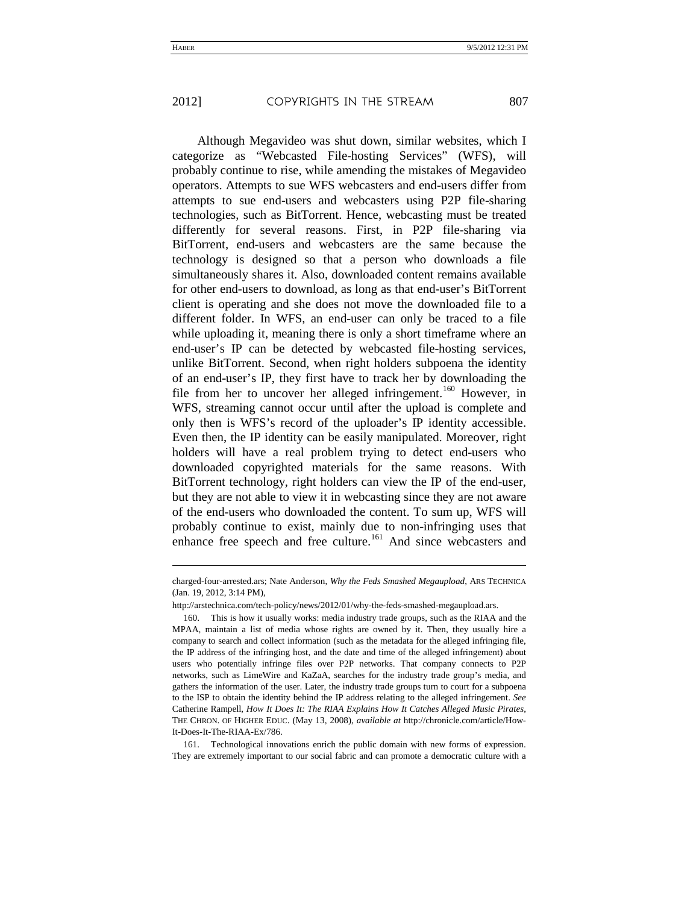-

Although Megavideo was shut down, similar websites, which I categorize as "Webcasted File-hosting Services" (WFS), will probably continue to rise, while amending the mistakes of Megavideo operators. Attempts to sue WFS webcasters and end-users differ from attempts to sue end-users and webcasters using P2P file-sharing technologies, such as BitTorrent. Hence, webcasting must be treated differently for several reasons. First, in P2P file-sharing via BitTorrent, end-users and webcasters are the same because the technology is designed so that a person who downloads a file simultaneously shares it. Also, downloaded content remains available for other end-users to download, as long as that end-user's BitTorrent client is operating and she does not move the downloaded file to a different folder. In WFS, an end-user can only be traced to a file while uploading it, meaning there is only a short timeframe where an end-user's IP can be detected by webcasted file-hosting services, unlike BitTorrent. Second, when right holders subpoena the identity of an end-user's IP, they first have to track her by downloading the file from her to uncover her alleged infringement.<sup>[160](#page-39-0)</sup> However, in WFS, streaming cannot occur until after the upload is complete and only then is WFS's record of the uploader's IP identity accessible. Even then, the IP identity can be easily manipulated. Moreover, right holders will have a real problem trying to detect end-users who downloaded copyrighted materials for the same reasons. With BitTorrent technology, right holders can view the IP of the end-user, but they are not able to view it in webcasting since they are not aware of the end-users who downloaded the content. To sum up, WFS will probably continue to exist, mainly due to non-infringing uses that enhance free speech and free culture.<sup>[161](#page-39-1)</sup> And since webcasters and

charged-four-arrested.ars; Nate Anderson, *Why the Feds Smashed Megaupload*, ARS TECHNICA (Jan. 19, 2012, 3:14 PM),

http://arstechnica.com/tech-policy/news/2012/01/why-the-feds-smashed-megaupload.ars.

<span id="page-39-0"></span><sup>160.</sup> This is how it usually works: media industry trade groups, such as the RIAA and the MPAA, maintain a list of media whose rights are owned by it. Then, they usually hire a company to search and collect information (such as the metadata for the alleged infringing file, the IP address of the infringing host, and the date and time of the alleged infringement) about users who potentially infringe files over P2P networks. That company connects to P2P networks, such as LimeWire and KaZaA, searches for the industry trade group's media, and gathers the information of the user. Later, the industry trade groups turn to court for a subpoena to the ISP to obtain the identity behind the IP address relating to the alleged infringement. *See* Catherine Rampell, *How It Does It: The RIAA Explains How It Catches Alleged Music Pirates*, THE CHRON. OF HIGHER EDUC. (May 13, 2008), *available at* http://chronicle.com/article/How-It-Does-It-The-RIAA-Ex/786.

<span id="page-39-1"></span><sup>161.</sup> Technological innovations enrich the public domain with new forms of expression. They are extremely important to our social fabric and can promote a democratic culture with a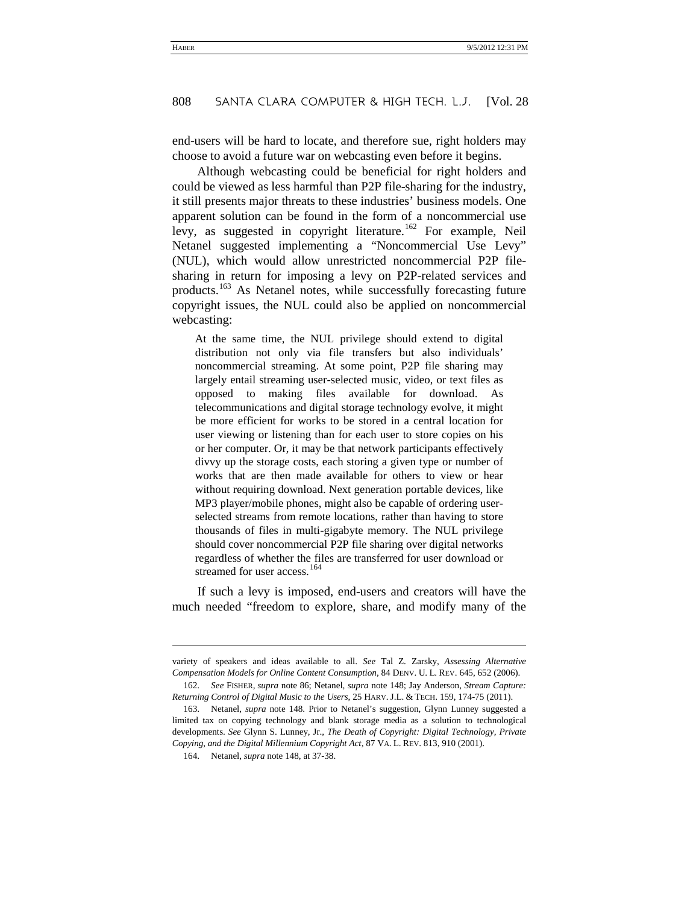end-users will be hard to locate, and therefore sue, right holders may choose to avoid a future war on webcasting even before it begins.

Although webcasting could be beneficial for right holders and could be viewed as less harmful than P2P file-sharing for the industry, it still presents major threats to these industries' business models. One apparent solution can be found in the form of a noncommercial use levy, as suggested in copyright literature.<sup>[162](#page-40-0)</sup> For example, Neil Netanel suggested implementing a "Noncommercial Use Levy" (NUL), which would allow unrestricted noncommercial P2P filesharing in return for imposing a levy on P2P-related services and products.[163](#page-40-1) As Netanel notes, while successfully forecasting future copyright issues, the NUL could also be applied on noncommercial webcasting:

At the same time, the NUL privilege should extend to digital distribution not only via file transfers but also individuals' noncommercial streaming. At some point, P2P file sharing may largely entail streaming user-selected music, video, or text files as opposed to making files available for download. As telecommunications and digital storage technology evolve, it might be more efficient for works to be stored in a central location for user viewing or listening than for each user to store copies on his or her computer. Or, it may be that network participants effectively divvy up the storage costs, each storing a given type or number of works that are then made available for others to view or hear without requiring download. Next generation portable devices, like MP3 player/mobile phones, might also be capable of ordering userselected streams from remote locations, rather than having to store thousands of files in multi-gigabyte memory. The NUL privilege should cover noncommercial P2P file sharing over digital networks regardless of whether the files are transferred for user download or streamed for user access.<sup>[164](#page-40-2)</sup>

If such a levy is imposed, end-users and creators will have the much needed "freedom to explore, share, and modify many of the

l

variety of speakers and ideas available to all. *See* Tal Z. Zarsky, *Assessing Alternative Compensation Models for Online Content Consumption*, 84 DENV. U. L. REV. 645, 652 (2006).

<span id="page-40-0"></span><sup>162.</sup> *See* FISHER, *supra* note [86;](#page-22-5) Netanel, *supra* not[e 148;](#page-36-1) Jay Anderson, *Stream Capture: Returning Control of Digital Music to the Users*, 25 HARV. J.L. & TECH. 159, 174-75 (2011).

<span id="page-40-2"></span><span id="page-40-1"></span><sup>163.</sup> Netanel, *supra* note [148.](#page-36-1) Prior to Netanel's suggestion, Glynn Lunney suggested a limited tax on copying technology and blank storage media as a solution to technological developments. *See* Glynn S. Lunney, Jr., *The Death of Copyright: Digital Technology, Private Copying, and the Digital Millennium Copyright Act*, 87 VA. L. REV. 813, 910 (2001).

<sup>164.</sup> Netanel, *supra* note [148,](#page-36-1) at 37-38.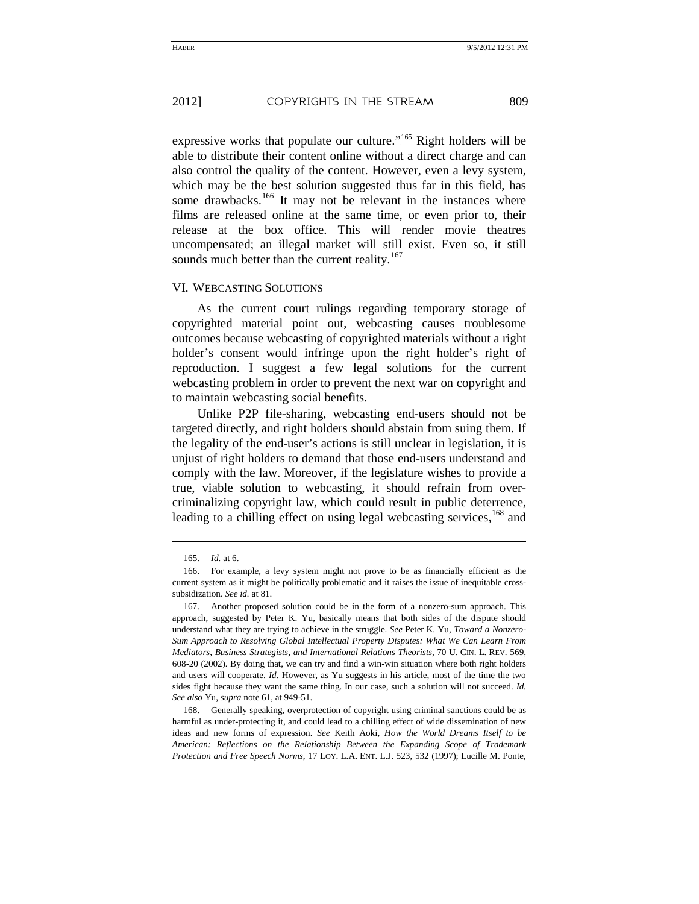expressive works that populate our culture."<sup>165</sup> Right holders will be able to distribute their content online without a direct charge and can also control the quality of the content. However, even a levy system, which may be the best solution suggested thus far in this field, has some drawbacks.<sup>166</sup> It may not be relevant in the instances where films are released online at the same time, or even prior to, their release at the box office. This will render movie theatres uncompensated; an illegal market will still exist. Even so, it still sounds much better than the current reality.<sup>167</sup>

#### VI. WEBCASTING SOLUTIONS

As the current court rulings regarding temporary storage of copyrighted material point out, webcasting causes troublesome outcomes because webcasting of copyrighted materials without a right holder's consent would infringe upon the right holder's right of reproduction. I suggest a few legal solutions for the current webcasting problem in order to prevent the next war on copyright and to maintain webcasting social benefits.

Unlike P2P file-sharing, webcasting end-users should not be targeted directly, and right holders should abstain from suing them. If the legality of the end-user's actions is still unclear in legislation, it is unjust of right holders to demand that those end-users understand and comply with the law. Moreover, if the legislature wishes to provide a true, viable solution to webcasting, it should refrain from overcriminalizing copyright law, which could result in public deterrence, leading to a chilling effect on using legal webcasting services,<sup>168</sup> and

-

<sup>165.</sup> *Id.* at 6.

<sup>166.</sup> For example, a levy system might not prove to be as financially efficient as the current system as it might be politically problematic and it raises the issue of inequitable crosssubsidization. *See id.* at 81.

<sup>167.</sup> Another proposed solution could be in the form of a nonzero-sum approach. This approach, suggested by Peter K. Yu, basically means that both sides of the dispute should understand what they are trying to achieve in the struggle. *See* Peter K. Yu, *Toward a Nonzero-Sum Approach to Resolving Global Intellectual Property Disputes: What We Can Learn From Mediators, Business Strategists, and International Relations Theorists*, 70 U. CIN. L. REV. 569, 608-20 (2002). By doing that, we can try and find a win-win situation where both right holders and users will cooperate. *Id.* However, as Yu suggests in his article, most of the time the two sides fight because they want the same thing. In our case, such a solution will not succeed. *Id. See also* Yu, *supra* not[e 61,](#page-17-6) at 949-51.

<sup>168.</sup> Generally speaking, overprotection of copyright using criminal sanctions could be as harmful as under-protecting it, and could lead to a chilling effect of wide dissemination of new ideas and new forms of expression. *See* Keith Aoki, *How the World Dreams Itself to be American: Reflections on the Relationship Between the Expanding Scope of Trademark Protection and Free Speech Norms*, 17 LOY. L.A. ENT. L.J. 523, 532 (1997); Lucille M. Ponte,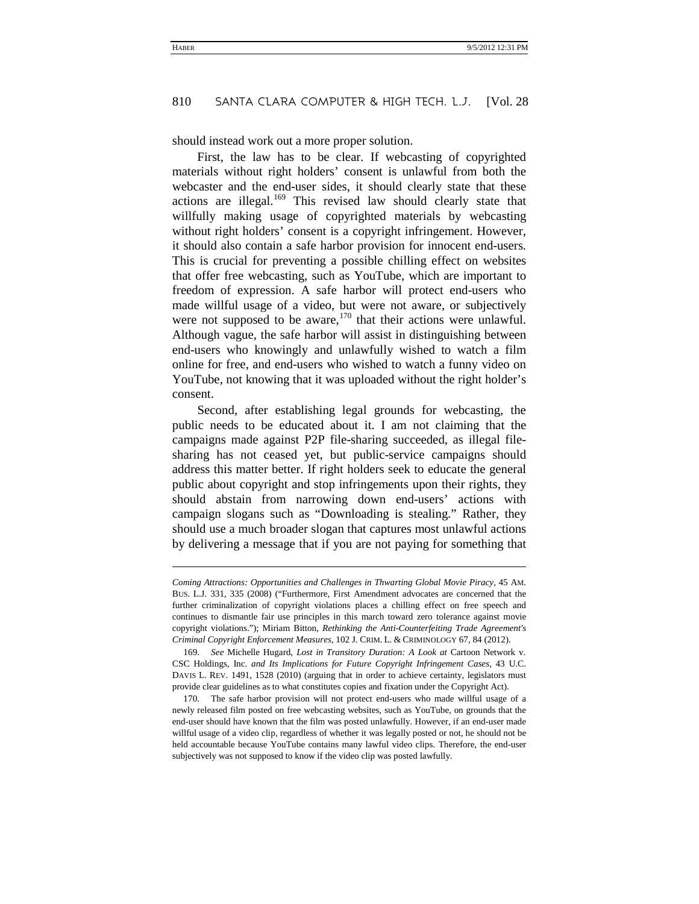should instead work out a more proper solution.

First, the law has to be clear. If webcasting of copyrighted materials without right holders' consent is unlawful from both the webcaster and the end-user sides, it should clearly state that these actions are illegal.[169](#page-42-0) This revised law should clearly state that willfully making usage of copyrighted materials by webcasting without right holders' consent is a copyright infringement. However, it should also contain a safe harbor provision for innocent end-users. This is crucial for preventing a possible chilling effect on websites that offer free webcasting, such as YouTube, which are important to freedom of expression. A safe harbor will protect end-users who made willful usage of a video, but were not aware, or subjectively were not supposed to be aware, $170$  that their actions were unlawful. Although vague, the safe harbor will assist in distinguishing between end-users who knowingly and unlawfully wished to watch a film online for free, and end-users who wished to watch a funny video on YouTube, not knowing that it was uploaded without the right holder's consent.

Second, after establishing legal grounds for webcasting, the public needs to be educated about it. I am not claiming that the campaigns made against P2P file-sharing succeeded, as illegal filesharing has not ceased yet, but public-service campaigns should address this matter better. If right holders seek to educate the general public about copyright and stop infringements upon their rights, they should abstain from narrowing down end-users' actions with campaign slogans such as "Downloading is stealing." Rather, they should use a much broader slogan that captures most unlawful actions by delivering a message that if you are not paying for something that

l

*Coming Attractions: Opportunities and Challenges in Thwarting Global Movie Piracy*, 45 AM. BUS. L.J. 331, 335 (2008) ("Furthermore, First Amendment advocates are concerned that the further criminalization of copyright violations places a chilling effect on free speech and continues to dismantle fair use principles in this march toward zero tolerance against movie copyright violations."); Miriam Bitton, *Rethinking the Anti-Counterfeiting Trade Agreement's Criminal Copyright Enforcement Measures*, 102 J. CRIM. L. & CRIMINOLOGY 67, 84 (2012).

<span id="page-42-0"></span><sup>169.</sup> *See* Michelle Hugard, *Lost in Transitory Duration: A Look at* Cartoon Network v. CSC Holdings, Inc. *and Its Implications for Future Copyright Infringement Cases*, 43 U.C. DAVIS L. REV. 1491, 1528 (2010) (arguing that in order to achieve certainty, legislators must provide clear guidelines as to what constitutes copies and fixation under the Copyright Act).

<span id="page-42-1"></span><sup>170.</sup> The safe harbor provision will not protect end-users who made willful usage of a newly released film posted on free webcasting websites, such as YouTube, on grounds that the end-user should have known that the film was posted unlawfully. However, if an end-user made willful usage of a video clip, regardless of whether it was legally posted or not, he should not be held accountable because YouTube contains many lawful video clips. Therefore, the end-user subjectively was not supposed to know if the video clip was posted lawfully.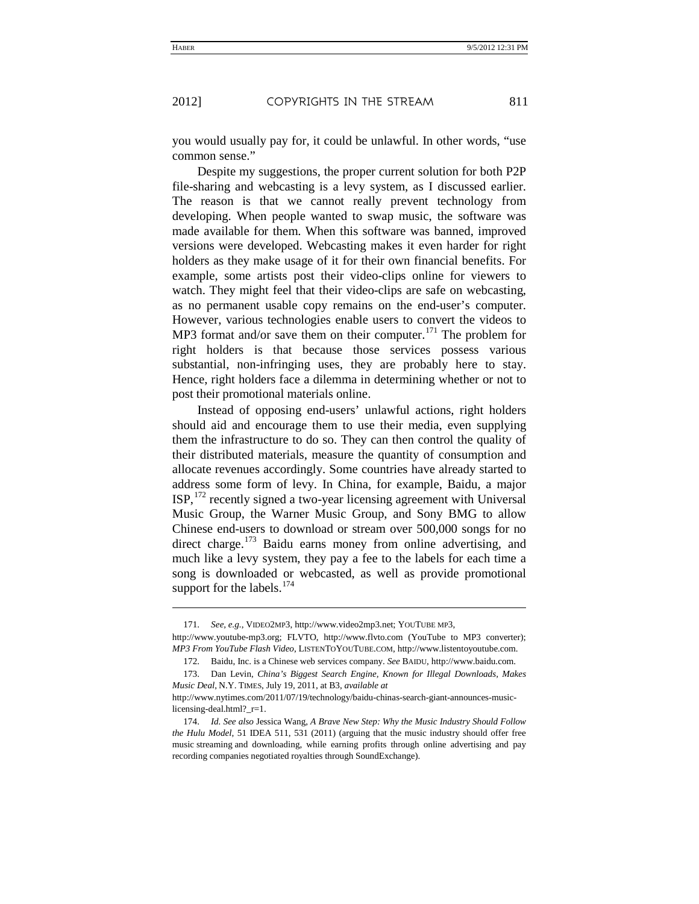l

you would usually pay for, it could be unlawful. In other words, "use common sense."

Despite my suggestions, the proper current solution for both P2P file-sharing and webcasting is a levy system, as I discussed earlier. The reason is that we cannot really prevent technology from developing. When people wanted to swap music, the software was made available for them. When this software was banned, improved versions were developed. Webcasting makes it even harder for right holders as they make usage of it for their own financial benefits. For example, some artists post their video-clips online for viewers to watch. They might feel that their video-clips are safe on webcasting, as no permanent usable copy remains on the end-user's computer. However, various technologies enable users to convert the videos to MP3 format and/or save them on their computer.<sup>171</sup> The problem for right holders is that because those services possess various substantial, non-infringing uses, they are probably here to stay. Hence, right holders face a dilemma in determining whether or not to post their promotional materials online.

Instead of opposing end-users' unlawful actions, right holders should aid and encourage them to use their media, even supplying them the infrastructure to do so. They can then control the quality of their distributed materials, measure the quantity of consumption and allocate revenues accordingly. Some countries have already started to address some form of levy. In China, for example, Baidu, a major ISP,<sup>172</sup> recently signed a two-year licensing agreement with Universal Music Group, the Warner Music Group, and Sony BMG to allow Chinese end-users to download or stream over 500,000 songs for no direct charge.<sup>173</sup> Baidu earns money from online advertising, and much like a levy system, they pay a fee to the labels for each time a song is downloaded or webcasted, as well as provide promotional support for the labels.<sup>174</sup>

<sup>171.</sup> *See, e.g.*, VIDEO2MP3, http://www.video2mp3.net; YOUTUBE MP3,

http://www.youtube-mp3.org; FLVTO, http://www.flvto.com (YouTube to MP3 converter); *MP3 From YouTube Flash Video*, LISTENTOYOUTUBE.COM, http://www.listentoyoutube.com.

<sup>172.</sup> Baidu, Inc. is a Chinese web services company. *See* BAIDU, http://www.baidu.com.

<sup>173.</sup> Dan Levin, *China's Biggest Search Engine, Known for Illegal Downloads, Makes Music Deal*, N.Y. TIMES, July 19, 2011, at B3, *available at*

http://www.nytimes.com/2011/07/19/technology/baidu-chinas-search-giant-announces-musiclicensing-deal.html?\_r=1.

<sup>174.</sup> *Id. See also* Jessica Wang, *A Brave New Step: Why the Music Industry Should Follow the Hulu Model*, 51 IDEA 511, 531 (2011) (arguing that the music industry should offer free music streaming and downloading, while earning profits through online advertising and pay recording companies negotiated royalties through SoundExchange).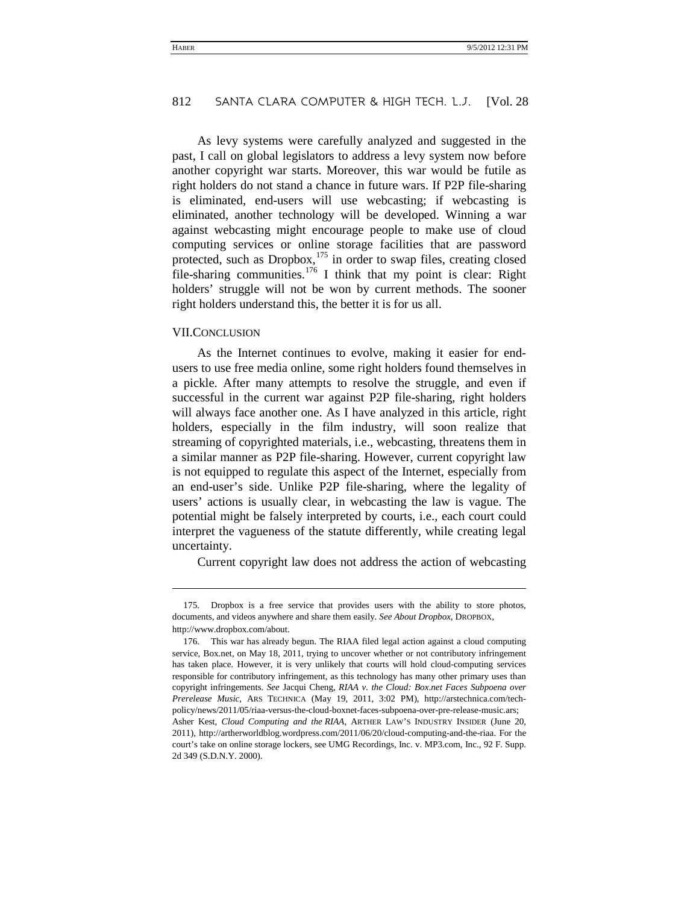As levy systems were carefully analyzed and suggested in the past, I call on global legislators to address a levy system now before another copyright war starts. Moreover, this war would be futile as right holders do not stand a chance in future wars. If P2P file-sharing is eliminated, end-users will use webcasting; if webcasting is eliminated, another technology will be developed. Winning a war against webcasting might encourage people to make use of cloud computing services or online storage facilities that are password protected, such as Dropbox,<sup>175</sup> in order to swap files, creating closed file-sharing communities.<sup>176</sup> I think that my point is clear: Right holders' struggle will not be won by current methods. The sooner right holders understand this, the better it is for us all.

#### VII.CONCLUSION

j

As the Internet continues to evolve, making it easier for endusers to use free media online, some right holders found themselves in a pickle. After many attempts to resolve the struggle, and even if successful in the current war against P2P file-sharing, right holders will always face another one. As I have analyzed in this article, right holders, especially in the film industry, will soon realize that streaming of copyrighted materials, i.e., webcasting, threatens them in a similar manner as P2P file-sharing. However, current copyright law is not equipped to regulate this aspect of the Internet, especially from an end-user's side. Unlike P2P file-sharing, where the legality of users' actions is usually clear, in webcasting the law is vague. The potential might be falsely interpreted by courts, i.e., each court could interpret the vagueness of the statute differently, while creating legal uncertainty.

Current copyright law does not address the action of webcasting

<sup>175.</sup> Dropbox is a free service that provides users with the ability to store photos, documents, and videos anywhere and share them easily. *See About Dropbox*, DROPBOX, http://www.dropbox.com/about.

<sup>176.</sup> This war has already begun. The RIAA filed legal action against a cloud computing service, Box.net, on May 18, 2011, trying to uncover whether or not contributory infringement has taken place. However, it is very unlikely that courts will hold cloud-computing services responsible for contributory infringement, as this technology has many other primary uses than copyright infringements. *See* Jacqui Cheng, *RIAA v*. *the Cloud: Box*.*net Faces Subpoena over Prerelease Music*, ARS TECHNICA (May 19, 2011, 3:02 PM), http://arstechnica.com/techpolicy/news/2011/05/riaa-versus-the-cloud-boxnet-faces-subpoena-over-pre-release-music.ars; Asher Kest, *Cloud Computing and the RIAA*, ARTHER LAW'S INDUSTRY INSIDER (June 20, 2011), http://artherworldblog.wordpress.com/2011/06/20/cloud-computing-and-the-riaa. For the court's take on online storage lockers, see UMG Recordings, Inc. v. MP3.com, Inc., 92 F. Supp. 2d 349 (S.D.N.Y. 2000).